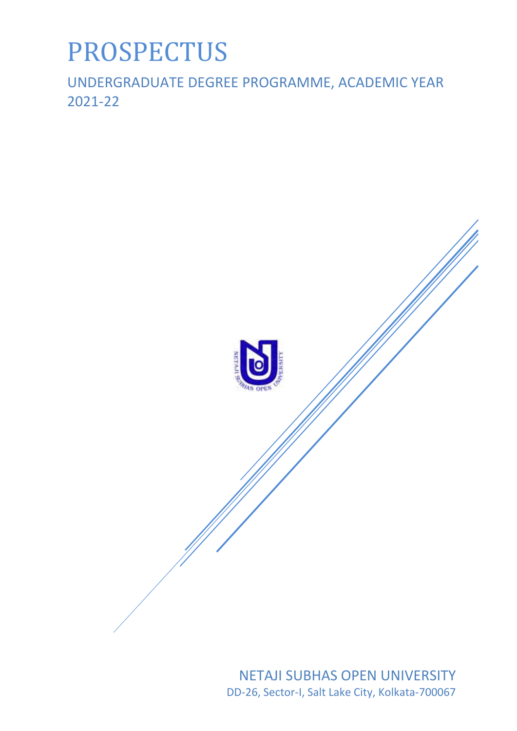# PROSPECTUS

UNDERGRADUATE DEGREE PROGRAMME, ACADEMIC YEAR 2021-22



NETAJI SUBHAS OPEN UNIVERSITY DD-26, Sector-I, Salt Lake City, Kolkata-700067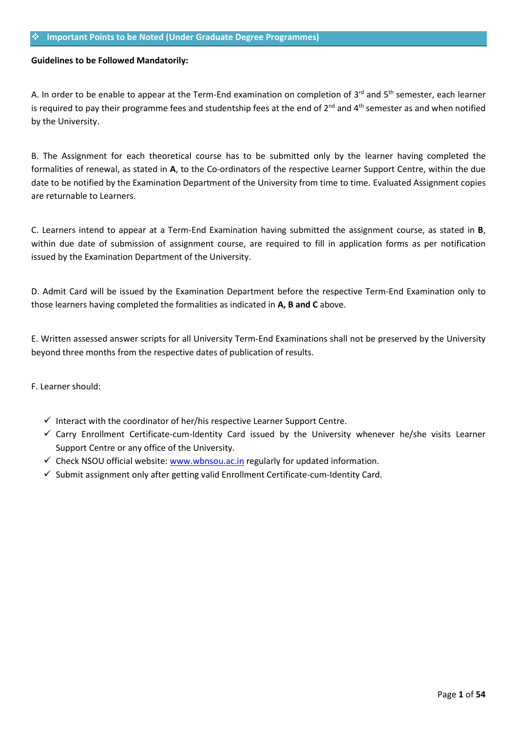#### **Important Points to be Noted (Under Graduate Degree Programmes)**

## **Guidelines to be Followed Mandatorily:**

A. In order to be enable to appear at the Term-End examination on completion of  $3^{rd}$  and  $5^{th}$  semester, each learner is required to pay their programme fees and studentship fees at the end of 2<sup>nd</sup> and 4<sup>th</sup> semester as and when notified by the University.

B. The Assignment for each theoretical course has to be submitted only by the learner having completed the formalities of renewal, as stated in **A**, to the Co-ordinators of the respective Learner Support Centre, within the due date to be notified by the Examination Department of the University from time to time. Evaluated Assignment copies are returnable to Learners.

C. Learners intend to appear at a Term-End Examination having submitted the assignment course, as stated in **B**, within due date of submission of assignment course, are required to fill in application forms as per notification issued by the Examination Department of the University.

D. Admit Card will be issued by the Examination Department before the respective Term-End Examination only to those learners having completed the formalities as indicated in **A, B and C** above.

E. Written assessed answer scripts for all University Term-End Examinations shall not be preserved by the University beyond three months from the respective dates of publication of results.

F. Learner should:

- $\checkmark$  Interact with the coordinator of her/his respective Learner Support Centre.
- $\checkmark$  Carry Enrollment Certificate-cum-Identity Card issued by the University whenever he/she visits Learner Support Centre or any office of the University.
- $\checkmark$  Check NSOU official website[: www.wbnsou.ac.in](http://www.wbnsou.ac.in/) regularly for updated information.
- $\checkmark$  Submit assignment only after getting valid Enrollment Certificate-cum-Identity Card.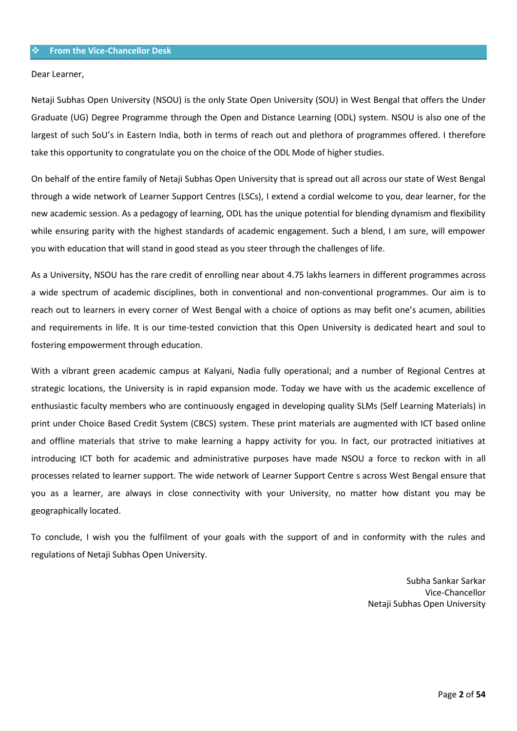Dear Learner,

Netaji Subhas Open University (NSOU) is the only State Open University (SOU) in West Bengal that offers the Under Graduate (UG) Degree Programme through the Open and Distance Learning (ODL) system. NSOU is also one of the largest of such SoU's in Eastern India, both in terms of reach out and plethora of programmes offered. I therefore take this opportunity to congratulate you on the choice of the ODL Mode of higher studies.

On behalf of the entire family of Netaji Subhas Open University that is spread out all across our state of West Bengal through a wide network of Learner Support Centres (LSCs), I extend a cordial welcome to you, dear learner, for the new academic session. As a pedagogy of learning, ODL has the unique potential for blending dynamism and flexibility while ensuring parity with the highest standards of academic engagement. Such a blend, I am sure, will empower you with education that will stand in good stead as you steer through the challenges of life.

As a University, NSOU has the rare credit of enrolling near about 4.75 lakhs learners in different programmes across a wide spectrum of academic disciplines, both in conventional and non-conventional programmes. Our aim is to reach out to learners in every corner of West Bengal with a choice of options as may befit one's acumen, abilities and requirements in life. It is our time-tested conviction that this Open University is dedicated heart and soul to fostering empowerment through education.

With a vibrant green academic campus at Kalyani, Nadia fully operational; and a number of Regional Centres at strategic locations, the University is in rapid expansion mode. Today we have with us the academic excellence of enthusiastic faculty members who are continuously engaged in developing quality SLMs (Self Learning Materials) in print under Choice Based Credit System (CBCS) system. These print materials are augmented with ICT based online and offline materials that strive to make learning a happy activity for you. In fact, our protracted initiatives at introducing ICT both for academic and administrative purposes have made NSOU a force to reckon with in all processes related to learner support. The wide network of Learner Support Centre s across West Bengal ensure that you as a learner, are always in close connectivity with your University, no matter how distant you may be geographically located.

To conclude, I wish you the fulfilment of your goals with the support of and in conformity with the rules and regulations of Netaji Subhas Open University.

> Subha Sankar Sarkar Vice-Chancellor Netaji Subhas Open University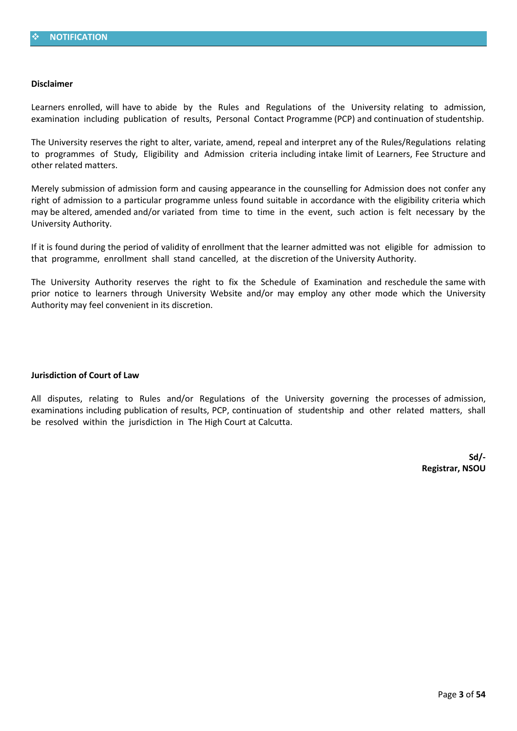#### **Disclaimer**

Learners enrolled, will have to abide by the Rules and Regulations of the University relating to admission, examination including publication of results, Personal Contact Programme (PCP) and continuation of studentship.

The University reserves the right to alter, variate, amend, repeal and interpret any of the Rules/Regulations relating to programmes of Study, Eligibility and Admission criteria including intake limit of Learners, Fee Structure and other related matters.

Merely submission of admission form and causing appearance in the counselling for Admission does not confer any right of admission to a particular programme unless found suitable in accordance with the eligibility criteria which may be altered, amended and/or variated from time to time in the event, such action is felt necessary by the University Authority.

If it is found during the period of validity of enrollment that the learner admitted was not eligible for admission to that programme, enrollment shall stand cancelled, at the discretion of the University Authority.

The University Authority reserves the right to fix the Schedule of Examination and reschedule the same with prior notice to learners through University Website and/or may employ any other mode which the University Authority may feel convenient in its discretion.

#### **Jurisdiction of Court of Law**

All disputes, relating to Rules and/or Regulations of the University governing the processes of admission, examinations including publication of results, PCP, continuation of studentship and other related matters, shall be resolved within the jurisdiction in The High Court at Calcutta.

> **Sd/- Registrar, NSOU**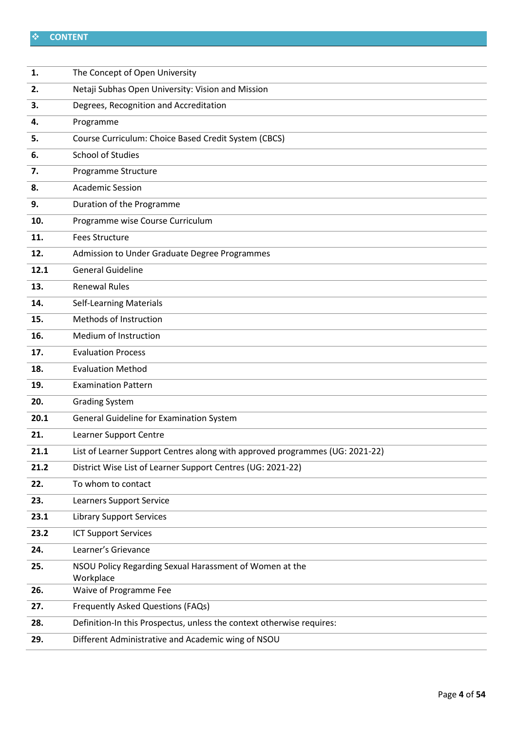# **CONTENT**

| 1.   | The Concept of Open University                                               |
|------|------------------------------------------------------------------------------|
| 2.   | Netaji Subhas Open University: Vision and Mission                            |
| 3.   | Degrees, Recognition and Accreditation                                       |
| 4.   | Programme                                                                    |
| 5.   | Course Curriculum: Choice Based Credit System (CBCS)                         |
| 6.   | <b>School of Studies</b>                                                     |
| 7.   | Programme Structure                                                          |
| 8.   | <b>Academic Session</b>                                                      |
| 9.   | Duration of the Programme                                                    |
| 10.  | Programme wise Course Curriculum                                             |
| 11.  | <b>Fees Structure</b>                                                        |
| 12.  | Admission to Under Graduate Degree Programmes                                |
| 12.1 | <b>General Guideline</b>                                                     |
| 13.  | <b>Renewal Rules</b>                                                         |
| 14.  | <b>Self-Learning Materials</b>                                               |
| 15.  | Methods of Instruction                                                       |
| 16.  | Medium of Instruction                                                        |
| 17.  | <b>Evaluation Process</b>                                                    |
| 18.  | <b>Evaluation Method</b>                                                     |
| 19.  | <b>Examination Pattern</b>                                                   |
| 20.  | <b>Grading System</b>                                                        |
| 20.1 | General Guideline for Examination System                                     |
| 21.  | Learner Support Centre                                                       |
| 21.1 | List of Learner Support Centres along with approved programmes (UG: 2021-22) |
| 21.2 | District Wise List of Learner Support Centres (UG: 2021-22)                  |
| 22.  | To whom to contact                                                           |
| 23.  | Learners Support Service                                                     |
| 23.1 | <b>Library Support Services</b>                                              |
| 23.2 | <b>ICT Support Services</b>                                                  |
| 24.  | Learner's Grievance                                                          |
| 25.  | NSOU Policy Regarding Sexual Harassment of Women at the<br>Workplace         |
| 26.  | Waive of Programme Fee                                                       |
| 27.  | Frequently Asked Questions (FAQs)                                            |
| 28.  | Definition-In this Prospectus, unless the context otherwise requires:        |
| 29.  | Different Administrative and Academic wing of NSOU                           |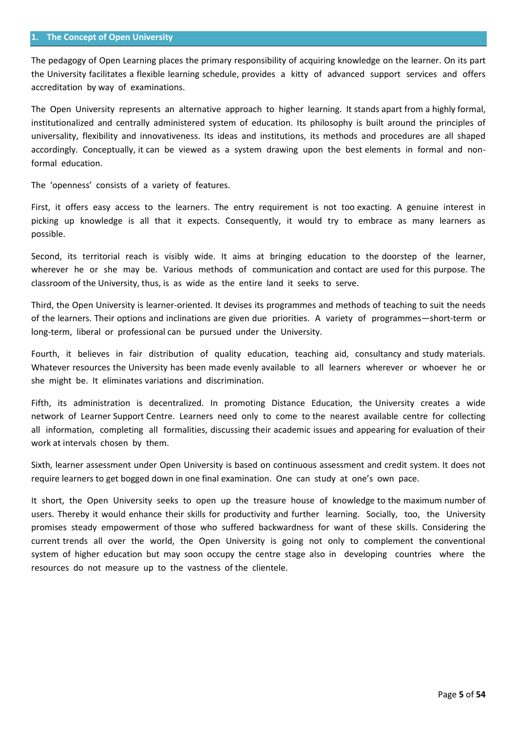#### **1. The Concept of Open University**

The pedagogy of Open Learning places the primary responsibility of acquiring knowledge on the learner. On its part the University facilitates a flexible learning schedule, provides a kitty of advanced support services and offers accreditation by way of examinations.

The Open University represents an alternative approach to higher learning. It stands apart from a highly formal, institutionalized and centrally administered system of education. Its philosophy is built around the principles of universality, flexibility and innovativeness. Its ideas and institutions, its methods and procedures are all shaped accordingly. Conceptually, it can be viewed as a system drawing upon the best elements in formal and nonformal education.

The 'openness' consists of a variety of features.

First, it offers easy access to the learners. The entry requirement is not too exacting. A genuine interest in picking up knowledge is all that it expects. Consequently, it would try to embrace as many learners as possible.

Second, its territorial reach is visibly wide. It aims at bringing education to the doorstep of the learner, wherever he or she may be. Various methods of communication and contact are used for this purpose. The classroom of the University, thus, is as wide as the entire land it seeks to serve.

Third, the Open University is learner-oriented. It devises its programmes and methods of teaching to suit the needs of the learners. Their options and inclinations are given due priorities. A variety of programmes—short-term or long-term, liberal or professional can be pursued under the University.

Fourth, it believes in fair distribution of quality education, teaching aid, consultancy and study materials. Whatever resources the University has been made evenly available to all learners wherever or whoever he or she might be. It eliminates variations and discrimination.

Fifth, its administration is decentralized. In promoting Distance Education, the University creates a wide network of Learner Support Centre. Learners need only to come to the nearest available centre for collecting all information, completing all formalities, discussing their academic issues and appearing for evaluation of their work at intervals chosen by them.

Sixth, learner assessment under Open University is based on continuous assessment and credit system. It does not require learners to get bogged down in one final examination. One can study at one's own pace.

It short, the Open University seeks to open up the treasure house of knowledge to the maximum number of users. Thereby it would enhance their skills for productivity and further learning. Socially, too, the University promises steady empowerment of those who suffered backwardness for want of these skills. Considering the current trends all over the world, the Open University is going not only to complement the conventional system of higher education but may soon occupy the centre stage also in developing countries where the resources do not measure up to the vastness of the clientele.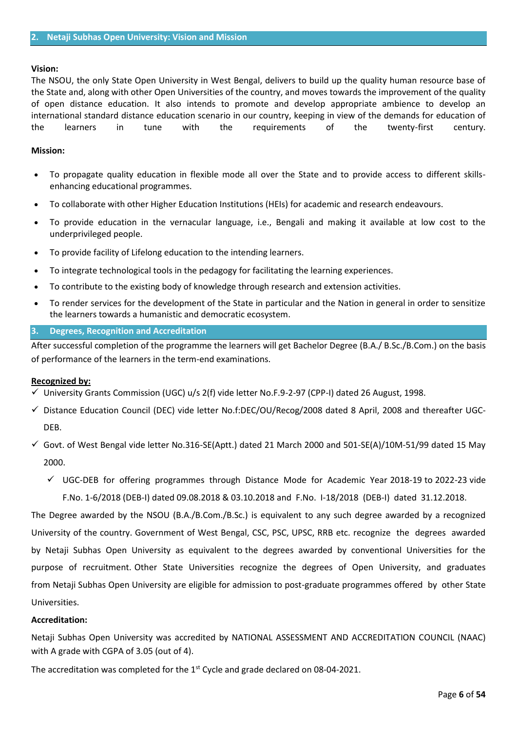#### **Vision:**

The NSOU, the only State Open University in West Bengal, delivers to build up the quality human resource base of the State and, along with other Open Universities of the country, and moves towards the improvement of the quality of open distance education. It also intends to promote and develop appropriate ambience to develop an international standard distance education scenario in our country, keeping in view of the demands for education of the learners in tune with the requirements of the twenty-first century.

### **Mission:**

- To propagate quality education in flexible mode all over the State and to provide access to different skillsenhancing educational programmes.
- To collaborate with other Higher Education Institutions (HEIs) for academic and research endeavours.
- To provide education in the vernacular language, i.e., Bengali and making it available at low cost to the underprivileged people.
- To provide facility of Lifelong education to the intending learners.
- To integrate technological tools in the pedagogy for facilitating the learning experiences.
- To contribute to the existing body of knowledge through research and extension activities.
- To render services for the development of the State in particular and the Nation in general in order to sensitize the learners towards a humanistic and democratic ecosystem.

### **3. Degrees, Recognition and Accreditation**

After successful completion of the programme the learners will get Bachelor Degree (B.A./ B.Sc./B.Com.) on the basis of performance of the learners in the term-end examinations.

#### **Recognized by:**

- $\checkmark$  University Grants Commission (UGC) u/s 2(f) vide letter No.F.9-2-97 (CPP-I) dated 26 August, 1998.
- $\checkmark$  Distance Education Council (DEC) vide letter No.f:DEC/OU/Recog/2008 dated 8 April, 2008 and thereafter UGC-DEB.
- $\checkmark$  Govt. of West Bengal vide letter No.316-SE(Aptt.) dated 21 March 2000 and 501-SE(A)/10M-51/99 dated 15 May 2000.
	- $\checkmark$  UGC-DEB for offering programmes through Distance Mode for Academic Year 2018-19 to 2022-23 vide F.No. 1-6/2018 (DEB-I) dated 09.08.2018 & 03.10.2018 and F.No. I-18/2018 (DEB-I) dated 31.12.2018.

The Degree awarded by the NSOU (B.A./B.Com./B.Sc.) is equivalent to any such degree awarded by a recognized University of the country. Government of West Bengal, CSC, PSC, UPSC, RRB etc. recognize the degrees awarded by Netaji Subhas Open University as equivalent to the degrees awarded by conventional Universities for the purpose of recruitment. Other State Universities recognize the degrees of Open University, and graduates from Netaji Subhas Open University are eligible for admission to post-graduate programmes offered by other State Universities.

#### **Accreditation:**

Netaji Subhas Open University was accredited by NATIONAL ASSESSMENT AND ACCREDITATION COUNCIL (NAAC) with A grade with CGPA of 3.05 (out of 4).

The accreditation was completed for the 1<sup>st</sup> Cycle and grade declared on 08-04-2021.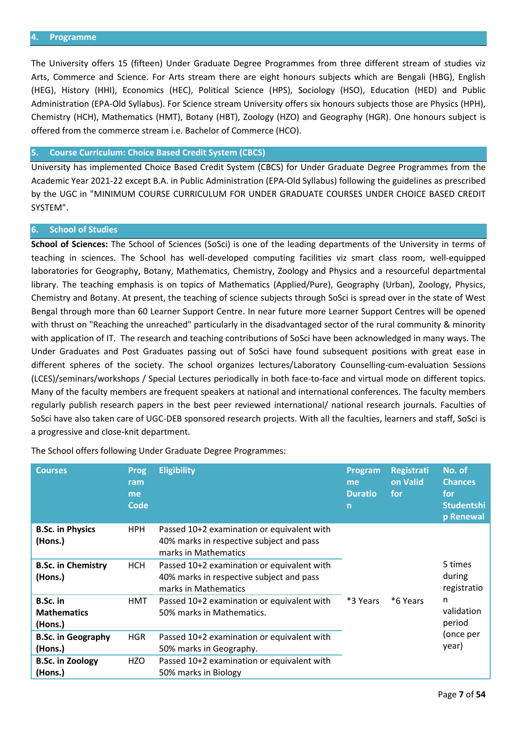The University offers 15 (fifteen) Under Graduate Degree Programmes from three different stream of studies viz Arts, Commerce and Science. For Arts stream there are eight honours subjects which are Bengali (HBG), English (HEG), History (HHI), Economics (HEC), Political Science (HPS), Sociology (HSO), Education (HED) and Public Administration (EPA-Old Syllabus). For Science stream University offers six honours subjects those are Physics (HPH), Chemistry (HCH), Mathematics (HMT), Botany (HBT), Zoology (HZO) and Geography (HGR). One honours subject is offered from the commerce stream i.e. Bachelor of Commerce (HCO).

## **5. Course Curriculum: Choice Based Credit System (CBCS)**

University has implemented Choice Based Credit System (CBCS) for Under Graduate Degree Programmes from the Academic Year 2021-22 except B.A. in Public Administration (EPA-Old Syllabus) following the guidelines as prescribed by the UGC in "MINIMUM COURSE CURRICULUM FOR UNDER GRADUATE COURSES UNDER CHOICE BASED CREDIT SYSTEM".

#### **6. School of Studies**

**School of Sciences:** The School of Sciences (SoSci) is one of the leading departments of the University in terms of teaching in sciences. The School has well-developed computing facilities viz smart class room, well-equipped laboratories for Geography, Botany, Mathematics, Chemistry, Zoology and Physics and a resourceful departmental library. The teaching emphasis is on topics of Mathematics (Applied/Pure), Geography (Urban), Zoology, Physics, Chemistry and Botany. At present, the teaching of science subjects through SoSci is spread over in the state of West Bengal through more than 60 Learner Support Centre. In near future more Learner Support Centres will be opened with thrust on "Reaching the unreached" particularly in the disadvantaged sector of the rural community & minority with application of IT. The research and teaching contributions of SoSci have been acknowledged in many ways. The Under Graduates and Post Graduates passing out of SoSci have found subsequent positions with great ease in different spheres of the society. The school organizes lectures/Laboratory Counselling-cum-evaluation Sessions (LCES)/seminars/workshops / Special Lectures periodically in both face-to-face and virtual mode on different topics. Many of the faculty members are frequent speakers at national and international conferences. The faculty members regularly publish research papers in the best peer reviewed international/ national research journals. Faculties of SoSci have also taken care of UGC-DEB sponsored research projects. With all the faculties, learners and staff, SoSci is a progressive and close-knit department.

| <b>Courses</b>                                     | <b>Prog</b><br>ram<br>me<br><b>Code</b>                                        | <b>Eligibility</b>                                                                                             | Program<br>me<br><b>Duratio</b><br>$\mathsf{n}$ | <b>Registrati</b><br>on Valid<br>for | No. of<br><b>Chances</b><br>for<br><b>Studentshi</b><br>p Renewal |
|----------------------------------------------------|--------------------------------------------------------------------------------|----------------------------------------------------------------------------------------------------------------|-------------------------------------------------|--------------------------------------|-------------------------------------------------------------------|
| <b>B.Sc. in Physics</b><br>(Hons.)                 | HPH.                                                                           | Passed 10+2 examination or equivalent with<br>40% marks in respective subject and pass<br>marks in Mathematics |                                                 |                                      |                                                                   |
| <b>B.Sc. in Chemistry</b><br>(Hons.)               | <b>HCH</b>                                                                     | Passed 10+2 examination or equivalent with<br>40% marks in respective subject and pass<br>marks in Mathematics |                                                 |                                      |                                                                   |
| B.Sc. in<br><b>Mathematics</b><br>(Hons.)          | Passed 10+2 examination or equivalent with<br>HMT<br>50% marks in Mathematics. |                                                                                                                | *3 Years                                        | *6 Years                             | n<br>validation<br>period                                         |
| <b>B.Sc. in Geography</b><br><b>HGR</b><br>(Hons.) |                                                                                | Passed 10+2 examination or equivalent with<br>50% marks in Geography.                                          |                                                 | (once per<br>year)                   |                                                                   |
| <b>B.Sc. in Zoology</b><br>(Hons.)                 | HZO                                                                            | Passed 10+2 examination or equivalent with<br>50% marks in Biology                                             |                                                 |                                      |                                                                   |

The School offers following Under Graduate Degree Programmes: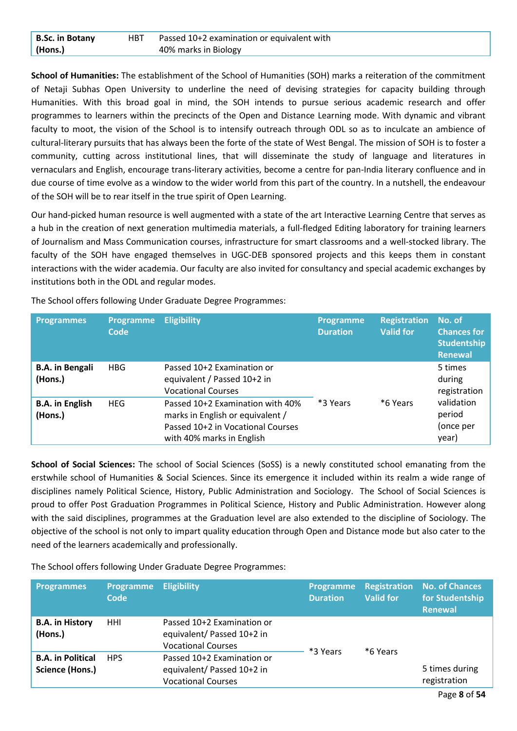| <b>B.Sc. in Botany</b> | HBT Passed 10+2 examination or equivalent with |
|------------------------|------------------------------------------------|
| (Hons.)                | 40% marks in Biology                           |

**School of Humanities:** The establishment of the School of Humanities (SOH) marks a reiteration of the commitment of Netaji Subhas Open University to underline the need of devising strategies for capacity building through Humanities. With this broad goal in mind, the SOH intends to pursue serious academic research and offer programmes to learners within the precincts of the Open and Distance Learning mode. With dynamic and vibrant faculty to moot, the vision of the School is to intensify outreach through ODL so as to inculcate an ambience of cultural-literary pursuits that has always been the forte of the state of West Bengal. The mission of SOH is to foster a community, cutting across institutional lines, that will disseminate the study of language and literatures in vernaculars and English, encourage trans-literary activities, become a centre for pan-India literary confluence and in due course of time evolve as a window to the wider world from this part of the country. In a nutshell, the endeavour of the SOH will be to rear itself in the true spirit of Open Learning.

Our hand-picked human resource is well augmented with a state of the art Interactive Learning Centre that serves as a hub in the creation of next generation multimedia materials, a full-fledged Editing laboratory for training learners of Journalism and Mass Communication courses, infrastructure for smart classrooms and a well-stocked library. The faculty of the SOH have engaged themselves in UGC-DEB sponsored projects and this keeps them in constant interactions with the wider academia. Our faculty are also invited for consultancy and special academic exchanges by institutions both in the ODL and regular modes.

| <b>Programmes</b>                 | <b>Programme</b><br>Code | <b>Eligibility</b>                                                                                                                     | <b>Programme</b><br><b>Duration</b> | <b>Registration</b><br><b>Valid for</b> | No. of<br><b>Chances for</b><br>Studentship<br><b>Renewal</b> |
|-----------------------------------|--------------------------|----------------------------------------------------------------------------------------------------------------------------------------|-------------------------------------|-----------------------------------------|---------------------------------------------------------------|
| <b>B.A.</b> in Bengali<br>(Hons.) | <b>HBG</b>               | Passed 10+2 Examination or<br>equivalent / Passed 10+2 in<br><b>Vocational Courses</b>                                                 |                                     |                                         | 5 times<br>during<br>registration                             |
| <b>B.A.</b> in English<br>(Hons.) | <b>HEG</b>               | Passed 10+2 Examination with 40%<br>marks in English or equivalent /<br>Passed 10+2 in Vocational Courses<br>with 40% marks in English | *3 Years                            | *6 Years                                | validation<br>period<br>(once per<br>year)                    |

The School offers following Under Graduate Degree Programmes:

**School of Social Sciences:** The school of Social Sciences (SoSS) is a newly constituted school emanating from the erstwhile school of Humanities & Social Sciences. Since its emergence it included within its realm a wide range of disciplines namely Political Science, History, Public Administration and Sociology. The School of Social Sciences is proud to offer Post Graduation Programmes in Political Science, History and Public Administration. However along with the said disciplines, programmes at the Graduation level are also extended to the discipline of Sociology. The objective of the school is not only to impart quality education through Open and Distance mode but also cater to the need of the learners academically and professionally.

The School offers following Under Graduate Degree Programmes:

| <b>Programmes</b>                           | <b>Programme</b><br>Code | <b>Eligibility</b>                                                                    | <b>Programme</b><br><b>Duration</b> | <b>Valid for</b> | <b>Registration No. of Chances</b><br>for Studentship<br><b>Renewal</b> |
|---------------------------------------------|--------------------------|---------------------------------------------------------------------------------------|-------------------------------------|------------------|-------------------------------------------------------------------------|
| <b>B.A. in History</b><br>(Hons.)           | HHI                      | Passed 10+2 Examination or<br>equivalent/ Passed 10+2 in<br><b>Vocational Courses</b> | *3 Years                            | *6 Years         |                                                                         |
| <b>B.A. in Political</b><br>Science (Hons.) | <b>HPS</b>               | Passed 10+2 Examination or<br>equivalent/ Passed 10+2 in<br><b>Vocational Courses</b> |                                     |                  | 5 times during<br>registration                                          |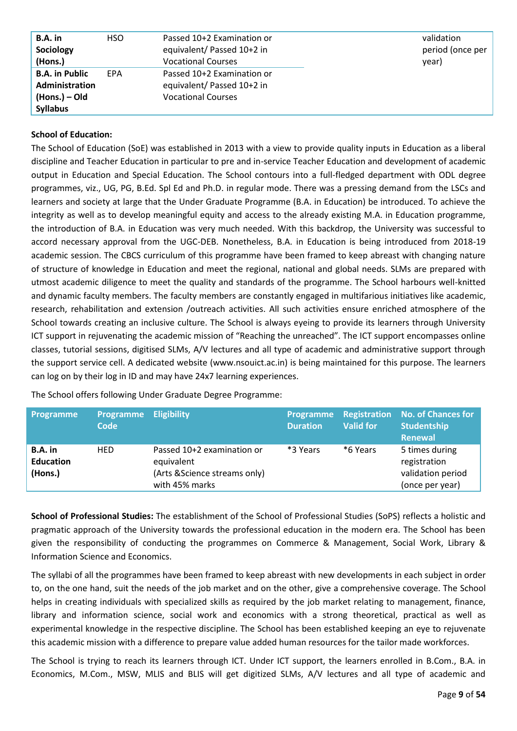| B.A. in               | <b>HSO</b> | Passed 10+2 Examination or | validation       |  |
|-----------------------|------------|----------------------------|------------------|--|
| Sociology             |            | equivalent/ Passed 10+2 in | period (once per |  |
| (Hons.)               |            | <b>Vocational Courses</b>  | year)            |  |
| <b>B.A. in Public</b> | EPA        | Passed 10+2 Examination or |                  |  |
| <b>Administration</b> |            | equivalent/ Passed 10+2 in |                  |  |
| (Hons.) – Old         |            | <b>Vocational Courses</b>  |                  |  |
| <b>Syllabus</b>       |            |                            |                  |  |

## **School of Education:**

The School of Education (SoE) was established in 2013 with a view to provide quality inputs in Education as a liberal discipline and Teacher Education in particular to pre and in-service Teacher Education and development of academic output in Education and Special Education. The School contours into a full-fledged department with ODL degree programmes, viz., UG, PG, B.Ed. Spl Ed and Ph.D. in regular mode. There was a pressing demand from the LSCs and learners and society at large that the Under Graduate Programme (B.A. in Education) be introduced. To achieve the integrity as well as to develop meaningful equity and access to the already existing M.A. in Education programme, the introduction of B.A. in Education was very much needed. With this backdrop, the University was successful to accord necessary approval from the UGC-DEB. Nonetheless, B.A. in Education is being introduced from 2018-19 academic session. The CBCS curriculum of this programme have been framed to keep abreast with changing nature of structure of knowledge in Education and meet the regional, national and global needs. SLMs are prepared with utmost academic diligence to meet the quality and standards of the programme. The School harbours well-knitted and dynamic faculty members. The faculty members are constantly engaged in multifarious initiatives like academic, research, rehabilitation and extension /outreach activities. All such activities ensure enriched atmosphere of the School towards creating an inclusive culture. The School is always eyeing to provide its learners through University ICT support in rejuvenating the academic mission of "Reaching the unreached". The ICT support encompasses online classes, tutorial sessions, digitised SLMs, A/V lectures and all type of academic and administrative support through the support service cell. A dedicated website (www.nsouict.ac.in) is being maintained for this purpose. The learners can log on by their log in ID and may have 24x7 learning experiences.

| <b>Programme</b>                         | <b>Programme Eligibility</b><br>Code |                                                                                             | <b>Programme</b><br><b>Duration</b> | <b>Valid for</b> | <b>Registration No. of Chances for</b><br><b>Studentship</b><br>Renewal |
|------------------------------------------|--------------------------------------|---------------------------------------------------------------------------------------------|-------------------------------------|------------------|-------------------------------------------------------------------------|
| $B.A.$ in<br><b>Education</b><br>(Hons.) | <b>HED</b>                           | Passed 10+2 examination or<br>equivalent<br>(Arts & Science streams only)<br>with 45% marks | *3 Years                            | *6 Years         | 5 times during<br>registration<br>validation period<br>(once per year)  |

The School offers following Under Graduate Degree Programme:

**School of Professional Studies:** The establishment of the School of Professional Studies (SoPS) reflects a holistic and pragmatic approach of the University towards the professional education in the modern era. The School has been given the responsibility of conducting the programmes on Commerce & Management, Social Work, Library & Information Science and Economics.

The syllabi of all the programmes have been framed to keep abreast with new developments in each subject in order to, on the one hand, suit the needs of the job market and on the other, give a comprehensive coverage. The School helps in creating individuals with specialized skills as required by the job market relating to management, finance, library and information science, social work and economics with a strong theoretical, practical as well as experimental knowledge in the respective discipline. The School has been established keeping an eye to rejuvenate this academic mission with a difference to prepare value added human resources for the tailor made workforces.

The School is trying to reach its learners through ICT. Under ICT support, the learners enrolled in B.Com., B.A. in Economics, M.Com., MSW, MLIS and BLIS will get digitized SLMs, A/V lectures and all type of academic and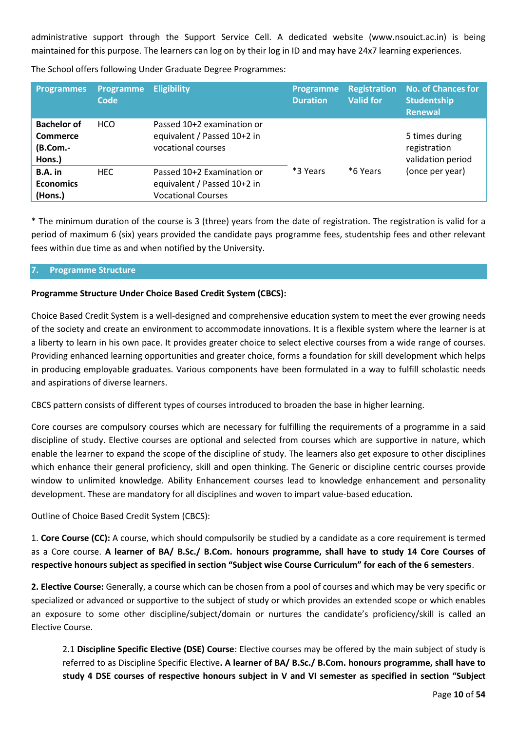administrative support through the Support Service Cell. A dedicated website (www.nsouict.ac.in) is being maintained for this purpose. The learners can log on by their log in ID and may have 24x7 learning experiences.

| <b>Programmes</b>                                    | <b>Programme</b><br>Code | <b>Eligibility</b>                                                                     | <b>Programme</b><br><b>Duration</b> | <b>Registration</b><br><b>Valid for</b> | <b>No. of Chances for</b><br><b>Studentship</b><br><b>Renewal</b> |
|------------------------------------------------------|--------------------------|----------------------------------------------------------------------------------------|-------------------------------------|-----------------------------------------|-------------------------------------------------------------------|
| <b>Bachelor of</b><br>Commerce<br>(B.Com.-<br>Hons.) | <b>HCO</b>               | Passed 10+2 examination or<br>equivalent / Passed 10+2 in<br>vocational courses        |                                     |                                         | 5 times during<br>registration<br>validation period               |
| B.A. in<br><b>Economics</b><br>(Hons.)               | <b>HEC</b>               | Passed 10+2 Examination or<br>equivalent / Passed 10+2 in<br><b>Vocational Courses</b> | *3 Years                            | *6 Years                                | (once per year)                                                   |

The School offers following Under Graduate Degree Programmes:

\* The minimum duration of the course is 3 (three) years from the date of registration. The registration is valid for a period of maximum 6 (six) years provided the candidate pays programme fees, studentship fees and other relevant fees within due time as and when notified by the University.

## **7. Programme Structure**

## **Programme Structure Under Choice Based Credit System (CBCS):**

Choice Based Credit System is a well-designed and comprehensive education system to meet the ever growing needs of the society and create an environment to accommodate innovations. It is a flexible system where the learner is at a liberty to learn in his own pace. It provides greater choice to select elective courses from a wide range of courses. Providing enhanced learning opportunities and greater choice, forms a foundation for skill development which helps in producing employable graduates. Various components have been formulated in a way to fulfill scholastic needs and aspirations of diverse learners.

CBCS pattern consists of different types of courses introduced to broaden the base in higher learning.

Core courses are compulsory courses which are necessary for fulfilling the requirements of a programme in a said discipline of study. Elective courses are optional and selected from courses which are supportive in nature, which enable the learner to expand the scope of the discipline of study. The learners also get exposure to other disciplines which enhance their general proficiency, skill and open thinking. The Generic or discipline centric courses provide window to unlimited knowledge. Ability Enhancement courses lead to knowledge enhancement and personality development. These are mandatory for all disciplines and woven to impart value-based education.

Outline of Choice Based Credit System (CBCS):

1. **Core Course (CC):** A course, which should compulsorily be studied by a candidate as a core requirement is termed as a Core course. **A learner of BA/ B.Sc./ B.Com. honours programme, shall have to study 14 Core Courses of respective honours subject as specified in section "Subject wise Course Curriculum" for each of the 6 semesters**.

**2. Elective Course:** Generally, a course which can be chosen from a pool of courses and which may be very specific or specialized or advanced or supportive to the subject of study or which provides an extended scope or which enables an exposure to some other discipline/subject/domain or nurtures the candidate's proficiency/skill is called an Elective Course.

2.1 **Discipline Specific Elective (DSE) Course**: Elective courses may be offered by the main subject of study is referred to as Discipline Specific Elective**. A learner of BA/ B.Sc./ B.Com. honours programme, shall have to study 4 DSE courses of respective honours subject in V and VI semester as specified in section "Subject**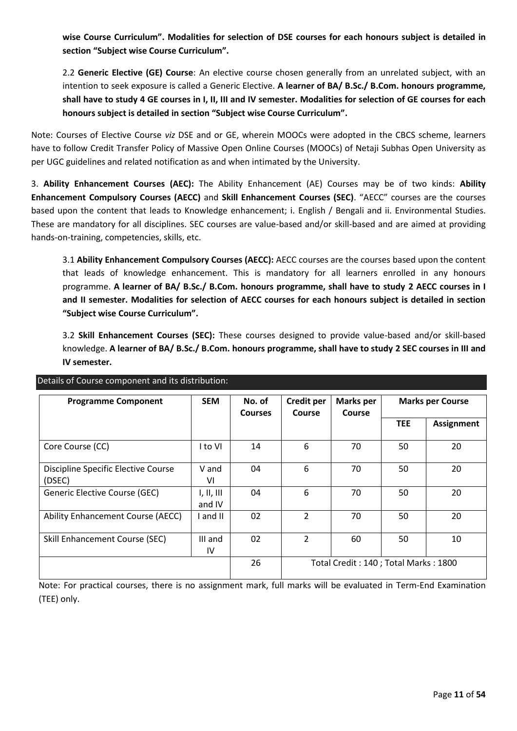**wise Course Curriculum". Modalities for selection of DSE courses for each honours subject is detailed in section "Subject wise Course Curriculum".**

2.2 **Generic Elective (GE) Course**: An elective course chosen generally from an unrelated subject, with an intention to seek exposure is called a Generic Elective. **A learner of BA/ B.Sc./ B.Com. honours programme, shall have to study 4 GE courses in I, II, III and IV semester. Modalities for selection of GE courses for each honours subject is detailed in section "Subject wise Course Curriculum".**

Note: Courses of Elective Course *viz* DSE and or GE, wherein MOOCs were adopted in the CBCS scheme, learners have to follow Credit Transfer Policy of Massive Open Online Courses (MOOCs) of Netaji Subhas Open University as per UGC guidelines and related notification as and when intimated by the University.

3. **Ability Enhancement Courses (AEC):** The Ability Enhancement (AE) Courses may be of two kinds: **Ability Enhancement Compulsory Courses (AECC)** and **Skill Enhancement Courses (SEC)**. "AECC" courses are the courses based upon the content that leads to Knowledge enhancement; i. English / Bengali and ii. Environmental Studies. These are mandatory for all disciplines. SEC courses are value-based and/or skill-based and are aimed at providing hands-on-training, competencies, skills, etc.

3.1 **Ability Enhancement Compulsory Courses (AECC):** AECC courses are the courses based upon the content that leads of knowledge enhancement. This is mandatory for all learners enrolled in any honours programme. **A learner of BA/ B.Sc./ B.Com. honours programme, shall have to study 2 AECC courses in I and II semester. Modalities for selection of AECC courses for each honours subject is detailed in section "Subject wise Course Curriculum".**

3.2 **Skill Enhancement Courses (SEC):** These courses designed to provide value-based and/or skill-based knowledge. **A learner of BA/ B.Sc./ B.Com. honours programme, shall have to study 2 SEC courses in III and IV semester.**

| <b>Programme Component</b>                    | <b>SEM</b>           | No. of<br><b>Courses</b> | <b>Credit per</b><br>Course | <b>Marks per</b><br>Course           |            | <b>Marks per Course</b> |
|-----------------------------------------------|----------------------|--------------------------|-----------------------------|--------------------------------------|------------|-------------------------|
|                                               |                      |                          |                             |                                      | <b>TEE</b> | <b>Assignment</b>       |
| Core Course (CC)                              | I to VI              | 14                       | 6                           | 70                                   | 50         | 20                      |
| Discipline Specific Elective Course<br>(DSEC) | V and<br>۷ı          | 04                       | 6                           | 70                                   | 50         | 20                      |
| Generic Elective Course (GEC)                 | I, II, III<br>and IV | 04                       | 6                           | 70                                   | 50         | 20                      |
| Ability Enhancement Course (AECC)             | I and II             | 02                       | $\overline{2}$              | 70                                   | 50         | 20                      |
| Skill Enhancement Course (SEC)                | III and<br>1V        | 02                       | $\overline{2}$              | 60                                   | 50         | 10                      |
|                                               |                      | 26                       |                             | Total Credit: 140; Total Marks: 1800 |            |                         |

Details of Course component and its distribution:

Note: For practical courses, there is no assignment mark, full marks will be evaluated in Term-End Examination (TEE) only.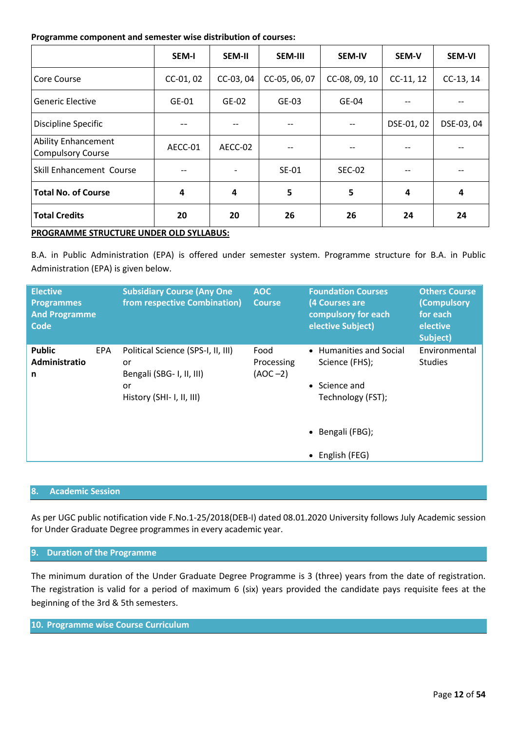#### **Programme component and semester wise distribution of courses:**

|                                                        | <b>SEM-I</b> | <b>SEM-II</b>              | <b>SEM-III</b>           | <b>SEM-IV</b> | SEM-V       | <b>SEM-VI</b> |
|--------------------------------------------------------|--------------|----------------------------|--------------------------|---------------|-------------|---------------|
| Core Course                                            | CC-01, 02    | CC-05, 06, 07<br>CC-03, 04 |                          | CC-08, 09, 10 | $CC-11, 12$ | CC-13, 14     |
| <b>Generic Elective</b>                                | $GE-01$      | $GE-02$                    | $GE-03$                  | $GE-04$       |             |               |
| Discipline Specific                                    |              |                            | $-$<br>$\qquad \qquad -$ |               | DSE-01, 02  | DSE-03, 04    |
| <b>Ability Enhancement</b><br><b>Compulsory Course</b> | AECC-01      | AECC-02                    | --                       | --            |             |               |
| Skill Enhancement Course                               |              |                            | <b>SE-01</b>             | <b>SEC-02</b> |             |               |
| <b>Total No. of Course</b>                             | 4            | 4                          | 5<br>5                   |               | 4           | 4             |
| <b>Total Credits</b>                                   | 20           | 20                         | 26                       | 26            | 24          | 24            |
| PROGRAMME STRUCTURE UNDER OLD SYLLABUS:                |              |                            |                          |               |             |               |

B.A. in Public Administration (EPA) is offered under semester system. Programme structure for B.A. in Public Administration (EPA) is given below.

| <b>Elective</b><br><b>Programmes</b><br><b>And Programme</b><br>Code |            | <b>Subsidiary Course (Any One</b><br>from respective Combination)                                        | <b>AOC</b><br><b>Course</b>     | <b>Foundation Courses</b><br>(4 Courses are<br>compulsory for each<br>elective Subject)                                        | <b>Others Course</b><br><b>(Compulsory</b><br>for each<br>elective<br>Subject) |
|----------------------------------------------------------------------|------------|----------------------------------------------------------------------------------------------------------|---------------------------------|--------------------------------------------------------------------------------------------------------------------------------|--------------------------------------------------------------------------------|
| <b>Public</b><br>Administratio<br>n                                  | <b>EPA</b> | Political Science (SPS-I, II, III)<br>or<br>Bengali (SBG- I, II, III)<br>or<br>History (SHI- I, II, III) | Food<br>Processing<br>$(AOC-2)$ | • Humanities and Social<br>Science (FHS);<br>$\bullet$ Science and<br>Technology (FST);<br>• Bengali (FBG);<br>• English (FEG) | Environmental<br><b>Studies</b>                                                |

## **8. Academic Session**

As per UGC public notification vide F.No.1-25/2018(DEB-I) dated 08.01.2020 University follows July Academic session for Under Graduate Degree programmes in every academic year.

## **9. Duration of the Programme**

The minimum duration of the Under Graduate Degree Programme is 3 (three) years from the date of registration. The registration is valid for a period of maximum 6 (six) years provided the candidate pays requisite fees at the beginning of the 3rd & 5th semesters.

## **10. Programme wise Course Curriculum**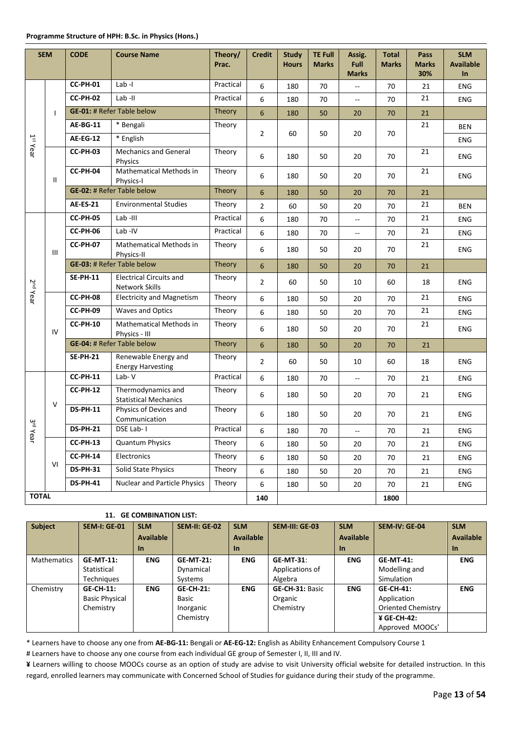| <b>SEM</b>           |    | <b>CODE</b>     | <b>Course Name</b>                                      | Theory/<br>Prac. | <b>Credit</b>    | <b>Study</b><br><b>Hours</b>     | <b>TE Full</b><br><b>Marks</b> | Assig.<br><b>Full</b><br><b>Marks</b> | <b>Total</b><br><b>Marks</b> | Pass<br><b>Marks</b><br>30% | <b>SLM</b><br><b>Available</b><br>$\ln$ |    |    |     |
|----------------------|----|-----------------|---------------------------------------------------------|------------------|------------------|----------------------------------|--------------------------------|---------------------------------------|------------------------------|-----------------------------|-----------------------------------------|----|----|-----|
|                      |    | <b>CC-PH-01</b> | Lab-I                                                   | Practical        | 6                | 180                              | 70                             | $\overline{a}$                        | 70                           | 21                          | <b>ENG</b>                              |    |    |     |
|                      |    | <b>CC-PH-02</b> | Lab-II                                                  | Practical        | 6                | 180                              | 70                             | --                                    | 70                           | 21                          | ENG                                     |    |    |     |
|                      |    |                 | <b>GE-01: # Refer Table below</b>                       | Theory           | $6\phantom{1}6$  | 180                              | 50                             | 20                                    | 70                           | 21                          |                                         |    |    |     |
|                      |    | <b>AE-BG-11</b> | * Bengali                                               | Theory           | $\overline{2}$   | 60                               | 50                             | 20                                    | 70                           | 21                          | <b>BEN</b>                              |    |    |     |
| $1st$ Year           |    | <b>AE-EG-12</b> | * English                                               |                  |                  |                                  |                                |                                       |                              |                             | <b>ENG</b>                              |    |    |     |
|                      |    | <b>CC-PH-03</b> | <b>Mechanics and General</b><br>Physics                 | Theory           | 6                | 180                              | 50                             | 20                                    | 70                           | 21                          | ENG                                     |    |    |     |
|                      | Ш  | CC-PH-04        | Mathematical Methods in<br>Physics-I                    | Theory           | 6                | 180                              | 50                             | 20                                    | 70                           | 21                          | ENG                                     |    |    |     |
|                      |    |                 | <b>GE-02: # Refer Table below</b>                       | Theory           | $6\phantom{1}6$  | 180                              | 50                             | 20                                    | 70                           | 21                          |                                         |    |    |     |
|                      |    | <b>AE-ES-21</b> | <b>Environmental Studies</b>                            | Theory           | $\overline{2}$   | 60                               | 50                             | 20                                    | 70                           | 21                          | <b>BEN</b>                              |    |    |     |
|                      |    | <b>CC-PH-05</b> | Lab-III                                                 | Practical        | 6                | 180                              | 70                             | --                                    | 70                           | 21                          | ENG                                     |    |    |     |
|                      |    | <b>CC-PH-06</b> | Lab-IV                                                  | Practical        | 6                | 180                              | 70                             | --                                    | 70                           | 21                          | ENG                                     |    |    |     |
|                      | Ш  | <b>CC-PH-07</b> | <b>Mathematical Methods in</b><br>Physics-II            | Theory           | 6                | 180                              | 50                             | 20                                    | 70                           | 21                          | <b>ENG</b>                              |    |    |     |
|                      |    |                 | <b>GE-03: # Refer Table below</b>                       | Theory           | $\boldsymbol{6}$ | 180                              | 50                             | 20                                    | 70                           | 21                          |                                         |    |    |     |
| 2 <sup>nd</sup> Year |    | <b>SE-PH-11</b> | <b>Electrical Circuits and</b><br><b>Network Skills</b> | Theory           | $\overline{2}$   | 60                               | 50                             | 10                                    | 60                           | 18                          | <b>ENG</b>                              |    |    |     |
|                      |    |                 |                                                         |                  | CC-PH-08         | <b>Electricity and Magnetism</b> | Theory                         | 6                                     | 180                          | 50                          | 20                                      | 70 | 21 | ENG |
|                      |    | CC-PH-09        | <b>Waves and Optics</b>                                 | Theory           | 6                | 180                              | 50                             | 20                                    | 70                           | 21                          | ENG                                     |    |    |     |
|                      | IV | <b>CC-PH-10</b> | Mathematical Methods in<br>Physics - III                | Theory           | 6                | 180                              | 50                             | 20                                    | 70                           | 21                          | ENG                                     |    |    |     |
|                      |    |                 | <b>GE-04: # Refer Table below</b>                       | Theory           | $6\phantom{1}6$  | 180                              | 50                             | 20                                    | 70                           | 21                          |                                         |    |    |     |
|                      |    | <b>SE-PH-21</b> | Renewable Energy and<br><b>Energy Harvesting</b>        | Theory           | $\overline{2}$   | 60                               | 50                             | 10                                    | 60                           | 18                          | <b>ENG</b>                              |    |    |     |
|                      |    | <b>CC-PH-11</b> | Lab-V                                                   | Practical        | 6                | 180                              | 70                             | Щ,                                    | 70                           | 21                          | ENG                                     |    |    |     |
|                      | V  | <b>CC-PH-12</b> | Thermodynamics and<br><b>Statistical Mechanics</b>      | Theory           | 6                | 180                              | 50                             | 20                                    | 70                           | 21                          | ENG                                     |    |    |     |
| $\frac{2}{2}$        |    | <b>DS-PH-11</b> | Physics of Devices and<br>Communication                 | Theory           | 6                | 180                              | 50                             | 20                                    | 70                           | 21                          | ENG                                     |    |    |     |
| $Y$ ear              |    | <b>DS-PH-21</b> | DSE Lab-I                                               | Practical        | 6                | 180                              | 70                             | Щ.                                    | 70                           | 21                          | <b>ENG</b>                              |    |    |     |
|                      |    | <b>CC-PH-13</b> | <b>Quantum Physics</b>                                  | Theory           | 6                | 180                              | 50                             | 20                                    | 70                           | 21                          | ENG                                     |    |    |     |
|                      | VI | <b>CC-PH-14</b> | Electronics                                             | Theory           | 6                | 180                              | 50                             | 20                                    | 70                           | 21                          | ENG                                     |    |    |     |
|                      |    | <b>DS-PH-31</b> | Solid State Physics                                     | Theory           | 6                | 180                              | 50                             | 20                                    | 70                           | 21                          | ENG                                     |    |    |     |
|                      |    | <b>DS-PH-41</b> | <b>Nuclear and Particle Physics</b>                     | Theory           | 6                | 180                              | 50                             | 20                                    | 70                           | 21                          | ENG                                     |    |    |     |
| <b>TOTAL</b>         |    |                 |                                                         |                  | 140              |                                  |                                |                                       | 1800                         |                             |                                         |    |    |     |

| <b>Subject</b>     | <b>SEM-I: GE-01</b>   | <b>SLM</b> | <b>SEM-II: GE-02</b> | <b>SLM</b>       | SEM-III: GE-03   | <b>SLM</b>       | <b>SEM-IV: GE-04</b> | <b>SLM</b>       |
|--------------------|-----------------------|------------|----------------------|------------------|------------------|------------------|----------------------|------------------|
|                    |                       | Available  |                      | <b>Available</b> |                  | <b>Available</b> |                      | <b>Available</b> |
|                    |                       | <u>In</u>  |                      | In.              |                  | <b>In</b>        |                      | <b>In</b>        |
| <b>Mathematics</b> | <b>GE-MT-11:</b>      | <b>ENG</b> | <b>GE-MT-21:</b>     | <b>ENG</b>       | <b>GE-MT-31:</b> | <b>ENG</b>       | <b>GE-MT-41:</b>     | <b>ENG</b>       |
|                    | Statistical           |            | Dynamical            |                  | Applications of  |                  | Modelling and        |                  |
|                    | Techniques            |            | Systems              |                  | Algebra          |                  | Simulation           |                  |
| Chemistry          | <b>GE-CH-11:</b>      | <b>ENG</b> | <b>GE-CH-21:</b>     | <b>ENG</b>       | GE-CH-31: Basic  | <b>ENG</b>       | <b>GE-CH-41:</b>     | <b>ENG</b>       |
|                    | <b>Basic Physical</b> |            | <b>Basic</b>         |                  | Organic          |                  | Application          |                  |
|                    | Chemistry             |            | Inorganic            |                  | Chemistry        |                  | Oriented Chemistry   |                  |
|                    |                       |            | Chemistry            |                  |                  |                  | ¥ GE-CH-42:          |                  |
|                    |                       |            |                      |                  |                  |                  | Approved MOOCs'      |                  |

\* Learners have to choose any one from **AE-BG-11:** Bengali or **AE-EG-12:** English as Ability Enhancement Compulsory Course 1

# Learners have to choose any one course from each individual GE group of Semester I, II, III and IV.

**¥** Learners willing to choose MOOCs course as an option of study are advise to visit University official website for detailed instruction. In this regard, enrolled learners may communicate with Concerned School of Studies for guidance during their study of the programme.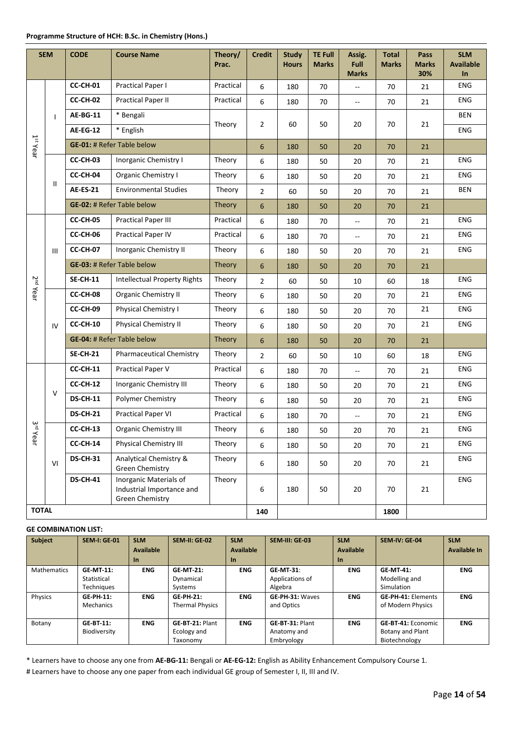#### **Programme Structure of HCH: B.Sc. in Chemistry (Hons.)**

|                      | <b>SEM</b>                                                                                       | <b>CODE</b>                            | <b>Course Name</b>                               | Theory/<br>Prac. | <b>Credit</b>  | <b>Study</b><br><b>Hours</b> | <b>TE Full</b><br><b>Marks</b> | Assig.<br>Full<br><b>Marks</b> | <b>Total</b><br><b>Marks</b> | Pass<br><b>Marks</b><br>30% | <b>SLM</b><br><b>Available</b><br>$\ln$ |
|----------------------|--------------------------------------------------------------------------------------------------|----------------------------------------|--------------------------------------------------|------------------|----------------|------------------------------|--------------------------------|--------------------------------|------------------------------|-----------------------------|-----------------------------------------|
|                      |                                                                                                  | CC-CH-01                               | Practical Paper I                                | Practical        | 6              | 180                          | 70                             | --                             | 70                           | 21                          | <b>ENG</b>                              |
|                      |                                                                                                  | CC-CH-02                               | Practical Paper II                               | Practical        | 6              | 180                          | 70                             | $\overline{\phantom{a}}$       | 70                           | 21                          | <b>ENG</b>                              |
|                      | $\mathbf{I}$                                                                                     | <b>AE-BG-11</b>                        | * Bengali                                        |                  |                |                              |                                |                                |                              |                             | BEN                                     |
|                      |                                                                                                  | <b>AE-EG-12</b>                        | * English                                        | Theory           | $\overline{2}$ | 60                           | 50                             | 20                             | 70                           | 21                          | ENG                                     |
| 1 <sup>st</sup> Year |                                                                                                  |                                        | <b>GE-01: # Refer Table below</b>                |                  | 6              | 180                          | 50                             | 20                             | 70                           | 21                          |                                         |
|                      |                                                                                                  | CC-CH-03                               | Inorganic Chemistry I                            | Theory           | 6              | 180                          | 50                             | 20                             | 70                           | 21                          | <b>ENG</b>                              |
|                      |                                                                                                  | CC-CH-04                               | Organic Chemistry I                              | Theory           | 6              | 180                          | 50                             | 20                             | 70                           | 21                          | ENG                                     |
|                      | $\mathbf{H}$                                                                                     | <b>AE-ES-21</b>                        | <b>Environmental Studies</b>                     | Theory           | $\overline{2}$ | 60                           | 50                             | 20                             | 70                           | 21                          | <b>BEN</b>                              |
|                      |                                                                                                  | <b>GE-02: # Refer Table below</b>      |                                                  | Theory           | 6              | 180                          | 50                             | 20                             | 70                           | 21                          |                                         |
|                      |                                                                                                  | CC-CH-05<br><b>Practical Paper III</b> |                                                  | Practical        | 6              | 180                          | 70                             | $\overline{a}$                 | 70                           | 21                          | <b>ENG</b>                              |
|                      |                                                                                                  | CC-CH-06<br><b>Practical Paper IV</b>  |                                                  | Practical        | 6              | 180                          | 70                             | $\overline{a}$                 | 70                           | 21                          | <b>ENG</b>                              |
|                      | III                                                                                              | CC-CH-07<br>Inorganic Chemistry II     |                                                  | Theory           | 6              | 180                          | 50                             | 20                             | 70                           | 21                          | ENG                                     |
|                      |                                                                                                  |                                        | <b>GE-03: # Refer Table below</b>                | Theory           | 6              | 180                          | 50                             | 20                             | 70                           | 21                          |                                         |
|                      |                                                                                                  | <b>SE-CH-11</b>                        | <b>Intellectual Property Rights</b>              | Theory           | $\overline{2}$ | 60                           | 50                             | $10\,$                         | 60                           | 18                          | ENG                                     |
| 2 <sup>nd</sup> Year |                                                                                                  | CC-CH-08                               | <b>Organic Chemistry II</b>                      | Theory           | 6              | 180                          | 50                             | 20                             | 70                           | 21                          | ENG                                     |
|                      |                                                                                                  | CC-CH-09                               | Physical Chemistry I                             | Theory           | 6              | 180                          | 50                             | 20                             | 70                           | 21                          | <b>ENG</b>                              |
|                      | IV                                                                                               | CC-CH-10                               | <b>Physical Chemistry II</b>                     | Theory           | 6              | 180                          | 50                             | 20                             | 70                           | 21                          | ENG                                     |
|                      |                                                                                                  |                                        | <b>GE-04: # Refer Table below</b>                | Theory           | 6              | 180                          | 50                             | 20                             | 70                           | 21                          |                                         |
|                      |                                                                                                  | <b>SE-CH-21</b>                        | <b>Pharmaceutical Chemistry</b>                  | Theory           | $\overline{2}$ | 60                           | 50                             | 10                             | 60                           | 18                          | <b>ENG</b>                              |
|                      |                                                                                                  | <b>CC-CH-11</b>                        | Practical Paper V                                | Practical        | 6              | 180                          | 70                             | --                             | 70                           | 21                          | <b>ENG</b>                              |
|                      |                                                                                                  | CC-CH-12                               | Inorganic Chemistry III                          | Theory           | 6              | 180                          | 50                             | 20                             | 70                           | 21                          | ENG                                     |
|                      | $\vee$                                                                                           | <b>DS-CH-11</b>                        | Polymer Chemistry                                | Theory           | 6              | 180                          | 50                             | 20                             | 70                           | 21                          | <b>ENG</b>                              |
|                      |                                                                                                  | <b>DS-CH-21</b>                        | <b>Practical Paper VI</b>                        | Practical        | 6              | 180                          | 70                             | Ξ.                             | 70                           | 21                          | <b>ENG</b>                              |
| ع<br>ت               |                                                                                                  | CC-CH-13                               | <b>Organic Chemistry III</b>                     | Theory           | 6              | 180                          | 50                             | 20                             | 70                           | 21                          | <b>ENG</b>                              |
| Year                 |                                                                                                  | CC-CH-14                               | Physical Chemistry III                           | Theory           | 6              | 180                          | 50                             | 20                             | 70                           | 21                          | ENG                                     |
|                      | VI                                                                                               | <b>DS-CH-31</b>                        | Analytical Chemistry &<br><b>Green Chemistry</b> | Theory           | 6              | 180                          | 50                             | 20                             | 70                           | 21                          | ENG                                     |
|                      | Inorganic Materials of<br><b>DS-CH-41</b><br>Industrial Importance and<br><b>Green Chemistry</b> |                                        | Theory                                           | 6                | 180            | 50                           | 20                             | 70                             | 21                           | ENG                         |                                         |
| <b>TOTAL</b>         |                                                                                                  |                                        |                                                  |                  | 140            |                              |                                |                                | 1800                         |                             |                                         |

#### **GE COMBINATION LIST:**

| <b>Subject</b>     | <b>SEM-I: GE-01</b> | <b>SLM</b>       | <b>SEM-II: GE-02</b>   | <b>SLM</b>       | SEM-III: GE-03   | <b>SLM</b>       | SEM-IV: GE-04             | <b>SLM</b>          |
|--------------------|---------------------|------------------|------------------------|------------------|------------------|------------------|---------------------------|---------------------|
|                    |                     | <b>Available</b> |                        | <b>Available</b> |                  | <b>Available</b> |                           | <b>Available In</b> |
|                    |                     | $\ln$            |                        | <b>In</b>        |                  | $\ln$            |                           |                     |
| <b>Mathematics</b> | <b>GE-MT-11:</b>    | <b>ENG</b>       | <b>GE-MT-21:</b>       | <b>ENG</b>       | <b>GE-MT-31:</b> | <b>ENG</b>       | <b>GE-MT-41:</b>          | <b>ENG</b>          |
|                    | Statistical         |                  | Dynamical              |                  | Applications of  |                  | Modelling and             |                     |
|                    | Techniques          |                  | Systems                |                  | Algebra          |                  | Simulation                |                     |
| Physics            | <b>GE-PH-11:</b>    | <b>ENG</b>       | <b>GE-PH-21:</b>       | <b>ENG</b>       | GE-PH-31: Waves  | <b>ENG</b>       | <b>GE-PH-41: Elements</b> | <b>ENG</b>          |
|                    | Mechanics           |                  | <b>Thermal Physics</b> |                  | and Optics       |                  | of Modern Physics         |                     |
|                    |                     |                  |                        |                  |                  |                  |                           |                     |
| Botany             | <b>GE-BT-11:</b>    | <b>ENG</b>       | GE-BT-21: Plant        | <b>ENG</b>       | GE-BT-31: Plant  | <b>ENG</b>       | <b>GE-BT-41: Economic</b> | <b>ENG</b>          |
|                    | Biodiversity        |                  | Ecology and            |                  | Anatomy and      |                  | Botany and Plant          |                     |
|                    |                     |                  | Taxonomy               |                  | Embryology       |                  | Biotechnology             |                     |

\* Learners have to choose any one from **AE-BG-11:** Bengali or **AE-EG-12:** English as Ability Enhancement Compulsory Course 1.

# Learners have to choose any one paper from each individual GE group of Semester I, II, III and IV.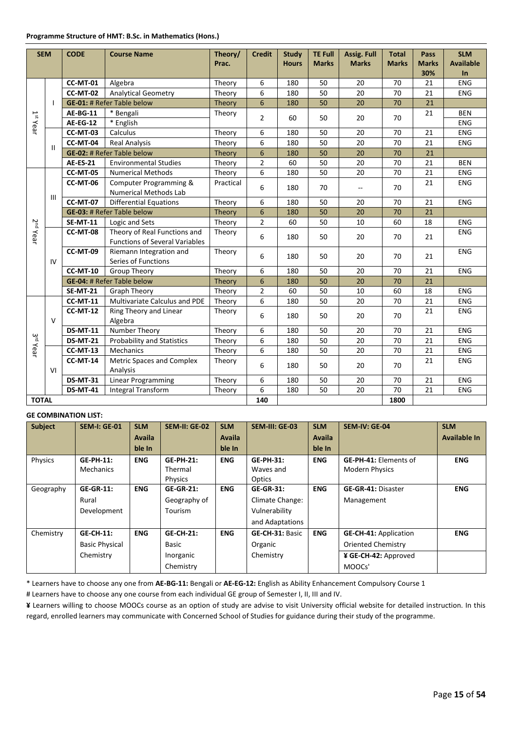| <b>SEM</b>                                   |                                                 | <b>CODE</b>                                 | <b>Course Name</b>                                                    | Theory/<br>Prac. | <b>Credit</b>  | <b>Study</b><br><b>Hours</b> | <b>TE Full</b><br><b>Marks</b> | <b>Assig. Full</b><br><b>Marks</b> | <b>Total</b><br><b>Marks</b> | Pass<br><b>Marks</b><br>30% | <b>SLM</b><br><b>Available</b><br>In |
|----------------------------------------------|-------------------------------------------------|---------------------------------------------|-----------------------------------------------------------------------|------------------|----------------|------------------------------|--------------------------------|------------------------------------|------------------------------|-----------------------------|--------------------------------------|
|                                              |                                                 | <b>CC-MT-01</b>                             | Algebra                                                               | Theory           | 6              | 180                          | 50                             | 20                                 | 70                           | 21                          | <b>ENG</b>                           |
|                                              |                                                 | <b>CC-MT-02</b>                             | <b>Analytical Geometry</b>                                            | Theory           | 6              | 180                          | 50                             | 20                                 | 70                           | 21                          | <b>ENG</b>                           |
|                                              | $\mathbf{I}$                                    |                                             | <b>GE-01: # Refer Table below</b>                                     | Theory           | 6              | 180                          | 50                             | 20                                 | 70                           | 21                          |                                      |
|                                              |                                                 | <b>AE-BG-11</b>                             | * Bengali                                                             | Theory           | $\overline{2}$ | 60                           | 50                             | 20                                 | 70                           | 21                          | <b>BEN</b>                           |
| $1st$ Year                                   |                                                 | <b>AE-EG-12</b>                             | * English                                                             |                  |                |                              |                                |                                    |                              |                             | ENG                                  |
|                                              |                                                 | <b>CC-MT-03</b>                             | Calculus                                                              | Theory           | 6              | 180                          | 50                             | 20                                 | 70                           | 21                          | <b>ENG</b>                           |
|                                              | $\mathbf{H}$                                    | CC-MT-04                                    | <b>Real Analysis</b>                                                  | Theory           | 6              | 180                          | 50                             | 20                                 | 70                           | 21                          | <b>ENG</b>                           |
|                                              |                                                 |                                             | <b>GE-02: # Refer Table below</b>                                     | Theory           | 6              | 180                          | 50                             | 20                                 | 70                           | 21                          |                                      |
|                                              | <b>Environmental Studies</b><br><b>AE-ES-21</b> |                                             | Theory                                                                | $\overline{2}$   | 60             | 50                           | 20                             | 70                                 | 21                           | <b>BEN</b>                  |                                      |
|                                              |                                                 | <b>CC-MT-05</b><br><b>Numerical Methods</b> |                                                                       | Theory           | 6              | 180                          | 50                             | 20                                 | 70                           | 21                          | ENG                                  |
|                                              |                                                 | CC-MT-06                                    | <b>Computer Programming &amp;</b><br><b>Numerical Methods Lab</b>     | Practical        | 6              | 180                          | 70                             | $\overline{a}$                     | 70                           | 21                          | <b>ENG</b>                           |
|                                              | $\mathop{\rm III}\nolimits$                     | <b>CC-MT-07</b>                             | <b>Differential Equations</b>                                         | Theory           | 6              | 180                          | 50                             | 20                                 | 70                           | 21                          | <b>ENG</b>                           |
|                                              |                                                 |                                             | <b>GE-03: # Refer Table below</b>                                     | Theory           | 6              | 180                          | 50                             | 20                                 | 70                           | 21                          |                                      |
|                                              |                                                 | <b>SE-MT-11</b>                             | Logic and Sets                                                        | Theory           | $\overline{2}$ | 60                           | 50                             | 10                                 | 60                           | 18                          | ENG                                  |
| 2 <sup>nd</sup> Year                         |                                                 | CC-MT-08                                    | Theory of Real Functions and<br><b>Functions of Several Variables</b> | Theory           | 6              | 180                          | 50                             | 20                                 | 70                           | 21                          | <b>ENG</b>                           |
|                                              | IV                                              | CC-MT-09                                    | Riemann Integration and<br>Series of Functions                        | Theory           | 6              | 180                          | 50                             | 20                                 | 70                           | 21                          | <b>ENG</b>                           |
|                                              |                                                 | <b>CC-MT-10</b>                             | <b>Group Theory</b>                                                   | Theory           | 6              | 180                          | 50                             | 20                                 | 70                           | 21                          | <b>ENG</b>                           |
|                                              |                                                 |                                             | <b>GE-04: # Refer Table below</b>                                     | Theory           | 6              | 180                          | 50                             | 20                                 | 70                           | 21                          |                                      |
|                                              |                                                 | <b>SE-MT-21</b>                             | <b>Graph Theory</b>                                                   | Theory           | $\overline{2}$ | 60                           | 50                             | 10                                 | 60                           | 18                          | <b>ENG</b>                           |
|                                              |                                                 | <b>CC-MT-11</b>                             | Multivariate Calculus and PDE                                         | Theory           | $\overline{6}$ | 180                          | 50                             | 20                                 | 70                           | 21                          | ENG                                  |
|                                              | $\vee$                                          | <b>CC-MT-12</b>                             | Ring Theory and Linear<br>Algebra                                     | Theory           | 6              | 180                          | 50                             | 20                                 | 70                           | 21                          | <b>ENG</b>                           |
|                                              |                                                 | <b>DS-MT-11</b>                             | Number Theory                                                         | Theory           | 6              | 180                          | 50                             | 20                                 | 70                           | 21                          | <b>ENG</b>                           |
| 3 <sup>rd</sup> Year                         |                                                 | <b>DS-MT-21</b>                             | <b>Probability and Statistics</b>                                     | Theory           | 6              | 180                          | 50                             | 20                                 | 70                           | 21                          | ENG                                  |
|                                              |                                                 | <b>CC-MT-13</b>                             | Mechanics                                                             | Theory           | 6              | 180                          | 50                             | 20                                 | 70                           | 21                          | <b>ENG</b>                           |
|                                              | VI                                              | <b>CC-MT-14</b>                             | <b>Metric Spaces and Complex</b><br>Analysis                          | Theory           | 6              | 180                          | 50                             | 20                                 | 70                           | 21                          | <b>ENG</b>                           |
|                                              |                                                 | <b>DS-MT-31</b>                             | <b>Linear Programming</b>                                             | Theory           | 6              | 180                          | 50                             | 20                                 | 70                           | 21                          | <b>ENG</b>                           |
| <b>DS-MT-41</b><br><b>Integral Transform</b> |                                                 | Theory                                      | 6                                                                     | 180              | 50             | 20                           | 70                             | 21                                 | <b>ENG</b>                   |                             |                                      |
| <b>TOTAL</b>                                 |                                                 |                                             |                                                                       |                  | 140            |                              |                                |                                    | 1800                         |                             |                                      |

| <b>Subject</b> | <b>SEM-I: GE-01</b>                                    | <b>SLM</b><br><b>Availa</b><br>ble In | <b>SEM-II: GE-02</b>                                | <b>SLM</b><br>Availa<br>ble In | SEM-III: GE-03                                                          | <b>SLM</b><br><b>Availa</b><br>ble In | <b>SEM-IV: GE-04</b>                                                                 | <b>SLM</b><br><b>Available In</b> |
|----------------|--------------------------------------------------------|---------------------------------------|-----------------------------------------------------|--------------------------------|-------------------------------------------------------------------------|---------------------------------------|--------------------------------------------------------------------------------------|-----------------------------------|
| Physics        | <b>GE-PH-11:</b><br>Mechanics                          | <b>ENG</b>                            | <b>GE-PH-21:</b><br>Thermal<br>Physics              | <b>ENG</b>                     | <b>GE-PH-31:</b><br>Waves and<br>Optics                                 | <b>ENG</b>                            | <b>GE-PH-41: Elements of</b><br><b>Modern Physics</b>                                | <b>ENG</b>                        |
| Geography      | <b>GE-GR-11:</b><br>Rural<br>Development               | <b>ENG</b>                            | <b>GE-GR-21:</b><br>Geography of<br>Tourism         | <b>ENG</b>                     | <b>GE-GR-31:</b><br>Climate Change:<br>Vulnerability<br>and Adaptations | <b>ENG</b>                            | <b>GE-GR-41: Disaster</b><br>Management                                              | <b>ENG</b>                        |
| Chemistry      | <b>GE-CH-11:</b><br><b>Basic Physical</b><br>Chemistry | <b>ENG</b>                            | <b>GE-CH-21:</b><br>Basic<br>Inorganic<br>Chemistry | <b>ENG</b>                     | GE-CH-31: Basic<br>Organic<br>Chemistry                                 | <b>ENG</b>                            | <b>GE-CH-41: Application</b><br>Oriented Chemistry<br>¥ GE-CH-42: Approved<br>MOOCs' | <b>ENG</b>                        |

\* Learners have to choose any one from **AE-BG-11:** Bengali or **AE-EG-12:** English as Ability Enhancement Compulsory Course 1

# Learners have to choose any one course from each individual GE group of Semester I, II, III and IV.

**¥** Learners willing to choose MOOCs course as an option of study are advise to visit University official website for detailed instruction. In this regard, enrolled learners may communicate with Concerned School of Studies for guidance during their study of the programme.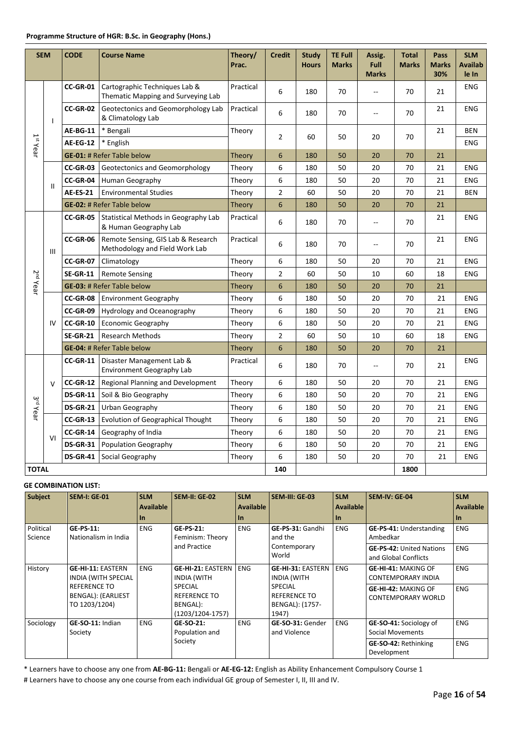| <b>SEM</b>           |                                                                 | <b>CODE</b>                                       | <b>Course Name</b>                                                   | Theory/<br>Prac. | <b>Credit</b>  | <b>Study</b><br><b>Hours</b> | <b>TE Full</b><br><b>Marks</b> | Assig.<br><b>Full</b><br><b>Marks</b> | <b>Total</b><br><b>Marks</b> | Pass<br><b>Marks</b><br>30% | <b>SLM</b><br><b>Availab</b><br>le In |
|----------------------|-----------------------------------------------------------------|---------------------------------------------------|----------------------------------------------------------------------|------------------|----------------|------------------------------|--------------------------------|---------------------------------------|------------------------------|-----------------------------|---------------------------------------|
|                      |                                                                 | CC-GR-01                                          | Cartographic Techniques Lab &<br>Thematic Mapping and Surveying Lab  | Practical        | 6              | 180                          | 70                             | --                                    | 70                           | 21                          | <b>ENG</b>                            |
|                      | $\mathbf{I}$                                                    | CC-GR-02                                          | Geotectonics and Geomorphology Lab<br>& Climatology Lab              | Practical        | 6              | 180                          | 70                             | $\overline{\phantom{a}}$              | 70                           | 21                          | <b>ENG</b>                            |
|                      |                                                                 | <b>AE-BG-11</b>                                   | * Bengali                                                            | Theory           | $\overline{2}$ | 60                           | 50                             | 20                                    | 70                           | 21                          | <b>BEN</b>                            |
| $1st$ Year           |                                                                 | <b>AE-EG-12</b>                                   | * English                                                            |                  |                |                              |                                |                                       |                              |                             | <b>ENG</b>                            |
|                      |                                                                 |                                                   | <b>GE-01: # Refer Table below</b>                                    | Theory           | 6              | 180                          | 50                             | 20                                    | 70                           | 21                          |                                       |
|                      |                                                                 | <b>CC-GR-03</b><br>Geotectonics and Geomorphology |                                                                      | Theory           | 6              | 180                          | 50                             | 20                                    | 70                           | 21                          | <b>ENG</b>                            |
|                      |                                                                 | CC-GR-04                                          | Human Geography                                                      | Theory           | 6              | 180                          | 50                             | 20                                    | 70                           | 21                          | <b>ENG</b>                            |
|                      | $\mathbf{H}$<br><b>AE-ES-21</b><br><b>Environmental Studies</b> |                                                   |                                                                      | Theory           | $\overline{2}$ | 60                           | 50                             | 20                                    | 70                           | 21                          | <b>BEN</b>                            |
|                      |                                                                 |                                                   | <b>GE-02: # Refer Table below</b>                                    | Theory           | 6              | 180                          | 50                             | 20                                    | 70                           | 21                          |                                       |
|                      |                                                                 | <b>CC-GR-05</b>                                   | Practical                                                            | 6                | 180            | 70                           | $\overline{\phantom{a}}$       | 70                                    | 21                           | <b>ENG</b>                  |                                       |
|                      | $\mathbf{III}$                                                  | CC-GR-06                                          | Remote Sensing, GIS Lab & Research<br>Methodology and Field Work Lab | Practical        | 6              | 180                          | 70                             | $\overline{a}$                        | 70                           | 21                          | <b>ENG</b>                            |
|                      |                                                                 | <b>CC-GR-07</b>                                   | Climatology                                                          | Theory           | 6              | 180                          | 50                             | 20                                    | 70                           | 21                          | <b>ENG</b>                            |
|                      |                                                                 | <b>SE-GR-11</b>                                   | <b>Remote Sensing</b>                                                | Theory           | $\overline{2}$ | 60                           | 50                             | 10                                    | 60                           | 18                          | <b>ENG</b>                            |
| 2 <sup>nd</sup> Year |                                                                 |                                                   | <b>GE-03: # Refer Table below</b>                                    | Theory           | 6              | 180                          | 50                             | 20                                    | 70                           | 21                          |                                       |
|                      |                                                                 | CC-GR-08                                          | <b>Environment Geography</b>                                         | Theory           | 6              | 180                          | 50                             | 20                                    | 70                           | 21                          | <b>ENG</b>                            |
|                      |                                                                 | CC-GR-09                                          | Hydrology and Oceanography                                           | Theory           | 6              | 180                          | 50                             | 20                                    | 70                           | 21                          | <b>ENG</b>                            |
|                      | IV                                                              | <b>CC-GR-10</b>                                   | <b>Economic Geography</b>                                            | Theory           | 6              | 180                          | 50                             | 20                                    | 70                           | 21                          | <b>ENG</b>                            |
|                      |                                                                 | <b>SE-GR-21</b>                                   | <b>Research Methods</b>                                              | Theory           | $\overline{2}$ | 60                           | 50                             | 10                                    | 60                           | 18                          | <b>ENG</b>                            |
|                      |                                                                 |                                                   | <b>GE-04: # Refer Table below</b>                                    | <b>Theory</b>    | 6              | 180                          | 50                             | 20                                    | 70                           | 21                          |                                       |
|                      |                                                                 | $CC-GR-11$                                        | Disaster Management Lab &<br><b>Environment Geography Lab</b>        | Practical        | 6              | 180                          | 70                             | $\overline{a}$                        | 70                           | 21                          | <b>ENG</b>                            |
|                      | $\vee$                                                          | <b>CC-GR-12</b>                                   | <b>Regional Planning and Development</b>                             | Theory           | 6              | 180                          | 50                             | 20                                    | 70                           | 21                          | <b>ENG</b>                            |
|                      |                                                                 | <b>DS-GR-11</b>                                   | Soil & Bio Geography                                                 | Theory           | 6              | 180                          | 50                             | 20                                    | 70                           | 21                          | <b>ENG</b>                            |
| 3 <sup>rd</sup> Year |                                                                 | <b>DS-GR-21</b>                                   | Urban Geography                                                      | Theory           | 6              | 180                          | 50                             | 20                                    | 70                           | 21                          | <b>ENG</b>                            |
|                      |                                                                 | $CC-GR-13$                                        | <b>Evolution of Geographical Thought</b>                             | Theory           | 6              | 180                          | 50                             | 20                                    | 70                           | 21                          | <b>ENG</b>                            |
|                      |                                                                 | <b>CC-GR-14</b>                                   | Geography of India                                                   | Theory           | 6              | 180                          | 50                             | 20                                    | 70                           | 21                          | <b>ENG</b>                            |
|                      | VI<br><b>DS-GR-31</b><br><b>Population Geography</b>            |                                                   | Theory                                                               | 6                | 180            | 50                           | 20                             | 70                                    | 21                           | <b>ENG</b>                  |                                       |
|                      | <b>DS-GR-41</b><br>Social Geography                             |                                                   | Theory                                                               | 6                | 180            | 50                           | 20                             | 70                                    | 21                           | <b>ENG</b>                  |                                       |
| <b>TOTAL</b>         |                                                                 |                                                   |                                                                      |                  | 140            |                              |                                |                                       | 1800                         |                             |                                       |

| <b>Subject</b>       | <b>SEM-I: GE-01</b>                                        | <b>SLM</b><br><b>Available</b><br><b>In</b> | <b>SEM-II: GE-02</b>                                                  | <b>SLM</b><br><b>Available</b><br>l In | SEM-III: GE-03                                                    | <b>SLM</b><br><b>Available</b><br>$\ln$ | <b>SEM-IV: GE-04</b>                                    | <b>SLM</b><br><b>Available</b><br>$\ln$ |
|----------------------|------------------------------------------------------------|---------------------------------------------|-----------------------------------------------------------------------|----------------------------------------|-------------------------------------------------------------------|-----------------------------------------|---------------------------------------------------------|-----------------------------------------|
| Political<br>Science | <b>GE-PS-11:</b><br>Nationalism in India                   | <b>ENG</b>                                  | <b>GE-PS-21:</b><br>Feminism: Theory                                  | <b>ENG</b>                             | GE-PS-31: Gandhi<br>and the                                       | <b>ENG</b>                              | GE-PS-41: Understanding<br>Ambedkar                     | <b>ENG</b>                              |
|                      |                                                            |                                             | and Practice                                                          |                                        | Contemporary<br>World                                             |                                         | <b>GE-PS-42: United Nations</b><br>and Global Conflicts | <b>ENG</b>                              |
| History              | <b>GE-HI-11: EASTERN</b><br><b>INDIA (WITH SPECIAL</b>     | <b>ENG</b>                                  | <b>GE-HI-21: EASTERN</b><br><b>INDIA (WITH</b>                        | <b>ENG</b>                             | <b>GE-HI-31: EASTERN</b><br>INDIA (WITH                           | <b>ENG</b>                              | <b>GE-HI-41: MAKING OF</b><br><b>CONTEMPORARY INDIA</b> | <b>ENG</b>                              |
|                      | <b>REFERENCE TO</b><br>BENGAL): (EARLIEST<br>TO 1203/1204) |                                             | <b>SPECIAL</b><br><b>REFERENCE TO</b><br>BENGAL):<br>(1203/1204-1757) |                                        | <b>SPECIAL</b><br><b>REFERENCE TO</b><br>BENGAL): (1757-<br>1947) |                                         | GE-HI-42: MAKING OF<br><b>CONTEMPORARY WORLD</b>        | <b>ENG</b>                              |
| Sociology            | GE-SO-11: Indian<br>Society                                | <b>ENG</b>                                  | GE-SO-21:<br>Population and                                           | <b>ENG</b>                             | GE-SO-31: Gender<br>and Violence                                  | <b>ENG</b>                              | GE-SO-41: Sociology of<br><b>Social Movements</b>       | <b>ENG</b>                              |
|                      |                                                            |                                             | Society                                                               |                                        |                                                                   |                                         | <b>GE-SO-42: Rethinking</b><br>Development              | <b>ENG</b>                              |

\* Learners have to choose any one from **AE-BG-11:** Bengali or **AE-EG-12:** English as Ability Enhancement Compulsory Course 1 # Learners have to choose any one course from each individual GE group of Semester I, II, III and IV.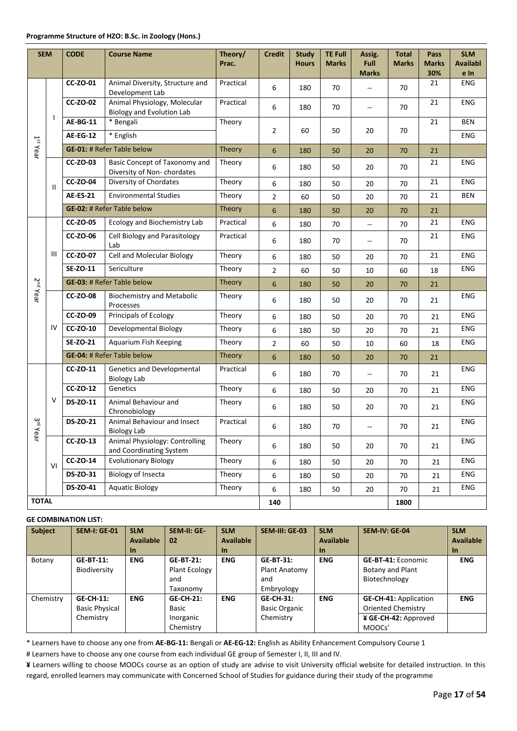| <b>SEM</b>             |                                                | <b>CODE</b>                                             | <b>Course Name</b>                                          | Theory/<br>Prac. | <b>Credit</b>  | <b>Study</b><br><b>Hours</b> | <b>TE Full</b><br><b>Marks</b> | Assig.<br><b>Full</b>    | <b>Total</b><br><b>Marks</b> | Pass<br><b>Marks</b> | <b>SLM</b><br><b>Availabl</b> |
|------------------------|------------------------------------------------|---------------------------------------------------------|-------------------------------------------------------------|------------------|----------------|------------------------------|--------------------------------|--------------------------|------------------------------|----------------------|-------------------------------|
|                        |                                                | <b>CC-ZO-01</b>                                         |                                                             | Practical        |                |                              |                                | <b>Marks</b>             |                              | 30%                  | e In<br><b>ENG</b>            |
|                        |                                                |                                                         | Animal Diversity, Structure and<br>Development Lab          |                  | 6              | 180                          | 70                             | Ξ.                       | 70                           | 21                   |                               |
|                        |                                                | CC-ZO-02                                                | Animal Physiology, Molecular                                | Practical        | 6              | 180                          | 70                             | $\overline{a}$           | 70                           | 21                   | ENG                           |
|                        | $\mathbf{I}$                                   |                                                         | <b>Biology and Evolution Lab</b>                            |                  |                |                              |                                |                          |                              |                      |                               |
|                        |                                                | <b>AE-BG-11</b>                                         | * Bengali                                                   | Theory           | $\overline{2}$ | 60                           | 50                             | 20                       | 70                           | 21                   | <b>BEN</b>                    |
|                        |                                                | <b>AE-EG-12</b>                                         | * English                                                   |                  |                |                              |                                |                          |                              |                      | <b>ENG</b>                    |
| 1 <sup>st</sup> Year   |                                                |                                                         | <b>GE-01: # Refer Table below</b>                           | Theory           | 6              | 180                          | 50                             | 20                       | 70                           | 21                   |                               |
|                        |                                                | CC-ZO-03                                                | Basic Concept of Taxonomy and<br>Diversity of Non-chordates | Theory           | 6              | 180                          | 50                             | 20                       | 70                           | 21                   | <b>ENG</b>                    |
|                        | <b>CC-ZO-04</b><br>Diversity of Chordates<br>Ш |                                                         | Theory                                                      | 6                | 180            | 50                           | 20                             | 70                       | 21                           | <b>ENG</b>           |                               |
|                        |                                                | <b>Environmental Studies</b><br><b>AE-ES-21</b>         |                                                             | Theory           | 2              | 60                           | 50                             | 20                       | 70                           | 21                   | <b>BEN</b>                    |
|                        |                                                |                                                         | <b>GE-02: # Refer Table below</b>                           | Theory           | 6              | 180                          | 50                             | 20                       | 70                           | 21                   |                               |
|                        |                                                | <b>CC-ZO-05</b><br><b>Ecology and Biochemistry Lab</b>  |                                                             | Practical        | 6              | 180                          | 70                             | --                       | 70                           | 21                   | <b>ENG</b>                    |
|                        |                                                | <b>CC-ZO-06</b><br>Cell Biology and Parasitology<br>Lab |                                                             | Practical        | 6              | 180                          | 70                             | $\overline{\phantom{a}}$ | 70                           | 21                   | <b>ENG</b>                    |
|                        | Ш                                              | $CC-ZO-07$                                              | <b>Cell and Molecular Biology</b>                           | Theory           | 6              | 180                          | 50                             | 20                       | 70                           | 21                   | <b>ENG</b>                    |
|                        |                                                | SE-ZO-11                                                | Sericulture                                                 | Theory           | $\overline{2}$ | 60                           | 50                             | 10                       | 60                           | 18                   | ENG                           |
|                        |                                                |                                                         | <b>GE-03: # Refer Table below</b>                           | Theory           | 6              | 180                          | 50                             | 20                       | 70                           | 21                   |                               |
| 2 <sup>nd</sup> Year   |                                                | <b>CC-ZO-08</b>                                         | <b>Biochemistry and Metabolic</b><br>Processes              | Theory           | 6              | 180                          | 50                             | 20                       | 70                           | 21                   | ENG                           |
|                        |                                                | CC-ZO-09                                                | <b>Principals of Ecology</b>                                | Theory           | 6              | 180                          | 50                             | 20                       | 70                           | 21                   | <b>ENG</b>                    |
|                        | IV                                             | <b>CC-ZO-10</b>                                         | Developmental Biology                                       | Theory           | 6              | 180                          | 50                             | 20                       | 70                           | 21                   | ENG                           |
|                        |                                                | SE-ZO-21                                                | Aquarium Fish Keeping                                       | Theory           | $\overline{2}$ | 60                           | 50                             | 10                       | 60                           | 18                   | <b>ENG</b>                    |
|                        |                                                |                                                         | <b>GE-04: # Refer Table below</b>                           | Theory           | 6              | 180                          | 50                             | 20                       | 70                           | 21                   |                               |
|                        |                                                | <b>CC-ZO-11</b>                                         | <b>Genetics and Developmental</b><br><b>Biology Lab</b>     | Practical        | 6              | 180                          | 70                             | $-$                      | 70                           | 21                   | ENG                           |
|                        |                                                | <b>CC-ZO-12</b>                                         | Genetics                                                    | Theory           | 6              | 180                          | 50                             | 20                       | 70                           | 21                   | <b>ENG</b>                    |
|                        | v                                              | DS-ZO-11                                                | Animal Behaviour and<br>Chronobiology                       | Theory           | 6              | 180                          | 50                             | 20                       | 70                           | 21                   | <b>ENG</b>                    |
| $\frac{2}{5}$<br>'Year |                                                | DS-ZO-21                                                | Animal Behaviour and Insect<br><b>Biology Lab</b>           | Practical        | 6              | 180                          | 70                             | --                       | 70                           | 21                   | ENG                           |
|                        |                                                | CC-ZO-13                                                | Animal Physiology: Controlling<br>and Coordinating System   | Theory           | 6              | 180                          | 50                             | 20                       | 70                           | 21                   | ENG                           |
|                        | VI                                             | $CC-ZO-14$                                              | <b>Evolutionary Biology</b>                                 | Theory           | 6              | 180                          | 50                             | 20                       | 70                           | 21                   | ENG                           |
|                        |                                                | DS-ZO-31                                                | <b>Biology of Insecta</b>                                   | Theory           | 6              | 180                          | 50                             | 20                       | 70                           | 21                   | ENG                           |
|                        |                                                | DS-ZO-41                                                | <b>Aquatic Biology</b>                                      | Theory           | 6              | 180                          | 50                             | 20                       | 70                           | 21                   | ENG                           |
| <b>TOTAL</b>           |                                                |                                                         |                                                             |                  | 140            |                              |                                |                          | 1800                         |                      |                               |

| <b>Subject</b> | <b>SEM-I: GE-01</b>                                    | <b>SLM</b><br><b>Available</b><br><u>In</u> | SEM-II: GE-<br>02                                          | <b>SLM</b><br><b>Available</b><br><u>In</u> | SEM-III: GE-03                                         | <b>SLM</b><br>Available<br><u>In</u> | <b>SEM-IV: GE-04</b>                                                                 | <b>SLM</b><br><b>Available</b><br><b>In</b> |
|----------------|--------------------------------------------------------|---------------------------------------------|------------------------------------------------------------|---------------------------------------------|--------------------------------------------------------|--------------------------------------|--------------------------------------------------------------------------------------|---------------------------------------------|
| Botany         | <b>GE-BT-11:</b><br>Biodiversity                       | <b>ENG</b>                                  | <b>GE-BT-21:</b><br>Plant Ecology<br>and<br>Taxonomy       | <b>ENG</b>                                  | <b>GE-BT-31:</b><br>Plant Anatomy<br>and<br>Embryology | <b>ENG</b>                           | <b>GE-BT-41: Economic</b><br>Botany and Plant<br>Biotechnology                       | <b>ENG</b>                                  |
| Chemistry      | <b>GE-CH-11:</b><br><b>Basic Physical</b><br>Chemistry | <b>ENG</b>                                  | <b>GE-CH-21:</b><br><b>Basic</b><br>Inorganic<br>Chemistry | <b>ENG</b>                                  | <b>GE-CH-31:</b><br><b>Basic Organic</b><br>Chemistry  | <b>ENG</b>                           | <b>GE-CH-41: Application</b><br>Oriented Chemistry<br>¥ GE-CH-42: Approved<br>MOOCs' | <b>ENG</b>                                  |

\* Learners have to choose any one from **AE-BG-11:** Bengali or **AE-EG-12:** English as Ability Enhancement Compulsory Course 1

# Learners have to choose any one course from each individual GE group of Semester I, II, III and IV.

**¥** Learners willing to choose MOOCs course as an option of study are advise to visit University official website for detailed instruction. In this regard, enrolled learners may communicate with Concerned School of Studies for guidance during their study of the programme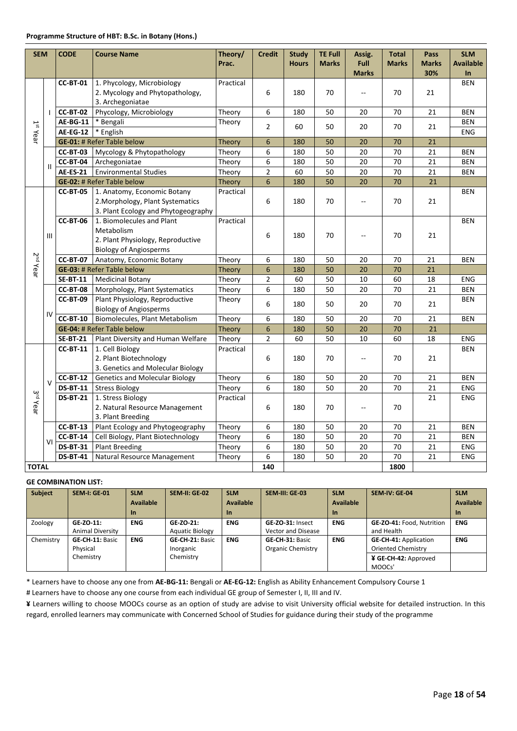| <b>SEM</b>           |                             | <b>CODE</b>                       | <b>Course Name</b>                                                                                            | Theory/<br>Prac. | <b>Credit</b>  | <b>Study</b><br><b>Hours</b> | <b>TE Full</b><br><b>Marks</b> | Assig.<br><b>Full</b><br><b>Marks</b> | <b>Total</b><br><b>Marks</b> | Pass<br><b>Marks</b><br>30% | <b>SLM</b><br><b>Available</b><br>$\ln$ |
|----------------------|-----------------------------|-----------------------------------|---------------------------------------------------------------------------------------------------------------|------------------|----------------|------------------------------|--------------------------------|---------------------------------------|------------------------------|-----------------------------|-----------------------------------------|
|                      |                             | <b>CC-BT-01</b>                   | 1. Phycology, Microbiology<br>2. Mycology and Phytopathology,<br>3. Archegoniatae                             | Practical        | 6              | 180                          | 70                             |                                       | 70                           | 21                          | <b>BEN</b>                              |
|                      |                             | <b>CC-BT-02</b>                   | Phycology, Microbiology                                                                                       | Theory           | 6              | 180                          | 50                             | 20                                    | 70                           | 21                          | <b>BEN</b>                              |
|                      |                             | <b>AE-BG-11</b>                   | * Bengali                                                                                                     | Theory           | $\overline{2}$ | 60                           | 50                             | 20                                    | 70                           | 21                          | <b>BEN</b>                              |
| $1st$ Year           |                             | <b>AE-EG-12</b>                   | * English                                                                                                     |                  |                |                              |                                |                                       |                              |                             | <b>ENG</b>                              |
|                      |                             |                                   | <b>GE-01: # Refer Table below</b>                                                                             | <b>Theory</b>    | 6              | 180                          | 50                             | 20                                    | 70                           | 21                          |                                         |
|                      |                             | <b>CC-BT-03</b>                   | Mycology & Phytopathology                                                                                     | Theory           | 6              | 180                          | 50                             | 20                                    | 70                           | 21                          | <b>BEN</b>                              |
|                      | $\mathbf{II}$               | <b>CC-BT-04</b>                   | Archegoniatae                                                                                                 | Theory           | 6              | 180                          | 50                             | 20                                    | 70                           | 21                          | <b>BEN</b>                              |
|                      |                             | <b>AE-ES-21</b>                   | <b>Environmental Studies</b>                                                                                  | Theory           | $\overline{2}$ | 60                           | 50                             | 20                                    | 70                           | 21                          | <b>BEN</b>                              |
|                      |                             | <b>GE-02: # Refer Table below</b> |                                                                                                               | <b>Theory</b>    | $6\phantom{1}$ | 180                          | 50                             | 20                                    | 70                           | 21                          |                                         |
|                      |                             | <b>CC-BT-05</b>                   | 1. Anatomy, Economic Botany<br>2. Morphology, Plant Systematics<br>3. Plant Ecology and Phytogeography        | Practical        | 6              | 180                          | 70                             | --                                    | 70                           | 21                          | <b>BEN</b>                              |
|                      | $\mathop{\rm III}\nolimits$ | <b>CC-BT-06</b>                   | 1. Biomolecules and Plant<br>Metabolism<br>2. Plant Physiology, Reproductive<br><b>Biology of Angiosperms</b> | Practical        | 6              | 180                          | 70                             | Ξ.                                    | 70                           | 21                          | <b>BEN</b>                              |
| 2 <sup>nd</sup> Year |                             | <b>CC-BT-07</b>                   | Anatomy, Economic Botany                                                                                      | Theory           | 6              | 180                          | 50                             | 20                                    | 70                           | 21                          | <b>BEN</b>                              |
|                      |                             | <b>GE-03: # Refer Table below</b> |                                                                                                               | Theory           | 6              | 180                          | 50                             | 20                                    | 70                           | 21                          |                                         |
|                      |                             | <b>SE-BT-11</b>                   | <b>Medicinal Botany</b>                                                                                       | Theory           | $\overline{2}$ | 60                           | 50                             | 10                                    | 60                           | 18                          | <b>ENG</b>                              |
|                      |                             | CC-BT-08                          | Morphology, Plant Systematics                                                                                 | Theory           | 6              | 180                          | 50                             | 20                                    | 70                           | 21                          | <b>BEN</b>                              |
|                      | IV                          | <b>CC-BT-09</b>                   | Plant Physiology, Reproductive<br><b>Biology of Angiosperms</b>                                               | Theory           | 6              | 180                          | 50                             | 20                                    | 70                           | 21                          | <b>BEN</b>                              |
|                      |                             | <b>CC-BT-10</b>                   | Biomolecules, Plant Metabolism                                                                                | Theory           | 6              | 180                          | 50                             | 20                                    | 70                           | 21                          | <b>BEN</b>                              |
|                      |                             |                                   | <b>GE-04: # Refer Table below</b>                                                                             | Theory           | 6              | 180                          | 50                             | 20                                    | 70                           | 21                          |                                         |
|                      |                             | <b>SE-BT-21</b>                   | Plant Diversity and Human Welfare                                                                             | Theory           | $\overline{2}$ | 60                           | 50                             | 10                                    | 60                           | 18                          | <b>ENG</b>                              |
|                      |                             | <b>CC-BT-11</b>                   | 1. Cell Biology<br>2. Plant Biotechnology<br>3. Genetics and Molecular Biology                                | Practical        | 6              | 180                          | 70                             | --                                    | 70                           | 21                          | <b>BEN</b>                              |
|                      | $\mathsf{V}$                | <b>CC-BT-12</b>                   | <b>Genetics and Molecular Biology</b>                                                                         | Theory           | 6              | 180                          | 50                             | 20                                    | 70                           | 21                          | <b>BEN</b>                              |
|                      |                             | <b>DS-BT-11</b>                   | <b>Stress Biology</b>                                                                                         | Theory           | 6              | 180                          | 50                             | 20                                    | 70                           | 21                          | ENG                                     |
| 3 <sup>rd</sup> Year |                             | <b>DS-BT-21</b>                   | 1. Stress Biology<br>2. Natural Resource Management<br>3. Plant Breeding                                      | Practical        | 6              | 180                          | 70                             | $\overline{a}$                        | 70                           | 21                          | <b>ENG</b>                              |
|                      |                             | <b>CC-BT-13</b>                   | Plant Ecology and Phytogeography                                                                              | Theory           | 6              | 180                          | 50                             | 20                                    | 70                           | 21                          | <b>BEN</b>                              |
|                      | VI                          | <b>CC-BT-14</b>                   | Cell Biology, Plant Biotechnology                                                                             | Theory           | 6              | 180                          | 50                             | 20                                    | 70                           | 21                          | <b>BEN</b>                              |
|                      |                             | <b>DS-BT-31</b>                   | <b>Plant Breeding</b>                                                                                         | Theory           | 6              | 180                          | 50                             | 20                                    | 70                           | 21                          | <b>ENG</b>                              |
|                      |                             | <b>DS-BT-41</b>                   | Natural Resource Management                                                                                   | Theory           | 6              | 180                          | 50                             | 20                                    | 70                           | 21                          | <b>ENG</b>                              |
|                      | <b>TOTAL</b>                |                                   | 140                                                                                                           |                  |                |                              | 1800                           |                                       |                              |                             |                                         |

| <b>Subject</b> | <b>SEM-I: GE-01</b>     | <b>SLM</b>       | <b>SEM-II: GE-02</b>   | <b>SLM</b> | SEM-III: GE-03            | <b>SLM</b>       | <b>SEM-IV: GE-04</b>         | <b>SLM</b>       |
|----------------|-------------------------|------------------|------------------------|------------|---------------------------|------------------|------------------------------|------------------|
|                |                         | <b>Available</b> |                        | Available  |                           | <b>Available</b> |                              | <b>Available</b> |
|                |                         | <b>In</b>        |                        | <b>In</b>  |                           | $\ln$            |                              | <b>In</b>        |
| Zoology        | GE-ZO-11:               | <b>ENG</b>       | GE-ZO-21:              | <b>ENG</b> | GE-ZO-31: Insect          | <b>ENG</b>       | GE-ZO-41: Food, Nutrition    | <b>ENG</b>       |
|                | <b>Animal Diversity</b> |                  | <b>Aquatic Biology</b> |            | <b>Vector and Disease</b> |                  | and Health                   |                  |
| Chemistry      | <b>GE-CH-11: Basic</b>  | <b>ENG</b>       | <b>GE-CH-21: Basic</b> | <b>ENG</b> | GE-CH-31: Basic           | <b>ENG</b>       | <b>GE-CH-41: Application</b> | <b>ENG</b>       |
|                | Physical                |                  | Inorganic              |            | Organic Chemistry         |                  | <b>Oriented Chemistry</b>    |                  |
|                | Chemistry               |                  | Chemistry              |            |                           |                  | ¥ GE-CH-42: Approved         |                  |
|                |                         |                  |                        |            |                           |                  | MOOCs'                       |                  |

\* Learners have to choose any one from **AE-BG-11:** Bengali or **AE-EG-12:** English as Ability Enhancement Compulsory Course 1

# Learners have to choose any one course from each individual GE group of Semester I, II, III and IV.

**¥** Learners willing to choose MOOCs course as an option of study are advise to visit University official website for detailed instruction. In this regard, enrolled learners may communicate with Concerned School of Studies for guidance during their study of the programme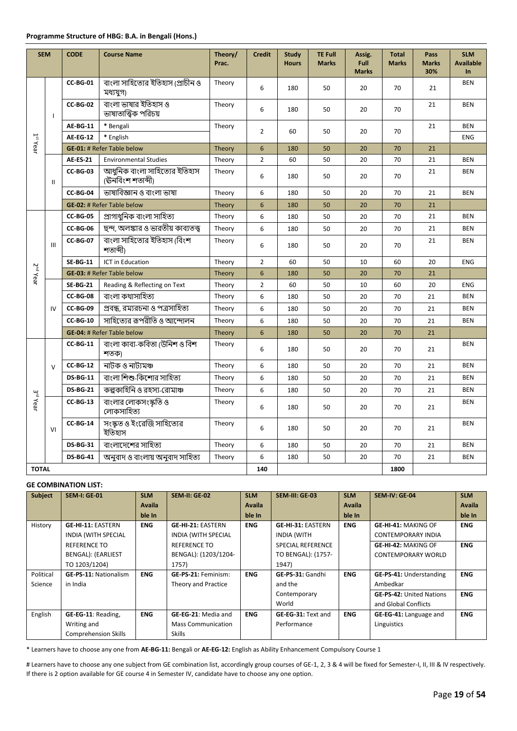| <b>SEM</b>           |                                                    | <b>CODE</b>                                     | <b>Course Name</b>                                | Theory/<br>Prac. | <b>Credit</b>  | <b>Study</b><br><b>Hours</b> | <b>TE Full</b><br><b>Marks</b> | Assig.<br>Full<br><b>Marks</b> | <b>Total</b><br><b>Marks</b> | Pass<br><b>Marks</b><br>30% | <b>SLM</b><br><b>Available</b><br><b>In</b> |
|----------------------|----------------------------------------------------|-------------------------------------------------|---------------------------------------------------|------------------|----------------|------------------------------|--------------------------------|--------------------------------|------------------------------|-----------------------------|---------------------------------------------|
|                      |                                                    | <b>CC-BG-01</b>                                 | বাংলা সাহিত্যের ইতিহাস (প্রাচীন ও<br>মধ্যযুগ)     | Theory           | 6              | 180                          | 50                             | 20                             | 70                           | 21                          | <b>BEN</b>                                  |
|                      | $\mathbf{I}$                                       | CC-BG-02                                        | বাংলা ভাষার ইতিহাস ও<br>ভাষাতাত্ত্বিক পরিচয়      | Theory           | 6              | 180                          | 50                             | 20                             | 70                           | 21                          | <b>BEN</b>                                  |
|                      |                                                    | <b>AE-BG-11</b>                                 | * Bengali                                         | Theory           | $\overline{2}$ | 60                           | 50                             | 20                             | 70                           | 21                          | <b>BEN</b>                                  |
| $1st$ Year           |                                                    | <b>AE-EG-12</b>                                 | * English                                         |                  |                |                              |                                |                                |                              |                             | <b>ENG</b>                                  |
|                      |                                                    |                                                 | <b>GE-01: # Refer Table below</b>                 | Theory           | $6\phantom{a}$ | 180                          | 50                             | 20                             | 70                           | 21                          |                                             |
|                      |                                                    | <b>AE-ES-21</b><br><b>Environmental Studies</b> |                                                   | Theory           | $\overline{2}$ | 60                           | 50                             | 20                             | 70                           | 21                          | <b>BEN</b>                                  |
|                      | $\mathbf{II}$                                      | CC-BG-03                                        | আধুনিক বাংলা সাহিত্যের ইতিহাস<br>(ঊনবিংশ শতাব্দী) | Theory           | 6              | 180                          | 50                             | 20                             | 70                           | 21                          | <b>BEN</b>                                  |
|                      |                                                    | CC-BG-04<br>ভাষাবিজ্ঞান ও বাংলা ভাষা            |                                                   | Theory           | 6              | 180                          | 50                             | 20                             | 70                           | 21                          | <b>BEN</b>                                  |
|                      |                                                    |                                                 | <b>GE-02: # Refer Table below</b>                 | <b>Theory</b>    | 6              | 180                          | 50                             | 20                             | 70                           | 21                          |                                             |
|                      |                                                    | <b>CC-BG-05</b>                                 | প্ৰাগাধুনিক বাংলা সাহিত্য                         | Theory           | 6              | 180                          | 50                             | 20                             | 70                           | 21                          | <b>BEN</b>                                  |
|                      |                                                    | CC-BG-06                                        | ছন্দ, অলঙ্কার ও ভারতীয় কাব্যতত্ত্ব               | Theory           | 6              | 180                          | 50                             | 20                             | 70                           | 21                          | <b>BEN</b>                                  |
|                      | III                                                | <b>CC-BG-07</b>                                 | বাংলা সাহিত্যের ইতিহাস (বিংশ<br>শতাব্দী)          | Theory           | 6              | 180                          | 50                             | 20                             | 70                           | 21                          | <b>BEN</b>                                  |
|                      |                                                    | <b>SE-BG-11</b>                                 | <b>ICT in Education</b>                           | Theory           | $\overline{2}$ | 60                           | 50                             | 10                             | 60                           | 20                          | <b>ENG</b>                                  |
| 2 <sup>nd</sup> Year |                                                    |                                                 | <b>GE-03: # Refer Table below</b>                 | Theory           | 6              | 180                          | 50                             | 20                             | 70                           | 21                          |                                             |
|                      |                                                    | <b>SE-BG-21</b>                                 | Reading & Reflecting on Text                      | Theory           | $\overline{2}$ | 60                           | 50                             | 10                             | 60                           | 20                          | <b>ENG</b>                                  |
|                      |                                                    | CC-BG-08                                        | বাংলা কথাসাহিত্য                                  | Theory           | 6              | 180                          | 50                             | 20                             | 70                           | 21                          | <b>BEN</b>                                  |
|                      | IV                                                 | CC-BG-09                                        | প্ৰবন্ধ, রম্যরচনা ও পত্রসাহিত্য                   | Theory           | 6              | 180                          | 50                             | 20                             | 70                           | 21                          | <b>BEN</b>                                  |
|                      |                                                    | CC-BG-10                                        | সাহিত্যের রূপরীতি ও আন্দোলন                       | Theory           | 6              | 180                          | 50                             | 20                             | 70                           | 21                          | <b>BEN</b>                                  |
|                      |                                                    |                                                 | <b>GE-04: # Refer Table below</b>                 | Theory           | $6\phantom{a}$ | 180                          | 50                             | 20                             | 70                           | 21                          |                                             |
|                      |                                                    | <b>CC-BG-11</b>                                 | বাংলা কাব্য-কবিতা (উনিশ ও বিশ<br>শতক৷             | Theory           | 6              | 180                          | 50                             | 20                             | 70                           | 21                          | <b>BEN</b>                                  |
|                      | $\vee$                                             | $CC-BG-12$                                      | নাটক ও নাট্যমঞ্চ                                  | Theory           | 6              | 180                          | 50                             | 20                             | 70                           | 21                          | <b>BEN</b>                                  |
|                      |                                                    | <b>DS-BG-11</b>                                 | বাংলা শিশু-কিশোর সাহিত্য                          | Theory           | 6              | 180                          | 50                             | 20                             | 70                           | 21                          | <b>BEN</b>                                  |
|                      |                                                    | <b>DS-BG-21</b>                                 | কল্পকাহিনি ও রহস্য-রোমাঞ্চ                        | Theory           | 6              | 180                          | 50                             | 20                             | 70                           | 21                          | <b>BEN</b>                                  |
| 3 <sup>rd</sup> Year |                                                    | CC-BG-13                                        | বাংলার লোকসংস্কৃতি ও<br>লোকসাহিত্য                | Theory           | 6              | 180                          | 50                             | 20                             | 70                           | 21                          | <b>BEN</b>                                  |
|                      | VI                                                 | CC-BG-14                                        | সংস্কৃত ও ইংরেজি সাহিত্যের<br>ইতিহাস              | Theory           | 6              | 180                          | 50                             | 20                             | 70                           | 21                          | <b>BEN</b>                                  |
|                      |                                                    | <b>DS-BG-31</b>                                 | বাংলাদেশের সাহিত্য                                | Theory           | 6              | 180                          | 50                             | 20                             | 70                           | 21                          | <b>BEN</b>                                  |
|                      | <b>DS-BG-41</b><br>অনুবাদ ও বাংলায় অনুবাদ সাহিত্য |                                                 | Theory                                            | 6                | 180            | 50                           | 20                             | 70                             | 21                           | <b>BEN</b>                  |                                             |
| <b>TOTAL</b>         |                                                    |                                                 |                                                   | 140              |                |                              |                                | 1800                           |                              |                             |                                             |

| <b>Subject</b> | <b>SEM-I: GE-01</b>          | <b>SLM</b>    | <b>SEM-II: GE-02</b>      | <b>SLM</b>    | SEM-III: GE-03           | <b>SLM</b>    | <b>SEM-IV: GE-04</b>            | <b>SLM</b>    |
|----------------|------------------------------|---------------|---------------------------|---------------|--------------------------|---------------|---------------------------------|---------------|
|                |                              | <b>Availa</b> |                           | <b>Availa</b> |                          | <b>Availa</b> |                                 | <b>Availa</b> |
|                |                              | ble In        |                           | ble In        |                          | ble In        |                                 | ble In        |
| History        | <b>GE-HI-11: EASTERN</b>     | <b>ENG</b>    | <b>GE-HI-21: EASTERN</b>  | <b>ENG</b>    | <b>GE-HI-31: EASTERN</b> | <b>ENG</b>    | <b>GE-HI-41: MAKING OF</b>      | <b>ENG</b>    |
|                | INDIA (WITH SPECIAL          |               | INDIA (WITH SPECIAL       |               | <b>INDIA (WITH</b>       |               | CONTEMPORARY INDIA              |               |
|                | <b>REFERENCE TO</b>          |               | <b>REFERENCE TO</b>       |               | <b>SPECIAL REFERENCE</b> |               | <b>GE-HI-42: MAKING OF</b>      | <b>ENG</b>    |
|                | <b>BENGAL): (EARLIEST</b>    |               | BENGAL): (1203/1204-      |               | TO BENGAL): (1757-       |               | <b>CONTEMPORARY WORLD</b>       |               |
|                | TO 1203/1204)                |               | 1757)                     |               | 1947)                    |               |                                 |               |
| Political      | <b>GE-PS-11: Nationalism</b> | <b>ENG</b>    | GE-PS-21: Feminism:       | <b>ENG</b>    | GE-PS-31: Gandhi         | <b>ENG</b>    | GE-PS-41: Understanding         | <b>ENG</b>    |
| Science        | in India                     |               | Theory and Practice       |               | and the                  |               | Ambedkar                        |               |
|                |                              |               |                           |               | Contemporary             |               | <b>GE-PS-42: United Nations</b> | <b>ENG</b>    |
|                |                              |               |                           |               | World                    |               | and Global Conflicts            |               |
| English        | GE-EG-11: Reading,           | <b>ENG</b>    | GE-EG-21: Media and       | <b>ENG</b>    | GE-EG-31: Text and       | <b>ENG</b>    | GE-EG-41: Language and          | <b>ENG</b>    |
|                | Writing and                  |               | <b>Mass Communication</b> |               | Performance              |               | Linguistics                     |               |
|                | <b>Comprehension Skills</b>  |               | <b>Skills</b>             |               |                          |               |                                 |               |

\* Learners have to choose any one from **AE-BG-11:** Bengali or **AE-EG-12:** English as Ability Enhancement Compulsory Course 1

# Learners have to choose any one subject from GE combination list, accordingly group courses of GE-1, 2, 3 & 4 will be fixed for Semester-I, II, III & IV respectively. If there is 2 option available for GE course 4 in Semester IV, candidate have to choose any one option.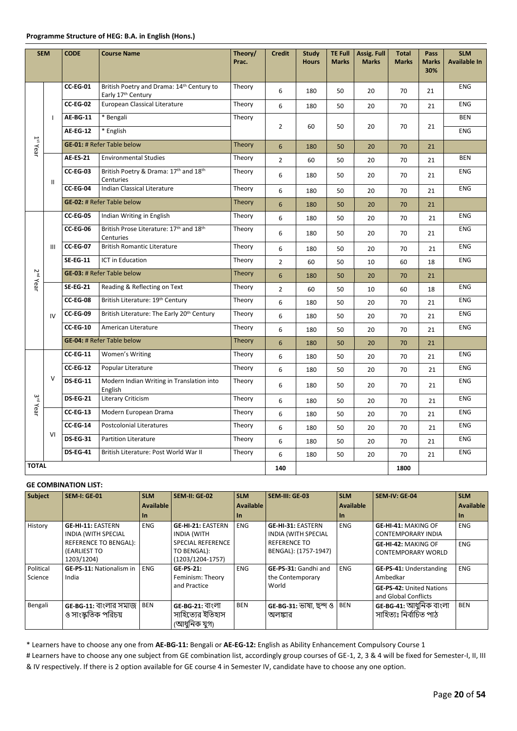#### **Programme Structure of HEG: B.A. in English (Hons.)**

| <b>SEM</b>             |                                                          | <b>CODE</b>                                                      | <b>Course Name</b>                                              | Theory/<br>Prac. | <b>Credit</b>  | <b>Study</b><br><b>Hours</b> | <b>TE Full</b><br><b>Marks</b> | Assig. Full<br><b>Marks</b> | <b>Total</b><br><b>Marks</b> | Pass<br><b>Marks</b><br>30% | <b>SLM</b><br><b>Available In</b> |
|------------------------|----------------------------------------------------------|------------------------------------------------------------------|-----------------------------------------------------------------|------------------|----------------|------------------------------|--------------------------------|-----------------------------|------------------------------|-----------------------------|-----------------------------------|
|                        |                                                          | <b>CC-EG-01</b>                                                  | British Poetry and Drama: 14th Century to<br>Early 17th Century | Theory           | 6              | 180                          | 50                             | 20                          | 70                           | 21                          | <b>ENG</b>                        |
|                        |                                                          | <b>CC-EG-02</b>                                                  | European Classical Literature                                   | Theory           | 6              | 180                          | 50                             | 20                          | 70                           | 21                          | <b>ENG</b>                        |
|                        | J.                                                       | <b>AE-BG-11</b>                                                  | * Bengali                                                       | Theory           |                |                              |                                |                             |                              |                             | <b>BEN</b>                        |
|                        |                                                          | <b>AE-EG-12</b>                                                  | * English                                                       |                  | $\overline{2}$ | 60                           | 50                             | 20                          | 70                           | 21                          | <b>ENG</b>                        |
| $1$ <sup>st</sup> Year |                                                          |                                                                  | <b>GE-01: # Refer Table below</b>                               | <b>Theory</b>    | 6              | 180                          | 50                             | 20                          | 70                           | 21                          |                                   |
|                        |                                                          | <b>AE-ES-21</b>                                                  | <b>Environmental Studies</b>                                    | Theory           | $\overline{2}$ | 60                           | 50                             | 20                          | 70                           | 21                          | <b>BEN</b>                        |
|                        | Ш                                                        | <b>CC-EG-03</b>                                                  | British Poetry & Drama: 17th and 18th<br>Centuries              | Theory           | 6              | 180                          | 50                             | 20                          | 70                           | 21                          | <b>ENG</b>                        |
|                        |                                                          | CC-EG-04                                                         | Indian Classical Literature                                     | Theory           | 6              | 180                          | 50                             | 20                          | 70                           | 21                          | <b>ENG</b>                        |
|                        |                                                          |                                                                  | <b>GE-02: # Refer Table below</b>                               | <b>Theory</b>    | 6              | 180                          | 50                             | 20                          | 70                           | 21                          |                                   |
|                        |                                                          | <b>CC-EG-05</b>                                                  | Indian Writing in English                                       | Theory           | 6              | 180                          | 50                             | 20                          | 70                           | 21                          | <b>ENG</b>                        |
|                        |                                                          | British Prose Literature: 17th and 18th<br>CC-EG-06<br>Centuries |                                                                 | Theory           | 6              | 180                          | 50                             | 20                          | 70                           | 21                          | <b>ENG</b>                        |
|                        | III                                                      | <b>CC-EG-07</b>                                                  | <b>British Romantic Literature</b>                              | Theory           | 6              | 180                          | 50                             | 20                          | 70                           | 21                          | <b>ENG</b>                        |
|                        |                                                          | <b>SE-EG-11</b>                                                  | <b>ICT</b> in Education                                         | Theory           | $\overline{2}$ | 60                           | 50                             | 10                          | 60                           | 18                          | ENG                               |
| 2 <sup>nd</sup> Year   |                                                          | <b>GE-03: # Refer Table below</b>                                |                                                                 | Theory           | 6              | 180                          | 50                             | 20                          | 70                           | 21                          |                                   |
|                        |                                                          | <b>SE-EG-21</b>                                                  | Reading & Reflecting on Text                                    | Theory           | $\overline{2}$ | 60                           | 50                             | 10                          | 60                           | 18                          | <b>ENG</b>                        |
|                        |                                                          | CC-EG-08                                                         | British Literature: 19 <sup>th</sup> Century                    | Theory           | 6              | 180                          | 50                             | 20                          | 70                           | 21                          | <b>ENG</b>                        |
|                        | IV                                                       | CC-EG-09                                                         | British Literature: The Early 20th Century                      | Theory           | 6              | 180                          | 50                             | 20                          | 70                           | 21                          | <b>ENG</b>                        |
|                        |                                                          | CC-EG-10                                                         | American Literature                                             | Theory           | 6              | 180                          | 50                             | 20                          | 70                           | 21                          | <b>ENG</b>                        |
|                        |                                                          |                                                                  | GE-04: # Refer Table below                                      | Theory           | 6              | 180                          | 50                             | 20                          | 70                           | 21                          |                                   |
|                        |                                                          | $CC-EG-11$                                                       | Women's Writing                                                 | Theory           | 6              | 180                          | 50                             | 20                          | 70                           | 21                          | <b>ENG</b>                        |
|                        |                                                          | <b>CC-EG-12</b>                                                  | Popular Literature                                              | Theory           | 6              | 180                          | 50                             | 20                          | 70                           | 21                          | ENG                               |
|                        | $\vee$                                                   | <b>DS-EG-11</b>                                                  | Modern Indian Writing in Translation into<br>English            | Theory           | 6              | 180                          | 50                             | 20                          | 70                           | 21                          | <b>ENG</b>                        |
| 3 <sup>rd</sup> Year   | <b>DS-EG-21</b><br>Literary Criticism                    |                                                                  |                                                                 | Theory           | 6              | 180                          | 50                             | 20                          | 70                           | 21                          | <b>ENG</b>                        |
|                        | <b>CC-EG-13</b><br>Modern European Drama                 |                                                                  | Theory                                                          | 6                | 180            | 50                           | 20                             | 70                          | 21                           | <b>ENG</b>                  |                                   |
|                        |                                                          | <b>CC-EG-14</b>                                                  | <b>Postcolonial Literatures</b>                                 | Theory           | 6              | 180                          | 50                             | 20                          | 70                           | 21                          | <b>ENG</b>                        |
|                        | VI                                                       | <b>DS-EG-31</b>                                                  | <b>Partition Literature</b>                                     | Theory           | 6              | 180                          | 50                             | 20                          | 70                           | 21                          | <b>ENG</b>                        |
|                        | <b>DS-EG-41</b><br>British Literature: Post World War II |                                                                  | Theory                                                          | 6                | 180            | 50                           | 20                             | 70                          | 21                           | <b>ENG</b>                  |                                   |
| <b>TOTAL</b>           |                                                          |                                                                  |                                                                 |                  | 140            |                              |                                |                             | 1800                         |                             |                                   |

#### **GE COMBINATION LIST:**

| <b>Subject</b>       | <b>SEM-I: GE-01</b>                                        | <b>SLM</b> | <b>SEM-II: GE-02</b>                                        | <b>SLM</b>       | SEM-III: GE-03                                         | <b>SLM</b>       | <b>SEM-IV: GE-04</b>                                    | <b>SLM</b> |
|----------------------|------------------------------------------------------------|------------|-------------------------------------------------------------|------------------|--------------------------------------------------------|------------------|---------------------------------------------------------|------------|
|                      |                                                            | Available  |                                                             | <b>Available</b> |                                                        | <b>Available</b> |                                                         | Available  |
|                      |                                                            | <b>In</b>  |                                                             | -In              |                                                        | -In              |                                                         | -In        |
| History              | <b>GE-HI-11: EASTERN</b><br><b>INDIA (WITH SPECIAL</b>     | <b>ENG</b> | <b>GE-HI-21: EASTERN</b><br><b>INDIA (WITH</b>              | <b>ENG</b>       | <b>GE-HI-31: EASTERN</b><br><b>INDIA (WITH SPECIAL</b> | <b>ENG</b>       | <b>GE-HI-41: MAKING OF</b><br><b>CONTEMPORARY INDIA</b> | <b>ENG</b> |
|                      | <b>REFERENCE TO BENGAL):</b><br>(EARLIEST TO<br>1203/1204) |            | <b>SPECIAL REFERENCE</b><br>TO BENGAL):<br>(1203/1204-1757) |                  | <b>REFERENCE TO</b><br>BENGAL): (1757-1947)            |                  | <b>GE-HI-42: MAKING OF</b><br>CONTEMPORARY WORLD        | <b>ENG</b> |
| Political<br>Science | <b>GE-PS-11: Nationalism in</b><br>India                   | <b>ENG</b> | $GE-PS-21:$<br>Feminism: Theory                             | <b>ENG</b>       | <b>GE-PS-31:</b> Gandhi and<br>the Contemporary        | <b>ENG</b>       | <b>GE-PS-41: Understanding</b><br>Ambedkar              | <b>ENG</b> |
|                      |                                                            |            | and Practice                                                |                  | World                                                  |                  | <b>GE-PS-42: United Nations</b><br>and Global Conflicts |            |
| Bengali              | GE-BG-11: বাংলার সমাজ<br>ও সাংস্কৃতিক পরিচয়               | BEN        | GE-BG-21: বাংলা<br>সাহিত্যের ইতিহাস<br>(আধুনিক যুগ)         | <b>BEN</b>       | GE-BG-31: ভাষা, ছন্দ ও<br>অলঙ্কার                      | <b>BEN</b>       | GE-BG-41: আধুনিক বাংলা<br>সাহিত্যঃ নিৰ্বাচিত পাঠ        | <b>BEN</b> |

\* Learners have to choose any one from **AE-BG-11:** Bengali or **AE-EG-12:** English as Ability Enhancement Compulsory Course 1

# Learners have to choose any one subject from GE combination list, accordingly group courses of GE-1, 2, 3 & 4 will be fixed for Semester-I, II, III & IV respectively. If there is 2 option available for GE course 4 in Semester IV, candidate have to choose any one option.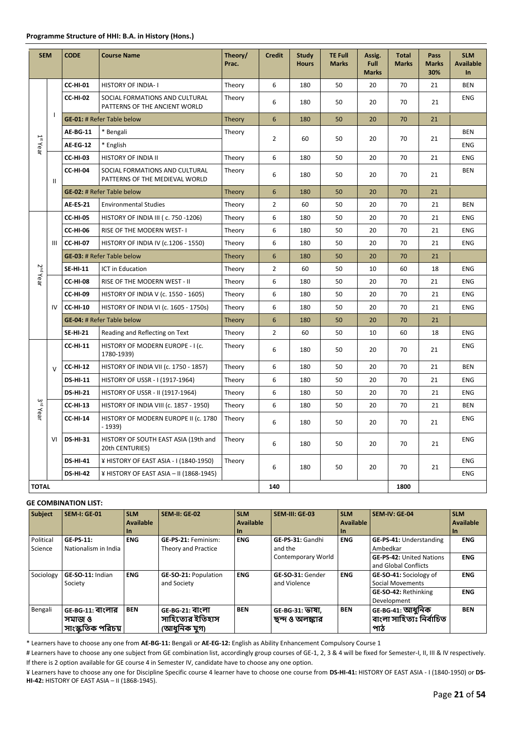| <b>SEM</b>           |              | <b>CODE</b>                                         | <b>Course Name</b>                                               | Theory/<br>Prac. | <b>Credit</b>  | Study<br><b>Hours</b> | <b>TE Full</b><br><b>Marks</b> | Assig.<br>Full<br><b>Marks</b> | <b>Total</b><br><b>Marks</b> | Pass<br><b>Marks</b><br>30% | <b>SLM</b><br><b>Available</b><br>$\ln$ |
|----------------------|--------------|-----------------------------------------------------|------------------------------------------------------------------|------------------|----------------|-----------------------|--------------------------------|--------------------------------|------------------------------|-----------------------------|-----------------------------------------|
|                      |              | <b>CC-HI-01</b>                                     | <b>HISTORY OF INDIA-1</b>                                        | Theory           | 6              | 180                   | 50                             | 20                             | 70                           | 21                          | <b>BEN</b>                              |
|                      |              | <b>CC-HI-02</b>                                     | SOCIAL FORMATIONS AND CULTURAL<br>PATTERNS OF THE ANCIENT WORLD  | Theory           | 6              | 180                   | 50                             | 20                             | 70                           | 21                          | <b>ENG</b>                              |
|                      | $\mathbf{I}$ |                                                     | <b>GE-01: # Refer Table below</b>                                | Theory           | 6              | 180                   | 50                             | 20                             | 70                           | 21                          |                                         |
|                      |              | AE-BG-11                                            | * Bengali                                                        | Theory           | $\overline{2}$ | 60                    | 50                             | 20                             | 70                           | 21                          | <b>BEN</b>                              |
| $1st$ Year           |              | <b>AE-EG-12</b>                                     | * English                                                        |                  |                |                       |                                |                                |                              |                             | <b>ENG</b>                              |
|                      |              | <b>CC-HI-03</b>                                     | <b>HISTORY OF INDIA II</b>                                       | Theory           | 6              | 180                   | 50                             | 20                             | 70                           | 21                          | <b>ENG</b>                              |
|                      | Ш            | CC-HI-04                                            | SOCIAL FORMATIONS AND CULTURAL<br>PATTERNS OF THE MEDIEVAL WORLD | Theory           | 6              | 180                   | 50                             | 20                             | 70                           | 21                          | <b>BEN</b>                              |
|                      |              |                                                     | <b>GE-02: # Refer Table below</b>                                | <b>Theory</b>    | 6              | 180                   | 50                             | 20                             | 70                           | 21                          |                                         |
|                      |              | <b>AE-ES-21</b>                                     | <b>Environmental Studies</b>                                     | Theory           | $\overline{2}$ | 60                    | 50                             | 20                             | 70                           | 21                          | <b>BEN</b>                              |
|                      |              | <b>CC-HI-05</b>                                     | HISTORY OF INDIA III ( c. 750 -1206)                             | Theory           | 6              | 180                   | 50                             | 20                             | 70                           | 21                          | <b>ENG</b>                              |
|                      |              | <b>CC-HI-06</b><br><b>RISE OF THE MODERN WEST-1</b> |                                                                  | Theory           | 6              | 180                   | 50                             | 20                             | 70                           | 21                          | <b>ENG</b>                              |
|                      | III          | <b>CC-HI-07</b>                                     | HISTORY OF INDIA IV (c.1206 - 1550)                              | Theory           | 6              | 180                   | 50                             | 20                             | 70                           | 21                          | <b>ENG</b>                              |
|                      |              |                                                     | <b>GE-03: # Refer Table below</b>                                | Theory           | 6              | 180                   | 50                             | 20                             | 70                           | 21                          |                                         |
| 2 <sup>nd</sup> Year |              | <b>SE-HI-11</b>                                     | <b>ICT in Education</b>                                          | Theory           | $\overline{2}$ | 60                    | 50                             | 10                             | 60                           | 18                          | <b>ENG</b>                              |
|                      |              | <b>CC-HI-08</b>                                     | RISE OF THE MODERN WEST - II                                     | Theory           | 6              | 180                   | 50                             | 20                             | 70                           | 21                          | <b>ENG</b>                              |
|                      |              | <b>CC-HI-09</b>                                     | HISTORY OF INDIA V (c. 1550 - 1605)                              | Theory           | 6              | 180                   | 50                             | 20                             | 70                           | 21                          | <b>ENG</b>                              |
|                      | IV           | <b>CC-HI-10</b>                                     | HISTORY OF INDIA VI (c. 1605 - 1750s)                            | Theory           | 6              | 180                   | 50                             | 20                             | 70                           | 21                          | <b>ENG</b>                              |
|                      |              |                                                     | <b>GE-04: # Refer Table below</b>                                | <b>Theory</b>    | 6              | 180                   | 50                             | 20                             | 70                           | 21                          |                                         |
|                      |              | <b>SE-HI-21</b>                                     | Reading and Reflecting on Text                                   | Theory           | $\overline{2}$ | 60                    | 50                             | 10                             | 60                           | 18                          | <b>ENG</b>                              |
|                      |              | <b>CC-HI-11</b>                                     | HISTORY OF MODERN EUROPE - I (c.<br>1780-1939)                   | Theory           | 6              | 180                   | 50                             | 20                             | 70                           | 21                          | <b>ENG</b>                              |
|                      | $\vee$       | <b>CC-HI-12</b>                                     | HISTORY OF INDIA VII (c. 1750 - 1857)                            | Theory           | 6              | 180                   | 50                             | 20                             | 70                           | 21                          | <b>BEN</b>                              |
|                      |              | <b>DS-HI-11</b>                                     | HISTORY OF USSR - I (1917-1964)                                  | Theory           | 6              | 180                   | 50                             | 20                             | 70                           | 21                          | <b>ENG</b>                              |
|                      |              | <b>DS-HI-21</b>                                     | HISTORY OF USSR - II (1917-1964)                                 | Theory           | 6              | 180                   | 50                             | 20                             | 70                           | 21                          | <b>ENG</b>                              |
| 3 <sup>rd</sup> Year |              | <b>CC-HI-13</b>                                     | HISTORY OF INDIA VIII (c. 1857 - 1950)                           | Theory           | 6              | 180                   | 50                             | 20                             | 70                           | 21                          | <b>BEN</b>                              |
|                      |              | <b>CC-HI-14</b>                                     | HISTORY OF MODERN EUROPE II (c. 1780<br>$-1939$                  | Theory           | 6              | 180                   | 50                             | 20                             | 70                           | 21                          | <b>ENG</b>                              |
|                      | VI           | <b>DS-HI-31</b>                                     | HISTORY OF SOUTH EAST ASIA (19th and<br>20th CENTURIES)          | Theory           | 6              | 180                   | 50                             | 20                             | 70                           | 21                          | <b>ENG</b>                              |
|                      |              | <b>DS-HI-41</b>                                     | ¥ HISTORY OF EAST ASIA - I (1840-1950)                           | Theory           | 6              | 180                   | 50                             | 20                             | 70                           | 21                          | <b>ENG</b>                              |
|                      |              | <b>DS-HI-42</b>                                     | ¥ HISTORY OF EAST ASIA - II (1868-1945)                          |                  |                |                       |                                |                                |                              |                             | <b>ENG</b>                              |
| <b>TOTAL</b>         |              |                                                     |                                                                  |                  | 140            |                       |                                |                                | 1800                         |                             |                                         |

| <b>Subject</b> | <b>SEM-I: GE-01</b>  | <b>SLM</b>       | <b>SEM-II: GE-02</b>        | <b>SLM</b>       | SEM-III: GE-03     | <b>SLM</b> | <b>SEM-IV: GE-04</b>            | <b>SLM</b>       |
|----------------|----------------------|------------------|-----------------------------|------------------|--------------------|------------|---------------------------------|------------------|
|                |                      | <b>Available</b> |                             | <b>Available</b> |                    | Available  |                                 | <b>Available</b> |
|                |                      | <b>In</b>        |                             | <b>In</b>        |                    | -In        |                                 | <b>In</b>        |
| Political      | <b>GE-PS-11:</b>     | <b>ENG</b>       | GE-PS-21: Feminism:         | <b>ENG</b>       | GE-PS-31: Gandhi   | <b>ENG</b> | <b>GE-PS-41: Understanding</b>  | <b>ENG</b>       |
| Science        | Nationalism in India |                  | Theory and Practice         |                  | and the            |            | Ambedkar                        |                  |
|                |                      |                  |                             |                  | Contemporary World |            | <b>GE-PS-42: United Nations</b> | <b>ENG</b>       |
|                |                      |                  |                             |                  |                    |            | and Global Conflicts            |                  |
| Sociology      | GE-SO-11: Indian     | <b>ENG</b>       | <b>GE-SO-21: Population</b> | <b>ENG</b>       | GE-SO-31: Gender   | <b>ENG</b> | GE-SO-41: Sociology of          | <b>ENG</b>       |
|                | Society              |                  | and Society                 |                  | and Violence       |            | Social Movements                |                  |
|                |                      |                  |                             |                  |                    |            | GE-SO-42: Rethinking            | <b>ENG</b>       |
|                |                      |                  |                             |                  |                    |            | Development                     |                  |
| Bengali        | GE-BG-11: বাংলার     | <b>BEN</b>       | GE-BG-21: বাংলা             | <b>BEN</b>       | GE-BG-31: ভাষা,    | <b>BEN</b> | GE-BG-41: আধুনিক                | <b>BEN</b>       |
|                | সমাজ ও               |                  | সাহিত্যের ইতিহাস            |                  | ছন্দ ও অলঙ্কার     |            | বাংলা সাহিত্যঃ নিৰ্বাচিত        |                  |
|                | সাংস্কৃতিক পরিচয়    |                  | (আধুনিক যুগ)                |                  |                    |            | পাঠ                             |                  |

\* Learners have to choose any one from **AE-BG-11:** Bengali or **AE-EG-12:** English as Ability Enhancement Compulsory Course 1

# Learners have to choose any one subject from GE combination list, accordingly group courses of GE-1, 2, 3 & 4 will be fixed for Semester-I, II, III & IV respectively. If there is 2 option available for GE course 4 in Semester IV, candidate have to choose any one option.

¥ Learners have to choose any one for Discipline Specific course 4 learner have to choose one course from **DS-HI-41:** HISTORY OF EAST ASIA - I (1840-1950) or **DS-HI-42:** HISTORY OF EAST ASIA – II (1868-1945).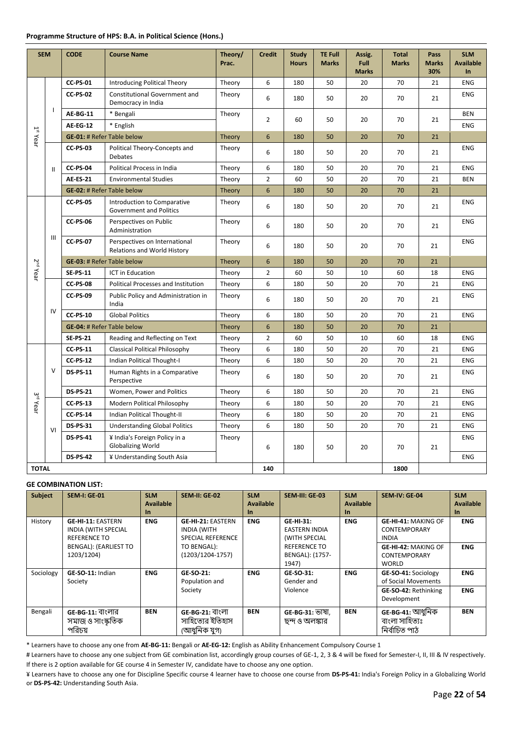#### **Programme Structure of HPS: B.A. in Political Science (Hons.)**

| <b>SEM</b>             |                                               | <b>CODE</b>                                                 | <b>Course Name</b>                                            | Theory/<br>Prac. | <b>Credit</b>  | <b>Study</b><br><b>Hours</b> | <b>TE Full</b><br><b>Marks</b> | Assig.<br>Full<br><b>Marks</b> | <b>Total</b><br><b>Marks</b> | Pass<br><b>Marks</b><br>30% | <b>SLM</b><br><b>Available</b><br>$\ln$ |
|------------------------|-----------------------------------------------|-------------------------------------------------------------|---------------------------------------------------------------|------------------|----------------|------------------------------|--------------------------------|--------------------------------|------------------------------|-----------------------------|-----------------------------------------|
|                        |                                               | <b>CC-PS-01</b>                                             | Introducing Political Theory                                  | Theory           | 6              | 180                          | 50                             | 20                             | 70                           | 21                          | <b>ENG</b>                              |
|                        |                                               | <b>CC-PS-02</b>                                             | <b>Constitutional Government and</b><br>Democracy in India    | Theory           | 6              | 180                          | 50                             | 20                             | 70                           | 21                          | <b>ENG</b>                              |
|                        | $\mathbf{I}$                                  | <b>AE-BG-11</b>                                             | * Bengali                                                     | Theory           |                |                              |                                |                                |                              |                             | <b>BEN</b>                              |
|                        |                                               | AE-EG-12                                                    | * English                                                     |                  | $\overline{2}$ | 60                           | 50                             | 20                             | 70                           | 21                          | <b>ENG</b>                              |
| $1$ <sup>st</sup> Year |                                               | <b>GE-01: # Refer Table below</b>                           |                                                               | Theory           | 6              | 180                          | 50                             | 20                             | 70                           | 21                          |                                         |
|                        |                                               | <b>CC-PS-03</b>                                             | Political Theory-Concepts and<br><b>Debates</b>               | Theory           | 6              | 180                          | 50                             | 20                             | 70                           | 21                          | <b>ENG</b>                              |
|                        | $\mathbf{II}$                                 | <b>CC-PS-04</b>                                             | Political Process in India                                    | Theory           | 6              | 180                          | 50                             | 20                             | 70                           | 21                          | <b>ENG</b>                              |
|                        |                                               | <b>AE-ES-21</b>                                             | <b>Environmental Studies</b>                                  | Theory           | $\overline{2}$ | 60                           | 50                             | 20                             | 70                           | 21                          | <b>BEN</b>                              |
|                        |                                               | <b>GE-02: # Refer Table below</b>                           |                                                               | <b>Theory</b>    | 6              | 180                          | 50                             | 20                             | 70                           | 21                          |                                         |
|                        |                                               | <b>CC-PS-05</b>                                             | Introduction to Comparative<br><b>Government and Politics</b> | Theory           | 6              | 180                          | 50                             | 20                             | 70                           | 21                          | <b>ENG</b>                              |
|                        |                                               | <b>CC-PS-06</b><br>Perspectives on Public<br>Administration |                                                               | Theory           | 6              | 180                          | 50                             | 20                             | 70                           | 21                          | <b>ENG</b>                              |
|                        | $\mathsf{III}$                                | <b>CC-PS-07</b>                                             | Perspectives on International<br>Relations and World History  | Theory           | 6              | 180                          | 50                             | 20                             | 70                           | 21                          | <b>ENG</b>                              |
|                        |                                               | <b>GE-03: # Refer Table below</b>                           |                                                               | Theory           | 6              | 180                          | 50                             | 20                             | 70                           | 21                          |                                         |
| 2 <sup>nd</sup> Year   |                                               | <b>SE-PS-11</b>                                             | ICT in Education                                              | Theory           | $\overline{2}$ | 60                           | 50                             | 10                             | 60                           | 18                          | <b>ENG</b>                              |
|                        |                                               | <b>CC-PS-08</b>                                             | Political Processes and Institution                           | Theory           | 6              | 180                          | 50                             | 20                             | 70                           | 21                          | <b>ENG</b>                              |
|                        |                                               | <b>CC-PS-09</b>                                             | Public Policy and Administration in<br>India                  | Theory           | 6              | 180                          | 50                             | 20                             | 70                           | 21                          | <b>ENG</b>                              |
|                        | IV                                            | <b>CC-PS-10</b>                                             | <b>Global Politics</b>                                        | Theory           | 6              | 180                          | 50                             | 20                             | 70                           | 21                          | <b>ENG</b>                              |
|                        |                                               | <b>GE-04: # Refer Table below</b>                           |                                                               | Theory           | 6              | 180                          | 50                             | 20                             | 70                           | 21                          |                                         |
|                        |                                               | <b>SE-PS-21</b>                                             | Reading and Reflecting on Text                                | Theory           | $\overline{2}$ | 60                           | 50                             | 10                             | 60                           | 18                          | <b>ENG</b>                              |
|                        |                                               | <b>CC-PS-11</b>                                             | <b>Classical Political Philosophy</b>                         | Theory           | 6              | 180                          | 50                             | 20                             | 70                           | 21                          | <b>ENG</b>                              |
|                        |                                               | <b>CC-PS-12</b>                                             | Indian Political Thought-I                                    | Theory           | 6              | 180                          | 50                             | 20                             | 70                           | 21                          | <b>ENG</b>                              |
|                        | $\vee$                                        | <b>DS-PS-11</b>                                             | Human Rights in a Comparative<br>Perspective                  | Theory           | 6              | 180                          | 50                             | 20                             | 70                           | 21                          | <b>ENG</b>                              |
|                        |                                               | <b>DS-PS-21</b>                                             | Women, Power and Politics                                     | Theory           | 6              | 180                          | 50                             | 20                             | 70                           | 21                          | <b>ENG</b>                              |
| 3 <sup>rd</sup> Year   |                                               | <b>CC-PS-13</b>                                             | Modern Political Philosophy                                   | Theory           | 6              | 180                          | 50                             | 20                             | 70                           | 21                          | <b>ENG</b>                              |
|                        |                                               | <b>CC-PS-14</b>                                             | Indian Political Thought-II                                   | Theory           | 6              | 180                          | 50                             | 20                             | 70                           | 21                          | <b>ENG</b>                              |
|                        | VI                                            | <b>DS-PS-31</b>                                             | <b>Understanding Global Politics</b>                          | Theory           | 6              | 180                          | 50                             | 20                             | 70                           | 21                          | <b>ENG</b>                              |
|                        |                                               | <b>DS-PS-41</b>                                             | ¥ India's Foreign Policy in a<br><b>Globalizing World</b>     | Theory           | 6              | 180                          | 50                             | 20                             | 70                           | 21                          | <b>ENG</b>                              |
|                        | <b>DS-PS-42</b><br>¥ Understanding South Asia |                                                             |                                                               |                  |                |                              |                                |                                |                              | <b>ENG</b>                  |                                         |
|                        | <b>TOTAL</b>                                  |                                                             |                                                               |                  | 140            |                              |                                |                                | 1800                         |                             |                                         |

## **GE COMBINATION LIST:**

| <b>Subject</b> | <b>SEM-I: GE-01</b>                                    | <b>SLM</b><br><b>Available</b> | <b>SEM-II: GE-02</b>                           | <b>SLM</b><br><b>Available</b> | SEM-III: GE-03                    | <b>SLM</b><br><b>Available</b> | <b>SEM-IV: GE-04</b>                              | <b>SLM</b><br><b>Available</b> |
|----------------|--------------------------------------------------------|--------------------------------|------------------------------------------------|--------------------------------|-----------------------------------|--------------------------------|---------------------------------------------------|--------------------------------|
|                |                                                        | In.                            |                                                | $\ln$                          |                                   | $\ln$                          |                                                   | In.                            |
| History        | <b>GE-HI-11: EASTERN</b><br><b>INDIA (WITH SPECIAL</b> | <b>ENG</b>                     | <b>GE-HI-21: EASTERN</b><br><b>INDIA (WITH</b> | <b>ENG</b>                     | GE-HI-31:<br><b>EASTERN INDIA</b> | <b>ENG</b>                     | <b>GE-HI-41: MAKING OF</b><br><b>CONTEMPORARY</b> | <b>ENG</b>                     |
|                | <b>REFERENCE TO</b>                                    |                                | <b>SPECIAL REFERENCE</b>                       |                                | (WITH SPECIAL                     |                                | <b>INDIA</b>                                      |                                |
|                | <b>BENGAL): (EARLIEST TO</b>                           |                                | TO BENGAL):                                    |                                | <b>REFERENCE TO</b>               |                                | <b>GE-HI-42: MAKING OF</b>                        | <b>ENG</b>                     |
|                | 1203/1204)                                             |                                | $(1203/1204-1757)$                             |                                | BENGAL): (1757-                   |                                | <b>CONTEMPORARY</b>                               |                                |
|                |                                                        |                                |                                                |                                | 1947)                             |                                | <b>WORLD</b>                                      |                                |
| Sociology      | GE-SO-11: Indian                                       | <b>ENG</b>                     | GE-SO-21:                                      | <b>ENG</b>                     | GE-SO-31:                         | <b>ENG</b>                     | GE-SO-41: Sociology                               | <b>ENG</b>                     |
|                | Society                                                |                                | Population and                                 |                                | Gender and                        |                                | of Social Movements                               |                                |
|                |                                                        |                                | Society                                        |                                | Violence                          |                                | <b>GE-SO-42: Rethinking</b>                       | <b>ENG</b>                     |
|                |                                                        |                                |                                                |                                |                                   |                                | Development                                       |                                |
| Bengali        | GE-BG-11: বাংলার                                       | <b>BEN</b>                     | GE-BG-21: বাংলা                                | <b>BEN</b>                     | GE-BG-31: ভাষা,                   | <b>BEN</b>                     | GE-BG-41: আধুনিক                                  | <b>BEN</b>                     |
|                | সমাজ ও সাংস্কৃতিক                                      |                                | সাহিত্যের ইতিহাস                               |                                | ছন্দ ও অলঙ্কার                    |                                | বাংলা সাহিত্যঃ                                    |                                |
|                | পরিচয়                                                 |                                | (আধুনিক যুগ)                                   |                                |                                   |                                | নিৰ্বাচিত পাঠ                                     |                                |

\* Learners have to choose any one from **AE-BG-11:** Bengali or **AE-EG-12:** English as Ability Enhancement Compulsory Course 1

# Learners have to choose any one subject from GE combination list, accordingly group courses of GE-1, 2, 3 & 4 will be fixed for Semester-I, II, III & IV respectively. If there is 2 option available for GE course 4 in Semester IV, candidate have to choose any one option.

¥ Learners have to choose any one for Discipline Specific course 4 learner have to choose one course from **DS-PS-41:** India's Foreign Policy in a Globalizing World or **DS-PS-42:** Understanding South Asia.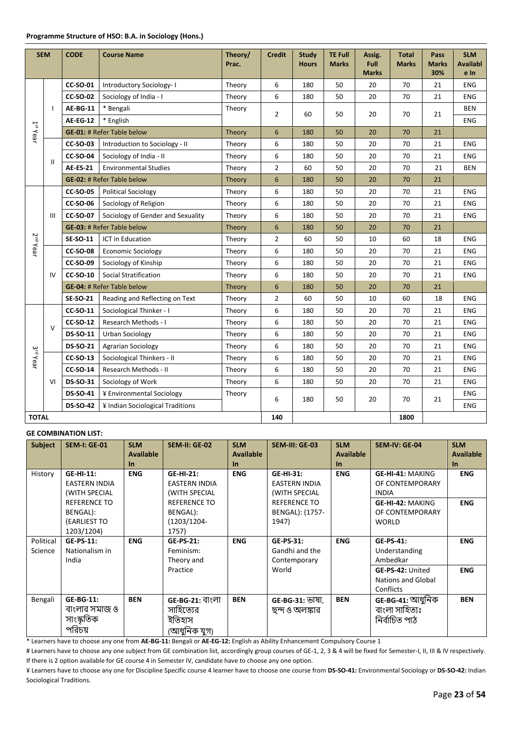| <b>SEM</b>           |                                                     | <b>CODE</b>     | <b>Course Name</b>                | Theory/<br>Prac. | <b>Credit</b>   | <b>Study</b><br><b>Hours</b> | <b>TE Full</b><br><b>Marks</b> | Assig.<br><b>Full</b><br><b>Marks</b> | <b>Total</b><br><b>Marks</b> | Pass<br><b>Marks</b><br>30% | <b>SLM</b><br><b>Availabl</b><br>e In |
|----------------------|-----------------------------------------------------|-----------------|-----------------------------------|------------------|-----------------|------------------------------|--------------------------------|---------------------------------------|------------------------------|-----------------------------|---------------------------------------|
|                      |                                                     | <b>CC-SO-01</b> | Introductory Sociology-1          | Theory           | 6               | 180                          | 50                             | 20                                    | 70                           | 21                          | <b>ENG</b>                            |
|                      |                                                     | <b>CC-SO-02</b> | Sociology of India - I            | Theory           | 6               | 180                          | 50                             | 20                                    | 70                           | 21                          | <b>ENG</b>                            |
|                      | $\overline{\phantom{a}}$                            | <b>AE-BG-11</b> | * Bengali                         | Theory           | $\overline{2}$  |                              |                                |                                       |                              |                             | <b>BEN</b>                            |
|                      |                                                     | <b>AE-EG-12</b> | * English                         |                  |                 | 60                           | 50                             | 20                                    | 70                           | 21                          | <b>ENG</b>                            |
| $1st$ Year           |                                                     |                 | <b>GE-01: # Refer Table below</b> | Theory           | 6               | 180                          | 50                             | 20                                    | 70                           | 21                          |                                       |
|                      |                                                     | <b>CC-SO-03</b> | Introduction to Sociology - II    | Theory           | 6               | 180                          | 50                             | 20                                    | 70                           | 21                          | <b>ENG</b>                            |
|                      | $\mathbf{H}$                                        | <b>CC-SO-04</b> | Sociology of India - II           | Theory           | 6               | 180                          | 50                             | 20                                    | 70                           | 21                          | <b>ENG</b>                            |
|                      |                                                     | <b>AE-ES-21</b> | <b>Environmental Studies</b>      | Theory           | $\overline{2}$  | 60                           | 50                             | 20                                    | 70                           | 21                          | <b>BEN</b>                            |
|                      |                                                     |                 | <b>GE-02: # Refer Table below</b> | Theory           | 6               | 180                          | 50                             | 20                                    | 70                           | 21                          |                                       |
|                      |                                                     | <b>CC-SO-05</b> | <b>Political Sociology</b>        | Theory           | 6               | 180                          | 50                             | 20                                    | 70                           | 21                          | <b>ENG</b>                            |
|                      |                                                     | <b>CC-SO-06</b> | Sociology of Religion             | Theory           | 6               | 180                          | 50                             | 20                                    | 70                           | 21                          | <b>ENG</b>                            |
|                      | Ш                                                   | <b>CC-SO-07</b> | Sociology of Gender and Sexuality | Theory           | 6               | 180                          | 50                             | 20                                    | 70                           | 21                          | <b>ENG</b>                            |
|                      |                                                     |                 | <b>GE-03: # Refer Table below</b> | Theory           | 6               | 180                          | 50                             | 20                                    | 70                           | 21                          |                                       |
| 2 <sup>nd</sup> Year |                                                     | SE-SO-11        | <b>ICT in Education</b>           | Theory           | $\overline{2}$  | 60                           | 50                             | 10                                    | 60                           | 18                          | <b>ENG</b>                            |
|                      |                                                     | <b>CC-SO-08</b> | <b>Economic Sociology</b>         | Theory           | 6               | 180                          | 50                             | 20                                    | 70                           | 21                          | <b>ENG</b>                            |
|                      |                                                     | <b>CC-SO-09</b> | Sociology of Kinship              | Theory           | 6               | 180                          | 50                             | 20                                    | 70                           | 21                          | <b>ENG</b>                            |
|                      | IV                                                  | <b>CC-SO-10</b> | Social Stratification             | Theory           | 6               | 180                          | 50                             | 20                                    | 70                           | 21                          | ENG                                   |
|                      |                                                     |                 | <b>GE-04: # Refer Table below</b> | Theory           | $6\phantom{1}6$ | 180                          | 50                             | 20                                    | 70                           | 21                          |                                       |
|                      |                                                     | <b>SE-SO-21</b> | Reading and Reflecting on Text    | Theory           | $\overline{2}$  | 60                           | 50                             | 10                                    | 60                           | 18                          | <b>ENG</b>                            |
|                      |                                                     | <b>CC-SO-11</b> | Sociological Thinker - I          | Theory           | 6               | 180                          | 50                             | 20                                    | 70                           | 21                          | <b>ENG</b>                            |
|                      | $\vee$                                              | <b>CC-SO-12</b> | <b>Research Methods - I</b>       | Theory           | 6               | 180                          | 50                             | 20                                    | 70                           | 21                          | <b>ENG</b>                            |
|                      |                                                     | DS-SO-11        | <b>Urban Sociology</b>            | Theory           | 6               | 180                          | 50                             | 20                                    | 70                           | 21                          | <b>ENG</b>                            |
|                      |                                                     | <b>DS-SO-21</b> | <b>Agrarian Sociology</b>         | Theory           | 6               | 180                          | 50                             | 20                                    | 70                           | 21                          | <b>ENG</b>                            |
| 3 <sup>rd</sup> Year |                                                     | <b>CC-SO-13</b> | Sociological Thinkers - II        | Theory           | 6               | 180                          | 50                             | 20                                    | 70                           | 21                          | <b>ENG</b>                            |
|                      |                                                     | <b>CC-SO-14</b> | Research Methods - II             | Theory           | 6               | 180                          | 50                             | 20                                    | 70                           | 21                          | <b>ENG</b>                            |
|                      | VI                                                  | DS-SO-31        | Sociology of Work                 | Theory           | 6               | 180                          | 50                             | 20                                    | 70                           | 21                          | <b>ENG</b>                            |
|                      |                                                     | <b>DS-SO-41</b> | ¥ Environmental Sociology         | Theory           | 6               |                              |                                |                                       |                              |                             | <b>ENG</b>                            |
|                      | <b>DS-SO-42</b><br>¥ Indian Sociological Traditions |                 |                                   |                  | 180             | 50                           | 20                             | 70                                    | 21                           | <b>ENG</b>                  |                                       |
| <b>TOTAL</b>         |                                                     |                 |                                   |                  | 140             |                              |                                |                                       | 1800                         |                             |                                       |

| <b>Subject</b> | <b>SEM-I: GE-01</b>  | <b>SLM</b>       | SEM-II: GE-02          | <b>SLM</b> | SEM-III: GE-03       | <b>SLM</b> | <b>SEM-IV: GE-04</b>      | <b>SLM</b>       |
|----------------|----------------------|------------------|------------------------|------------|----------------------|------------|---------------------------|------------------|
|                |                      | <b>Available</b> |                        | Available  |                      | Available  |                           |                  |
|                |                      |                  |                        |            |                      |            |                           | <b>Available</b> |
|                |                      | $\ln$            |                        | In.        |                      | $\ln$      |                           | <b>In</b>        |
| History        | GE-HI-11:            | <b>ENG</b>       | <b>GE-HI-21:</b>       | <b>ENG</b> | GE-HI-31:            | <b>ENG</b> | GE-HI-41: MAKING          | <b>ENG</b>       |
|                | <b>EASTERN INDIA</b> |                  | <b>EASTERN INDIA</b>   |            | <b>EASTERN INDIA</b> |            | OF CONTEMPORARY           |                  |
|                | (WITH SPECIAL        |                  | (WITH SPECIAL          |            | (WITH SPECIAL        |            | <b>INDIA</b>              |                  |
|                | <b>REFERENCE TO</b>  |                  | <b>REFERENCE TO</b>    |            | <b>REFERENCE TO</b>  |            | <b>GE-HI-42: MAKING</b>   | <b>ENG</b>       |
|                | BENGAL):             |                  | BENGAL):               |            | BENGAL): (1757-      |            | OF CONTEMPORARY           |                  |
|                | (EARLIEST TO         |                  | $(1203/1204 -$         |            | 1947)                |            | <b>WORLD</b>              |                  |
|                | 1203/1204)           |                  | 1757)                  |            |                      |            |                           |                  |
| Political      | <b>GE-PS-11:</b>     | <b>ENG</b>       | GE-PS-21:              | <b>ENG</b> | <b>GE-PS-31:</b>     | <b>ENG</b> | <b>GE-PS-41:</b>          | <b>ENG</b>       |
| Science        | Nationalism in       |                  | Feminism:              |            | Gandhi and the       |            | Understanding             |                  |
|                | India                |                  | Theory and             |            | Contemporary         |            | Ambedkar                  |                  |
|                |                      |                  | Practice               |            | World                |            | GE-PS-42: United          | <b>ENG</b>       |
|                |                      |                  |                        |            |                      |            | <b>Nations and Global</b> |                  |
|                |                      |                  |                        |            |                      |            | Conflicts                 |                  |
| Bengali        | <b>GE-BG-11:</b>     | <b>BEN</b>       | <b>GE-BG-21:</b> বাংলা | <b>BEN</b> | GE-BG-31: ভাষা,      | <b>BEN</b> | GE-BG-41: আধুনিক          | <b>BEN</b>       |
|                | বাংলার সমাজ ও        |                  | সাহিত্যের              |            | ছন্দ ও অলঙ্কার       |            | বাংলা সাহিত্যঃ            |                  |
|                | সাংস্কৃতিক           |                  | ইতিহাস                 |            |                      |            | নিৰ্বাচিত পাঠ             |                  |
|                | পরিচয়               |                  | (আধুনিক যুগ)           |            |                      |            |                           |                  |

\* Learners have to choose any one from **AE-BG-11:** Bengali or **AE-EG-12:** English as Ability Enhancement Compulsory Course 1

# Learners have to choose any one subject from GE combination list, accordingly group courses of GE-1, 2, 3 & 4 will be fixed for Semester-I, II, III & IV respectively. If there is 2 option available for GE course 4 in Semester IV, candidate have to choose any one option.

¥ Learners have to choose any one for Discipline Specific course 4 learner have to choose one course from **DS-SO-41:** Environmental Sociology or **DS-SO-42:** Indian Sociological Traditions.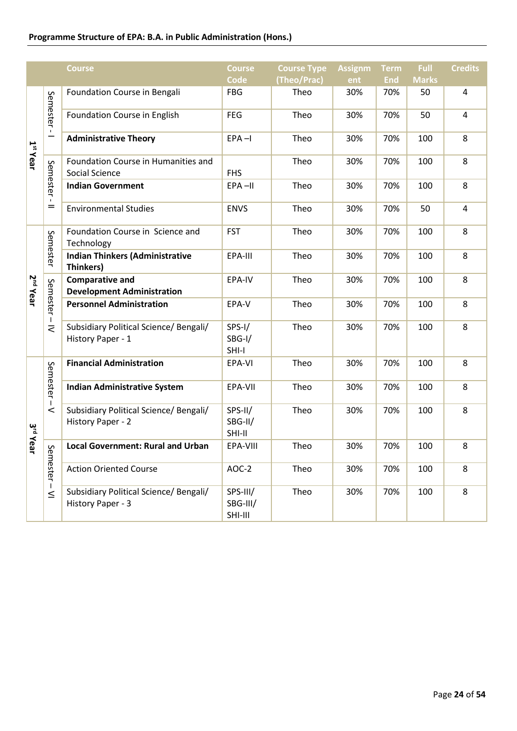# **Programme Structure of EPA: B.A. in Public Administration (Hons.)**

|                      |           | <b>Course</b>                                               | <b>Course</b>                   | <b>Course Type</b> | <b>Assignm</b> | <b>Term</b> | <b>Full</b>  | <b>Credits</b> |
|----------------------|-----------|-------------------------------------------------------------|---------------------------------|--------------------|----------------|-------------|--------------|----------------|
|                      |           |                                                             | <b>Code</b>                     | (Theo/Prac)        | ent            | <b>End</b>  | <b>Marks</b> |                |
|                      |           | Foundation Course in Bengali                                | <b>FBG</b>                      | Theo               | 30%            | 70%         | 50           | 4              |
|                      | Semester- | Foundation Course in English                                | <b>FEG</b>                      | Theo               | 30%            | 70%         | 50           | 4              |
| 1 <sup>st</sup> Year | -         | <b>Administrative Theory</b>                                | $EPA - I$                       | Theo               | 30%            | 70%         | 100          | 8              |
|                      |           | Foundation Course in Humanities and                         |                                 | Theo               | 30%            | 70%         | 100          | 8              |
|                      |           | Social Science                                              | <b>FHS</b>                      |                    |                |             |              |                |
|                      | Semester- | <b>Indian Government</b>                                    | EPA-II                          | Theo               | 30%            | 70%         | 100          | 8              |
|                      | $=$       | <b>Environmental Studies</b>                                | <b>ENVS</b>                     | Theo               | 30%            | 70%         | 50           | 4              |
|                      | Semester  | Foundation Course in Science and<br>Technology              | <b>FST</b>                      | Theo               | 30%            | 70%         | 100          | 8              |
|                      |           | <b>Indian Thinkers (Administrative</b><br>Thinkers)         | EPA-III                         | Theo               | 30%            | 70%         | 100          | 8              |
| 2 <sup>nd</sup> Year |           | <b>Comparative and</b><br><b>Development Administration</b> | EPA-IV                          | Theo               | 30%            | 70%         | 100          | 8              |
|                      | Semester- | <b>Personnel Administration</b>                             | EPA-V                           | Theo               | 30%            | 70%         | 100          | 8              |
|                      | ₹         | Subsidiary Political Science/ Bengali/                      | $SPS-I/$                        | Theo               | 30%            | 70%         | 100          | 8              |
|                      |           | History Paper - 1                                           | SBG-I/<br>SHI-I                 |                    |                |             |              |                |
|                      |           | <b>Financial Administration</b>                             | EPA-VI                          | Theo               | 30%            | 70%         | 100          | 8              |
|                      | Semester- | <b>Indian Administrative System</b>                         | EPA-VII                         | Theo               | 30%            | 70%         | 100          | 8              |
| $\frac{a}{b}$        | $\,<$     | Subsidiary Political Science/ Bengali/<br>History Paper - 2 | SPS-II/<br>SBG-II/<br>SHI-II    | Theo               | 30%            | 70%         | 100          | 8              |
| Year                 | S         | <b>Local Government: Rural and Urban</b>                    | EPA-VIII                        | Theo               | 30%            | 70%         | 100          | 8              |
|                      | emester-  | <b>Action Oriented Course</b>                               | AOC-2                           | Theo               | 30%            | 70%         | 100          | 8              |
|                      | $\leq$    | Subsidiary Political Science/ Bengali/<br>History Paper - 3 | SPS-III/<br>SBG-III/<br>SHI-III | Theo               | 30%            | 70%         | 100          | 8              |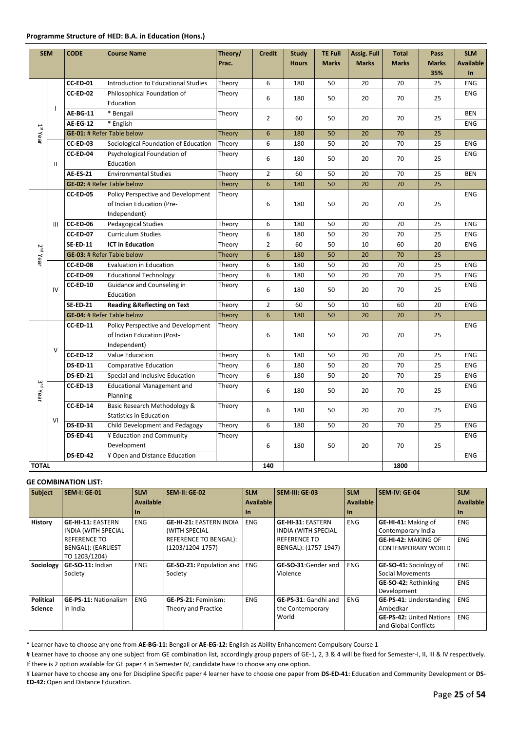| <b>SEM</b>           |              | <b>CODE</b>                     | <b>Course Name</b>                     | Theory/ | <b>Credit</b>  | <b>Study</b> | <b>TE Full</b> | Assig. Full  | <b>Total</b> | Pass         | <b>SLM</b>       |
|----------------------|--------------|---------------------------------|----------------------------------------|---------|----------------|--------------|----------------|--------------|--------------|--------------|------------------|
|                      |              |                                 |                                        | Prac.   |                | <b>Hours</b> | <b>Marks</b>   | <b>Marks</b> | <b>Marks</b> | <b>Marks</b> | <b>Available</b> |
|                      |              |                                 |                                        |         |                |              |                |              |              | 35%          | <b>In</b>        |
|                      |              | CC-ED-01                        | Introduction to Educational Studies    | Theory  | 6              | 180          | 50             | 20           | 70           | 25           | <b>ENG</b>       |
|                      |              | <b>CC-ED-02</b>                 | Philosophical Foundation of            | Theory  | 6              | 180          | 50             | 20           | 70           | 25           | <b>ENG</b>       |
|                      | $\mathbf{I}$ |                                 | Education                              |         |                |              |                |              |              |              |                  |
|                      |              | <b>AE-BG-11</b>                 | * Bengali                              | Theory  | $\overline{2}$ | 60           | 50             | 20           | 70           | 25           | <b>BEN</b>       |
|                      |              | <b>AE-EG-12</b>                 | * English                              |         |                |              |                |              |              |              | <b>ENG</b>       |
| $1st$ Year           |              |                                 | <b>GE-01: # Refer Table below</b>      | Theory  | 6              | 180          | 50             | 20           | 70           | 25           |                  |
|                      |              | CC-ED-03                        | Sociological Foundation of Education   | Theory  | 6              | 180          | 50             | 20           | 70           | 25           | <b>ENG</b>       |
|                      |              | CC-ED-04                        | Psychological Foundation of            | Theory  | 6              | 180          | 50             | 20           | 70           | 25           | <b>ENG</b>       |
|                      | Ш            |                                 | Education                              |         |                |              |                |              |              |              |                  |
|                      |              | <b>AE-ES-21</b>                 | <b>Environmental Studies</b>           | Theory  | $\overline{2}$ | 60           | 50             | 20           | 70           | 25           | <b>BEN</b>       |
|                      |              |                                 | <b>GE-02: # Refer Table below</b>      | Theory  | 6              | 180          | 50             | 20           | 70           | 25           |                  |
|                      |              | <b>CC-ED-05</b>                 | Policy Perspective and Development     | Theory  |                |              |                |              |              |              | <b>ENG</b>       |
|                      |              |                                 | of Indian Education (Pre-              |         | 6              | 180          | 50             | 20           | 70           | 25           |                  |
|                      |              |                                 | Independent)                           |         |                |              |                |              |              |              |                  |
|                      | III          | CC-ED-06<br>Pedagogical Studies |                                        | Theory  | 6              | 180          | 50             | 20           | 70           | 25           | <b>ENG</b>       |
|                      |              | <b>CC-ED-07</b>                 | <b>Curriculum Studies</b>              | Theory  | 6              | 180          | 50             | 20           | 70           | 25           | <b>ENG</b>       |
|                      |              | <b>SE-ED-11</b>                 | <b>ICT in Education</b>                | Theory  | $\overline{2}$ | 60           | 50             | 10           | 60           | 20           | <b>ENG</b>       |
| 2 <sup>nd</sup> Year |              |                                 | <b>GE-03: # Refer Table below</b>      | Theory  | 6              | 180          | 50             | 20           | 70           | 25           |                  |
|                      |              | CC-ED-08                        | <b>Evaluation in Education</b>         | Theory  | 6              | 180          | 50             | 20           | 70           | 25           | <b>ENG</b>       |
|                      |              | CC-ED-09                        | <b>Educational Technology</b>          | Theory  | 6              | 180          | 50             | 20           | 70           | 25           | <b>ENG</b>       |
|                      | IV           | <b>CC-ED-10</b>                 | Guidance and Counseling in             | Theory  | 6              | 180          | 50             | 20           | 70           | 25           | <b>ENG</b>       |
|                      |              |                                 | Education                              |         |                |              |                |              |              |              |                  |
|                      |              | <b>SE-ED-21</b>                 | <b>Reading &amp;Reflecting on Text</b> | Theory  | $\overline{2}$ | 60           | 50             | 10           | 60           | 20           | <b>ENG</b>       |
|                      |              |                                 | <b>GE-04: # Refer Table below</b>      | Theory  | 6              | 180          | 50             | 20           | 70           | 25           |                  |
|                      |              | <b>CC-ED-11</b>                 | Policy Perspective and Development     | Theory  |                |              |                |              |              |              | <b>ENG</b>       |
|                      |              |                                 | of Indian Education (Post-             |         | 6              | 180          | 50             | 20           | 70           | 25           |                  |
|                      | $\vee$       |                                 | Independent)                           |         |                |              |                |              |              |              |                  |
|                      |              | <b>CC-ED-12</b>                 | Value Education                        | Theory  | 6              | 180          | 50             | 20           | 70           | 25           | <b>ENG</b>       |
|                      |              | <b>DS-ED-11</b>                 | <b>Comparative Education</b>           | Theory  | 6              | 180          | 50             | 20           | 70           | 25           | <b>ENG</b>       |
|                      |              | <b>DS-ED-21</b>                 | Special and Inclusive Education        | Theory  | 6              | 180          | 50             | 20           | 70           | 25           | <b>ENG</b>       |
| 3 <sup>rd</sup> Year |              | CC-ED-13                        | <b>Educational Management and</b>      | Theory  | 6              | 180          | 50             | 20           | 70           | 25           | <b>ENG</b>       |
|                      |              |                                 | Planning                               |         |                |              |                |              |              |              |                  |
|                      |              | CC-ED-14                        | Basic Research Methodology &           | Theory  | 6              | 180          | 50             | 20           | 70           | 25           | <b>ENG</b>       |
|                      | VI           |                                 | <b>Statistics in Education</b>         |         |                |              |                |              |              |              |                  |
|                      |              | <b>DS-ED-31</b>                 | Child Development and Pedagogy         | Theory  | 6              | 180          | 50             | 20           | 70           | 25           | <b>ENG</b>       |
|                      |              | <b>DS-ED-41</b>                 | ¥ Education and Community              | Theory  |                |              |                |              |              |              | <b>ENG</b>       |
|                      |              |                                 | Development                            |         | 6              | 180          | 50             | 20           | 70           | 25           |                  |
|                      |              | <b>DS-ED-42</b>                 | ¥ Open and Distance Education          |         |                |              |                |              |              |              | <b>ENG</b>       |
| <b>TOTAL</b>         |              |                                 |                                        |         | 140            |              |                |              | 1800         |              |                  |

| <b>Subject</b>                     | <b>SEM-I: GE-01</b>                                               | <b>SLM</b> | <b>SEM-II: GE-02</b>                              | <b>SLM</b> | SEM-III: GE-03                                  | <b>SLM</b> | <b>SEM-IV: GE-04</b>                                    | <b>SLM</b> |
|------------------------------------|-------------------------------------------------------------------|------------|---------------------------------------------------|------------|-------------------------------------------------|------------|---------------------------------------------------------|------------|
|                                    |                                                                   | Available  |                                                   | Available  |                                                 | Available  |                                                         | Available  |
|                                    |                                                                   | l In       |                                                   | l In       |                                                 | $\ln$      |                                                         | l In       |
| <b>History</b>                     | <b>GE-HI-11: EASTERN</b><br><b>INDIA (WITH SPECIAL</b>            | <b>ENG</b> | <b>GE-HI-21: EASTERN INDIA</b><br>(WITH SPECIAL   | <b>ENG</b> | GE-HI-31: EASTERN<br><b>INDIA (WITH SPECIAL</b> | <b>ENG</b> | GE-HI-41: Making of<br>Contemporary India               | <b>ENG</b> |
|                                    | <b>REFERENCE TO</b><br><b>BENGAL): (EARLIEST</b><br>TO 1203/1204) |            | REFERENCE TO BENGAL):<br>$(1203/1204-1757)$       |            | <b>REFERENCE TO</b><br>BENGAL): (1757-1947)     |            | <b>GE-HI-42: MAKING OF</b><br><b>CONTEMPORARY WORLD</b> | <b>ENG</b> |
| Sociology                          | GE-SO-11: Indian<br>Society                                       | <b>ENG</b> | <b>GE-SO-21: Population and</b><br>Society        | <b>ENG</b> | GE-SO-31:Gender and<br>Violence                 | <b>ENG</b> | GE-SO-41: Sociology of<br>Social Movements              | <b>ENG</b> |
|                                    |                                                                   |            |                                                   |            |                                                 |            | <b>GE-SO-42: Rethinking</b><br>Development              | <b>ENG</b> |
| <b>Political</b><br><b>Science</b> | <b>GE-PS-11: Nationalism</b><br>in India                          | <b>ENG</b> | <b>GE-PS-21: Feminism:</b><br>Theory and Practice | <b>ENG</b> | GE-PS-31: Gandhi and<br>the Contemporary        | <b>ENG</b> | GE-PS-41: Understanding<br>Ambedkar                     | <b>ENG</b> |
|                                    |                                                                   |            |                                                   |            | World                                           |            | <b>GE-PS-42: United Nations</b><br>and Global Conflicts | <b>ENG</b> |

\* Learner have to choose any one from **AE-BG-11:** Bengali or **AE-EG-12:** English as Ability Enhancement Compulsory Course 1

# Learner have to choose any one subject from GE combination list, accordingly group papers of GE-1, 2, 3 & 4 will be fixed for Semester-I, II, III & IV respectively. If there is 2 option available for GE paper 4 in Semester IV, candidate have to choose any one option.

¥ Learner have to choose any one for Discipline Specific paper 4 learner have to choose one paper from **DS-ED-41:** Education and Community Development or **DS-ED-42:** Open and Distance Education.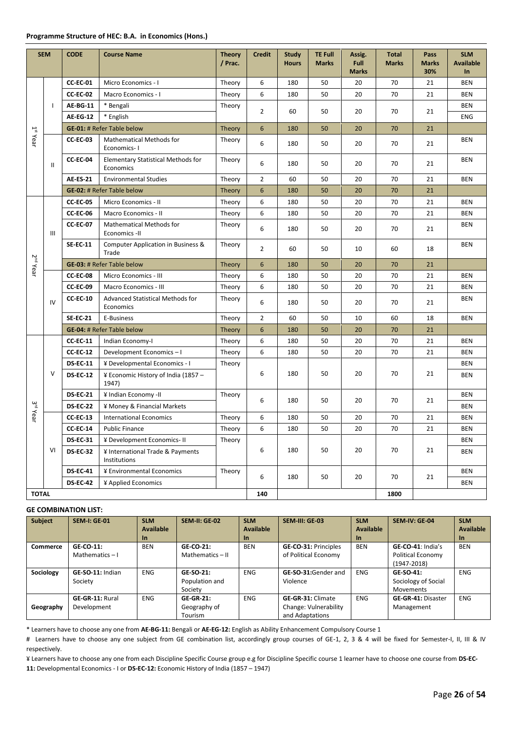## **Programme Structure of HEC: B.A. in Economics (Hons.)**

|                        | <b>SEM</b>   | <b>CODE</b>                       | <b>Course Name</b>                                     | <b>Theory</b><br>/ Prac. | <b>Credit</b>    | <b>Study</b><br><b>Hours</b> | <b>TE Full</b><br><b>Marks</b> | Assig.<br>Full<br><b>Marks</b> | <b>Total</b><br><b>Marks</b> | Pass<br><b>Marks</b><br>30% | <b>SLM</b><br><b>Available</b><br>$\ln$ |
|------------------------|--------------|-----------------------------------|--------------------------------------------------------|--------------------------|------------------|------------------------------|--------------------------------|--------------------------------|------------------------------|-----------------------------|-----------------------------------------|
|                        |              | <b>CC-EC-01</b>                   | Micro Economics - I                                    | Theory                   | 6                | 180                          | 50                             | 20                             | 70                           | 21                          | <b>BEN</b>                              |
|                        |              | <b>CC-EC-02</b>                   | Macro Economics - I                                    | Theory                   | 6                | 180                          | 50                             | 20                             | 70                           | 21                          | <b>BEN</b>                              |
|                        | $\mathbf{I}$ | <b>AE-BG-11</b>                   | * Bengali                                              | Theory                   | $\overline{2}$   | 60                           | 50                             | 20                             | 70                           |                             | <b>BEN</b>                              |
|                        |              | <b>AE-EG-12</b>                   | * English                                              |                          |                  |                              |                                |                                |                              | 21                          | <b>ENG</b>                              |
|                        |              | <b>GE-01: # Refer Table below</b> |                                                        | Theory                   | $6\phantom{1}6$  | 180                          | 50                             | 20                             | 70                           | 21                          |                                         |
| $1$ <sup>st</sup> Year |              | <b>CC-EC-03</b>                   | <b>Mathematical Methods for</b><br>Economics-1         | Theory                   | 6                | 180                          | 50                             | 20                             | 70                           | 21                          | <b>BEN</b>                              |
|                        | Ш            | CC-EC-04                          | <b>Elementary Statistical Methods for</b><br>Economics | Theory                   | 6                | 180                          | 50                             | 20                             | 70                           | 21                          | <b>BEN</b>                              |
|                        |              | <b>AE-ES-21</b>                   | <b>Environmental Studies</b>                           | Theory                   | 2                | 60                           | 50                             | 20                             | 70                           | 21                          | <b>BEN</b>                              |
|                        |              |                                   | <b>GE-02: # Refer Table below</b>                      | <b>Theory</b>            | 6                | 180                          | 50                             | 20                             | 70                           | 21                          |                                         |
|                        |              | <b>CC-EC-05</b>                   | Micro Economics - II                                   | Theory                   | 6                | 180                          | 50                             | 20                             | 70                           | 21                          | <b>BEN</b>                              |
|                        |              | CC-EC-06                          | <b>Macro Economics - II</b>                            | Theory                   | 6                | 180                          | 50                             | 20                             | 70                           | 21                          | <b>BEN</b>                              |
|                        | Ш            | <b>CC-EC-07</b>                   | Mathematical Methods for<br>Economics -II              | Theory                   | 6                | 180                          | 50                             | 20                             | 70                           | 21                          | <b>BEN</b>                              |
|                        |              | <b>SE-EC-11</b>                   | Computer Application in Business &<br>Trade            | Theory                   | $\overline{2}$   | 60                           | 50                             | 10                             | 60                           | 18                          | <b>BEN</b>                              |
| 2 <sup>nd</sup> Year   |              |                                   | <b>GE-03: # Refer Table below</b>                      | Theory                   | $\boldsymbol{6}$ | 180                          | 50                             | 20                             | 70                           | 21                          |                                         |
|                        | IV           | CC-EC-08                          | Micro Economics - III                                  | Theory                   | 6                | 180                          | 50                             | 20                             | 70                           | 21                          | <b>BEN</b>                              |
|                        |              | <b>CC-EC-09</b>                   | <b>Macro Economics - III</b>                           | Theory                   | 6                | 180                          | 50                             | 20                             | 70                           | 21                          | <b>BEN</b>                              |
|                        |              | <b>CC-EC-10</b>                   | <b>Advanced Statistical Methods for</b><br>Economics   | Theory                   | 6                | 180                          | 50                             | 20                             | 70                           | 21                          | <b>BEN</b>                              |
|                        |              | <b>SE-EC-21</b>                   | E-Business                                             | Theory                   | $\overline{2}$   | 60                           | 50                             | 10                             | 60                           | 18                          | <b>BEN</b>                              |
|                        |              | <b>GE-04: # Refer Table below</b> |                                                        | <b>Theory</b>            | $6\phantom{1}6$  | 180                          | 50                             | 20                             | 70                           | 21                          |                                         |
|                        |              | <b>CC-EC-11</b>                   | Indian Economy-I                                       | Theory                   | 6                | 180                          | 50                             | 20                             | 70                           | 21                          | <b>BEN</b>                              |
|                        |              | <b>CC-EC-12</b>                   | Development Economics-I                                | Theory                   | 6                | 180                          | 50                             | 20                             | 70                           | 21                          | <b>BEN</b>                              |
|                        |              | <b>DS-EC-11</b>                   | ¥ Developmental Economics - I                          | Theory                   |                  |                              |                                |                                |                              |                             | <b>BEN</b>                              |
|                        | V            | <b>DS-EC-12</b>                   | ¥ Economic History of India (1857 -<br>1947)           |                          | 6                | 180                          | 50                             | 20                             | 70                           | 21                          | <b>BEN</b>                              |
|                        |              | <b>DS-EC-21</b>                   | ¥ Indian Economy -II                                   | Theory                   | 6                | 180                          | 50                             | 20                             | 70                           | 21                          | <b>BEN</b>                              |
| 3 <sup>rd</sup> Year   |              | <b>DS-EC-22</b>                   | ¥ Money & Financial Markets                            |                          |                  |                              |                                |                                |                              |                             | <b>BEN</b>                              |
|                        |              | <b>CC-EC-13</b>                   | <b>International Economics</b>                         | Theory                   | 6                | 180                          | 50                             | 20                             | 70                           | 21                          | <b>BEN</b>                              |
|                        |              | <b>CC-EC-14</b>                   | <b>Public Finance</b>                                  | Theory                   | 6                | 180                          | 50                             | 20                             | 70                           | 21                          | <b>BEN</b>                              |
|                        |              | <b>DS-EC-31</b>                   | ¥ Development Economics-II                             | Theory                   |                  |                              |                                |                                |                              |                             | <b>BEN</b>                              |
|                        | VI           | <b>DS-EC-32</b>                   | ¥ International Trade & Payments<br>Institutions       |                          | 6                | 180                          | 50                             | 20                             | 70                           | 21                          | BEN                                     |
|                        |              | <b>DS-EC-41</b>                   | ¥ Environmental Economics                              | Theory                   | 6                | 180                          | 50                             |                                | 70                           | 21                          | <b>BEN</b>                              |
|                        |              | <b>DS-EC-42</b>                   | ¥ Applied Economics                                    |                          |                  |                              |                                | 20                             |                              |                             | BEN                                     |
| <b>TOTAL</b>           |              |                                   |                                                        |                          | 140              |                              |                                |                                | 1800                         |                             |                                         |

#### **GE COMBINATION LIST:**

| <b>Subject</b>  | <b>SEM-I: GE-01</b>            | <b>SLM</b><br><b>Available</b><br>$\ln$ | <b>SEM-II: GE-02</b>                        | <b>SLM</b><br>Available<br><b>In</b> | SEM-III: GE-03                                                       | <b>SLM</b><br><b>Available</b><br><b>In</b> | SEM-IV: GE-04                                             | <b>SLM</b><br><b>Available</b><br>$\ln$ |
|-----------------|--------------------------------|-----------------------------------------|---------------------------------------------|--------------------------------------|----------------------------------------------------------------------|---------------------------------------------|-----------------------------------------------------------|-----------------------------------------|
| <b>Commerce</b> | GE-CO-11:<br>Mathematics $-1$  | <b>BEN</b>                              | GE-CO-21:<br>Mathematics - II               | <b>BEN</b>                           | <b>GE-CO-31: Principles</b><br>of Political Economy                  | <b>BEN</b>                                  | GE-CO-41: India's<br>Political Economy<br>$(1947 - 2018)$ | <b>BEN</b>                              |
| Sociology       | GE-SO-11: Indian<br>Society    | <b>ENG</b>                              | GE-SO-21:<br>Population and<br>Society      | <b>ENG</b>                           | GE-SO-31:Gender and<br>Violence                                      | <b>ENG</b>                                  | GE-SO-41:<br>Sociology of Social<br>Movements             | <b>ENG</b>                              |
| Geography       | GE-GR-11: Rural<br>Development | <b>ENG</b>                              | <b>GE-GR-21:</b><br>Geography of<br>Tourism | <b>ENG</b>                           | <b>GE-GR-31: Climate</b><br>Change: Vulnerability<br>and Adaptations | <b>ENG</b>                                  | <b>GE-GR-41: Disaster</b><br>Management                   | <b>ENG</b>                              |

\* Learners have to choose any one from **AE-BG-11:** Bengali or **AE-EG-12:** English as Ability Enhancement Compulsory Course 1

# Learners have to choose any one subject from GE combination list, accordingly group courses of GE-1, 2, 3 & 4 will be fixed for Semester-I, II, III & IV respectively.

¥ Learners have to choose any one from each Discipline Specific Course group e.g for Discipline Specific course 1 learner have to choose one course from **DS-EC-11:** Developmental Economics - I or **DS-EC-12:** Economic History of India (1857 – 1947)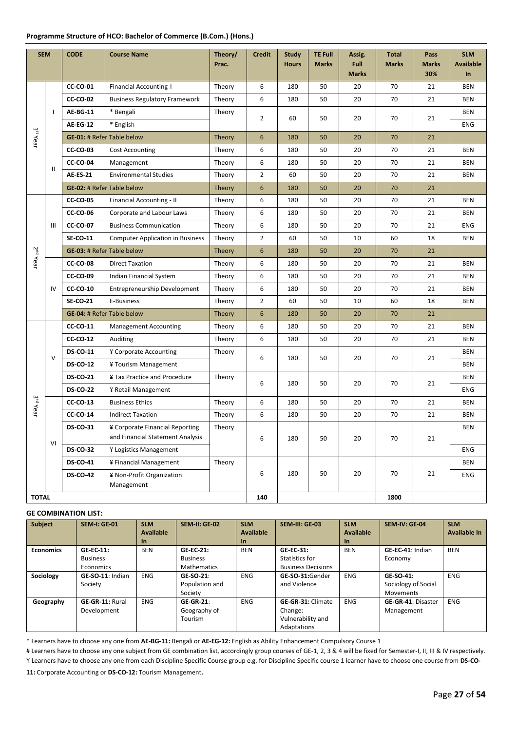#### **Programme Structure of HCO: Bachelor of Commerce (B.Com.) (Hons.)**

| <b>SEM</b>           |              | <b>CODE</b>                       | <b>Course Name</b>                                                  | Theory/<br>Prac. | <b>TE Full</b><br><b>Credit</b><br><b>Study</b><br><b>Total</b><br>Assig.<br>Pass<br><b>Full</b><br><b>Hours</b><br><b>Marks</b><br><b>Marks</b><br><b>Marks</b><br>30% |     | <b>Marks</b> | <b>SLM</b><br><b>Available</b><br>In |        |        |            |
|----------------------|--------------|-----------------------------------|---------------------------------------------------------------------|------------------|-------------------------------------------------------------------------------------------------------------------------------------------------------------------------|-----|--------------|--------------------------------------|--------|--------|------------|
|                      |              | <b>CC-CO-01</b>                   | <b>Financial Accounting-I</b>                                       | Theory           | 6                                                                                                                                                                       | 180 | 50           | 20                                   | 70     | 21     | <b>BEN</b> |
|                      |              | <b>CC-CO-02</b>                   | <b>Business Regulatory Framework</b>                                | Theory           | 6                                                                                                                                                                       | 180 | 50           | 20                                   | 70     | 21     | <b>BEN</b> |
|                      | $\mathbf{I}$ | <b>AE-BG-11</b>                   | * Bengali                                                           | Theory           |                                                                                                                                                                         |     |              |                                      |        |        | <b>BEN</b> |
|                      |              | <b>AE-EG-12</b>                   | * English                                                           |                  | $\overline{2}$                                                                                                                                                          | 60  | 50           | 20                                   | 70     | 21     | ENG        |
| $1^{st}$ Year        |              | <b>GE-01: # Refer Table below</b> |                                                                     | Theory           | 6                                                                                                                                                                       | 180 | 50           | 20                                   | 70     | 21     |            |
|                      |              | <b>CC-CO-03</b>                   | <b>Cost Accounting</b>                                              | Theory           | 6                                                                                                                                                                       | 180 | 50           | 20                                   | 70     | 21     | <b>BEN</b> |
|                      | Ш            | <b>CC-CO-04</b>                   | Management                                                          | Theory           | 6                                                                                                                                                                       | 180 | 50           | 20                                   | 70     | 21     | <b>BEN</b> |
|                      |              | <b>AE-ES-21</b>                   | <b>Environmental Studies</b>                                        | Theory           | $\overline{2}$                                                                                                                                                          | 60  | 50           | 20                                   | 70     | 21     | <b>BEN</b> |
|                      |              |                                   | <b>GE-02: # Refer Table below</b>                                   | Theory           | $\boldsymbol{6}$                                                                                                                                                        | 180 | 50           | 20                                   | 70     | 21     |            |
|                      |              | <b>CC-CO-05</b>                   | Financial Accounting - II                                           | Theory           | 6                                                                                                                                                                       | 180 | 50           | 20                                   | 70     | 21     | <b>BEN</b> |
|                      |              | <b>CC-CO-06</b>                   | Corporate and Labour Laws                                           | Theory           | 6                                                                                                                                                                       | 180 | 50           | 20                                   | 70     | 21     | <b>BEN</b> |
|                      | Ш            | <b>CC-CO-07</b>                   | <b>Business Communication</b>                                       | Theory           | 6                                                                                                                                                                       | 180 | 50           | 20                                   | 70     | 21     | ENG        |
| 2 <sup>nd</sup> Year |              | <b>SE-CO-11</b>                   | <b>Computer Application in Business</b>                             | Theory           | $\overline{2}$                                                                                                                                                          | 60  | 50           | 10                                   | 60     | 18     | <b>BEN</b> |
|                      |              |                                   | <b>GE-03: # Refer Table below</b>                                   | <b>Theory</b>    | $6\phantom{1}$                                                                                                                                                          | 180 | 50           | 20                                   | 70     | 21     |            |
|                      |              | <b>CC-CO-08</b>                   | <b>Direct Taxation</b>                                              | Theory           | 6                                                                                                                                                                       | 180 | 50           | 20                                   | 70     | 21     | <b>BEN</b> |
|                      | IV           | <b>CC-CO-09</b>                   | Indian Financial System                                             | Theory           | 6                                                                                                                                                                       | 180 | 50           | 20                                   | 70     | 21     | <b>BEN</b> |
|                      |              | <b>CC-CO-10</b>                   | Entrepreneurship Development                                        | Theory           | 6                                                                                                                                                                       | 180 | 50           | 20                                   | 70     | 21     | <b>BEN</b> |
|                      |              | <b>SE-CO-21</b>                   | E-Business                                                          | Theory           | $\overline{2}$                                                                                                                                                          | 60  | 50           | 10                                   | 60     | 18     | <b>BEN</b> |
|                      |              |                                   | <b>GE-04: # Refer Table below</b>                                   | <b>Theory</b>    | 6                                                                                                                                                                       | 180 | 50           | 20                                   | 70     | 21     |            |
|                      |              | <b>CC-CO-11</b>                   | <b>Management Accounting</b>                                        | Theory           | 6                                                                                                                                                                       | 180 | 50           | 20                                   | 70     | 21     | <b>BEN</b> |
|                      |              | <b>CC-CO-12</b>                   | Auditing                                                            | Theory           | 6                                                                                                                                                                       | 180 | 50           | 20                                   | 70     | 21     | <b>BEN</b> |
|                      | $\vee$       | <b>DS-CO-11</b>                   | ¥ Corporate Accounting                                              | Theory           | 6                                                                                                                                                                       | 180 | 50           | 20                                   | 70     | 21     | <b>BEN</b> |
|                      |              | <b>DS-CO-12</b>                   | ¥ Tourism Management                                                |                  |                                                                                                                                                                         |     |              |                                      |        |        | <b>BEN</b> |
|                      |              | <b>DS-CO-21</b>                   | ¥ Tax Practice and Procedure                                        | Theory           | 6                                                                                                                                                                       | 180 | 50           | 20                                   | 70     | 21     | <b>BEN</b> |
|                      |              | <b>DS-CO-22</b>                   | ¥ Retail Management                                                 |                  |                                                                                                                                                                         |     |              |                                      |        |        | ENG        |
| 3 <sup>rd</sup> Year |              | <b>CC-CO-13</b>                   | <b>Business Ethics</b>                                              | Theory           | 6                                                                                                                                                                       | 180 | 50           | 20                                   | 70     | 21     | <b>BEN</b> |
|                      |              | <b>CC-CO-14</b>                   | <b>Indirect Taxation</b>                                            | Theory           | 6                                                                                                                                                                       | 180 | 50           | 20                                   | 70     | 21     | <b>BEN</b> |
|                      | VI           | <b>DS-CO-31</b>                   | ¥ Corporate Financial Reporting<br>and Financial Statement Analysis | Theory           | 6                                                                                                                                                                       | 180 | 50           | 20                                   | $70\,$ | $21\,$ | <b>BEN</b> |
|                      |              | <b>DS-CO-32</b>                   | ¥ Logistics Management                                              |                  |                                                                                                                                                                         |     |              |                                      |        |        | ENG        |
|                      |              | <b>DS-CO-41</b>                   | ¥ Financial Management                                              | Theory           |                                                                                                                                                                         |     |              |                                      |        |        | BEN        |
|                      |              | <b>DS-CO-42</b>                   | ¥ Non-Profit Organization<br>Management                             |                  | 6                                                                                                                                                                       | 180 | 50           | 20                                   | 70     | 21     | ENG        |
| <b>TOTAL</b>         |              |                                   |                                                                     |                  | 140                                                                                                                                                                     |     |              |                                      | 1800   |        |            |

#### **GE COMBINATION LIST:**

| <b>Subject</b>   | <b>SEM-I: GE-01</b>    | <b>SLM</b>       | <b>SEM-II: GE-02</b> | <b>SLM</b> | SEM-III: GE-03            | <b>SLM</b> | <b>SEM-IV: GE-04</b>      | <b>SLM</b>   |
|------------------|------------------------|------------------|----------------------|------------|---------------------------|------------|---------------------------|--------------|
|                  |                        | <b>Available</b> |                      | Available  |                           | Available  |                           | Available In |
|                  |                        | In.              |                      | In.        |                           | <b>In</b>  |                           |              |
| <b>Economics</b> | <b>GE-EC-11:</b>       | <b>BEN</b>       | <b>GE-EC-21:</b>     | <b>BEN</b> | <b>GE-EC-31:</b>          | <b>BEN</b> | GE-EC-41: Indian          | <b>BEN</b>   |
|                  | <b>Business</b>        |                  | <b>Business</b>      |            | Statistics for            |            | Economy                   |              |
|                  | Economics              |                  | <b>Mathematics</b>   |            | <b>Business Decisions</b> |            |                           |              |
| Sociology        | GE-SO-11: Indian       | <b>ENG</b>       | GE-SO-21:            | <b>ENG</b> | GE-SO-31:Gender           | <b>ENG</b> | GE-SO-41:                 | <b>ENG</b>   |
|                  | Society                |                  | Population and       |            | and Violence              |            | Sociology of Social       |              |
|                  |                        |                  | Society              |            |                           |            | <b>Movements</b>          |              |
| Geography        | <b>GE-GR-11: Rural</b> | <b>ENG</b>       | $GE-GR-21$ :         | <b>ENG</b> | <b>GE-GR-31: Climate</b>  | <b>ENG</b> | <b>GE-GR-41: Disaster</b> | <b>ENG</b>   |
|                  | Development            |                  | Geography of         |            | Change:                   |            | Management                |              |
|                  |                        |                  | Tourism              |            | Vulnerability and         |            |                           |              |
|                  |                        |                  |                      |            | Adaptations               |            |                           |              |

\* Learners have to choose any one from **AE-BG-11:** Bengali or **AE-EG-12:** English as Ability Enhancement Compulsory Course 1

# Learners have to choose any one subject from GE combination list, accordingly group courses of GE-1, 2, 3 & 4 will be fixed for Semester-I, II, III & IV respectively.

¥ Learners have to choose any one from each Discipline Specific Course group e.g. for Discipline Specific course 1 learner have to choose one course from **DS-CO-**

**11:** Corporate Accounting or **DS-CO-12:** Tourism Management.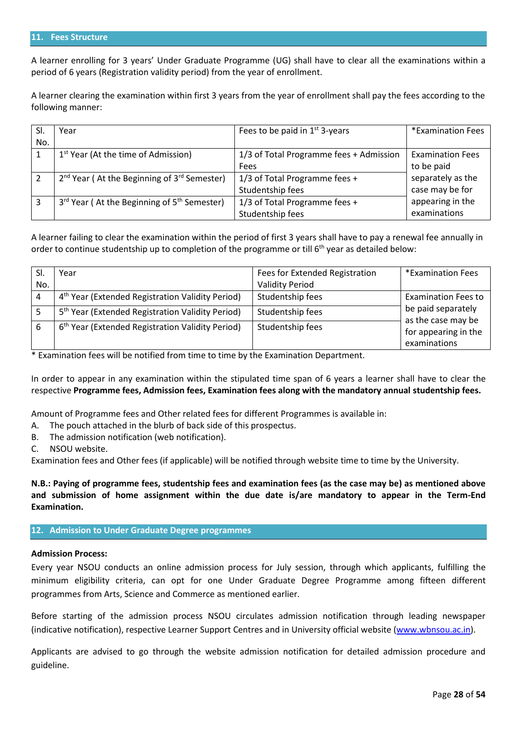#### **11. Fees Structure**

A learner enrolling for 3 years' Under Graduate Programme (UG) shall have to clear all the examinations within a period of 6 years (Registration validity period) from the year of enrollment.

A learner clearing the examination within first 3 years from the year of enrollment shall pay the fees according to the following manner:

| SI. | Year                                                                | Fees to be paid in $1st$ 3-years        | *Examination Fees       |
|-----|---------------------------------------------------------------------|-----------------------------------------|-------------------------|
| No. |                                                                     |                                         |                         |
|     | 1 <sup>st</sup> Year (At the time of Admission)                     | 1/3 of Total Programme fees + Admission | <b>Examination Fees</b> |
|     |                                                                     | Fees                                    | to be paid              |
|     | $2nd$ Year (At the Beginning of $3rd$ Semester)                     | 1/3 of Total Programme fees +           | separately as the       |
|     |                                                                     | Studentship fees                        | case may be for         |
| 3   | 3 <sup>rd</sup> Year (At the Beginning of 5 <sup>th</sup> Semester) | 1/3 of Total Programme fees +           | appearing in the        |
|     |                                                                     | Studentship fees                        | examinations            |

A learner failing to clear the examination within the period of first 3 years shall have to pay a renewal fee annually in order to continue studentship up to completion of the programme or till 6<sup>th</sup> year as detailed below:

|     | Year                                                         | Fees for Extended Registration | *Examination Fees                        |
|-----|--------------------------------------------------------------|--------------------------------|------------------------------------------|
| No. |                                                              | <b>Validity Period</b>         |                                          |
|     | 4 <sup>th</sup> Year (Extended Registration Validity Period) | Studentship fees               | <b>Examination Fees to</b>               |
|     | 5 <sup>th</sup> Year (Extended Registration Validity Period) | Studentship fees               | be paid separately<br>as the case may be |
| 6   | 6 <sup>th</sup> Year (Extended Registration Validity Period) | Studentship fees               | for appearing in the<br>examinations     |

\* Examination fees will be notified from time to time by the Examination Department.

In order to appear in any examination within the stipulated time span of 6 years a learner shall have to clear the respective **Programme fees, Admission fees, Examination fees along with the mandatory annual studentship fees.** 

Amount of Programme fees and Other related fees for different Programmes is available in:

- A. The pouch attached in the blurb of back side of this prospectus.
- B. The admission notification (web notification).
- C. NSOU website.

Examination fees and Other fees (if applicable) will be notified through website time to time by the University.

**N.B.: Paying of programme fees, studentship fees and examination fees (as the case may be) as mentioned above and submission of home assignment within the due date is/are mandatory to appear in the Term-End Examination.**

#### **12. Admission to Under Graduate Degree programmes**

#### **Admission Process:**

Every year NSOU conducts an online admission process for July session, through which applicants, fulfilling the minimum eligibility criteria, can opt for one Under Graduate Degree Programme among fifteen different programmes from Arts, Science and Commerce as mentioned earlier.

Before starting of the admission process NSOU circulates admission notification through leading newspaper (indicative notification), respective Learner Support Centres and in University official website [\(www.wbnsou.ac.in\)](http://www.wbnsou.ac.in/).

Applicants are advised to go through the website admission notification for detailed admission procedure and guideline.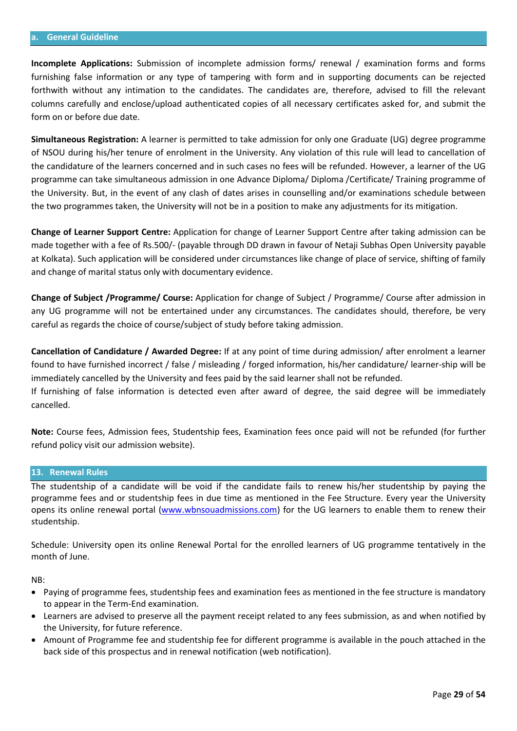#### **a. General Guideline**

**Incomplete Applications:** Submission of incomplete admission forms/ renewal / examination forms and forms furnishing false information or any type of tampering with form and in supporting documents can be rejected forthwith without any intimation to the candidates. The candidates are, therefore, advised to fill the relevant columns carefully and enclose/upload authenticated copies of all necessary certificates asked for, and submit the form on or before due date.

**Simultaneous Registration:** A learner is permitted to take admission for only one Graduate (UG) degree programme of NSOU during his/her tenure of enrolment in the University. Any violation of this rule will lead to cancellation of the candidature of the learners concerned and in such cases no fees will be refunded. However, a learner of the UG programme can take simultaneous admission in one Advance Diploma/ Diploma /Certificate/ Training programme of the University. But, in the event of any clash of dates arises in counselling and/or examinations schedule between the two programmes taken, the University will not be in a position to make any adjustments for its mitigation.

**Change of Learner Support Centre:** Application for change of Learner Support Centre after taking admission can be made together with a fee of Rs.500/- (payable through DD drawn in favour of Netaji Subhas Open University payable at Kolkata). Such application will be considered under circumstances like change of place of service, shifting of family and change of marital status only with documentary evidence.

**Change of Subject /Programme/ Course:** Application for change of Subject / Programme/ Course after admission in any UG programme will not be entertained under any circumstances. The candidates should, therefore, be very careful as regards the choice of course/subject of study before taking admission.

**Cancellation of Candidature / Awarded Degree:** If at any point of time during admission/ after enrolment a learner found to have furnished incorrect / false / misleading / forged information, his/her candidature/ learner-ship will be immediately cancelled by the University and fees paid by the said learner shall not be refunded.

If furnishing of false information is detected even after award of degree, the said degree will be immediately cancelled.

**Note:** Course fees, Admission fees, Studentship fees, Examination fees once paid will not be refunded (for further refund policy visit our admission website).

#### **13. Renewal Rules**

The studentship of a candidate will be void if the candidate fails to renew his/her studentship by paying the programme fees and or studentship fees in due time as mentioned in the Fee Structure. Every year the University opens its online renewal portal [\(www.wbnsouadmissions.com\)](http://www.wbnsouadmissions.com/) for the UG learners to enable them to renew their studentship.

Schedule: University open its online Renewal Portal for the enrolled learners of UG programme tentatively in the month of June.

NB:

- Paying of programme fees, studentship fees and examination fees as mentioned in the fee structure is mandatory to appear in the Term-End examination.
- Learners are advised to preserve all the payment receipt related to any fees submission, as and when notified by the University, for future reference.
- Amount of Programme fee and studentship fee for different programme is available in the pouch attached in the back side of this prospectus and in renewal notification (web notification).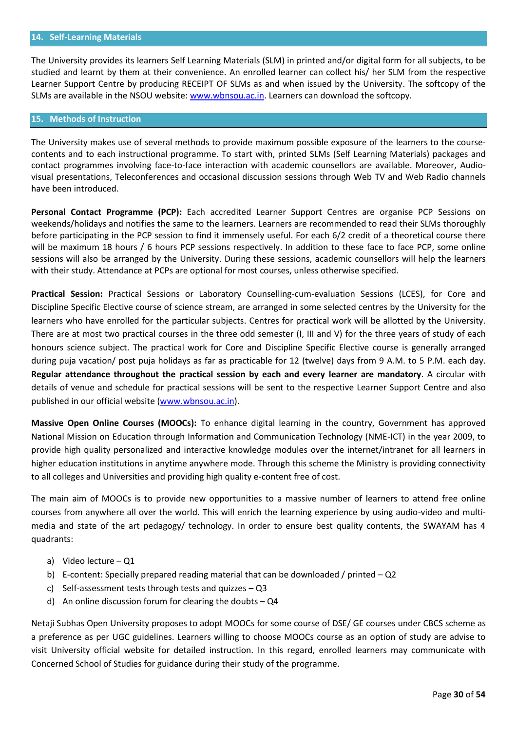The University provides its learners Self Learning Materials (SLM) in printed and/or digital form for all subjects, to be studied and learnt by them at their convenience. An enrolled learner can collect his/ her SLM from the respective Learner Support Centre by producing RECEIPT OF SLMs as and when issued by the University. The softcopy of the SLMs are available in the NSOU website[: www.wbnsou.ac.in.](http://www.wbnsou.ac.in/) Learners can download the softcopy.

## **15. Methods of Instruction**

The University makes use of several methods to provide maximum possible exposure of the learners to the coursecontents and to each instructional programme. To start with, printed SLMs (Self Learning Materials) packages and contact programmes involving face-to-face interaction with academic counsellors are available. Moreover, Audiovisual presentations, Teleconferences and occasional discussion sessions through Web TV and Web Radio channels have been introduced.

**Personal Contact Programme (PCP):** Each accredited Learner Support Centres are organise PCP Sessions on weekends/holidays and notifies the same to the learners. Learners are recommended to read their SLMs thoroughly before participating in the PCP session to find it immensely useful. For each 6/2 credit of a theoretical course there will be maximum 18 hours / 6 hours PCP sessions respectively. In addition to these face to face PCP, some online sessions will also be arranged by the University. During these sessions, academic counsellors will help the learners with their study. Attendance at PCPs are optional for most courses, unless otherwise specified.

**Practical Session:** Practical Sessions or Laboratory Counselling-cum-evaluation Sessions (LCES), for Core and Discipline Specific Elective course of science stream, are arranged in some selected centres by the University for the learners who have enrolled for the particular subjects. Centres for practical work will be allotted by the University. There are at most two practical courses in the three odd semester (I, III and V) for the three years of study of each honours science subject. The practical work for Core and Discipline Specific Elective course is generally arranged during puja vacation/ post puja holidays as far as practicable for 12 (twelve) days from 9 A.M. to 5 P.M. each day. **Regular attendance throughout the practical session by each and every learner are mandatory**. A circular with details of venue and schedule for practical sessions will be sent to the respective Learner Support Centre and also published in our official website [\(www.wbnsou.ac.in\)](http://www.wbnsou.ac.in/).

**Massive Open Online Courses (MOOCs):** To enhance digital learning in the country, Government has approved National Mission on Education through Information and Communication Technology (NME-ICT) in the year 2009, to provide high quality personalized and interactive knowledge modules over the internet/intranet for all learners in higher education institutions in anytime anywhere mode. Through this scheme the Ministry is providing connectivity to all colleges and Universities and providing high quality e-content free of cost.

The main aim of MOOCs is to provide new opportunities to a massive number of learners to attend free online courses from anywhere all over the world. This will enrich the learning experience by using audio-video and multimedia and state of the art pedagogy/ technology. In order to ensure best quality contents, the SWAYAM has 4 quadrants:

- a) Video lecture Q1
- b) E-content: Specially prepared reading material that can be downloaded / printed  $-Q2$
- c) Self-assessment tests through tests and quizzes Q3
- d) An online discussion forum for clearing the doubts  $-$  Q4

Netaji Subhas Open University proposes to adopt MOOCs for some course of DSE/ GE courses under CBCS scheme as a preference as per UGC guidelines. Learners willing to choose MOOCs course as an option of study are advise to visit University official website for detailed instruction. In this regard, enrolled learners may communicate with Concerned School of Studies for guidance during their study of the programme.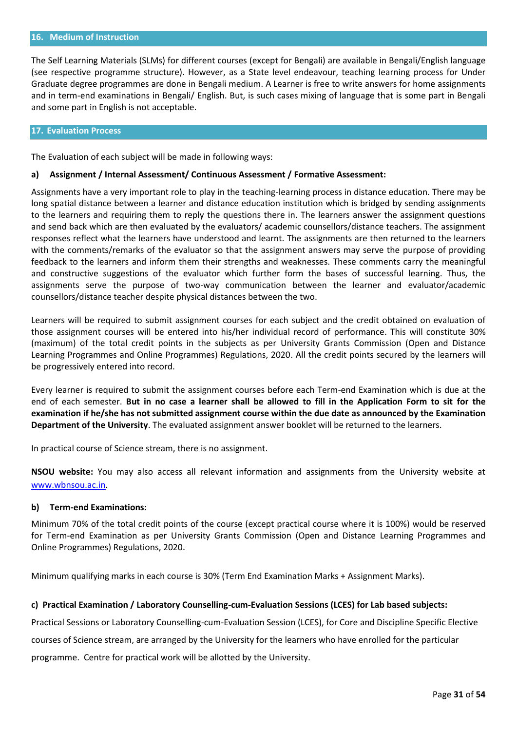#### **16. Medium of Instruction**

The Self Learning Materials (SLMs) for different courses (except for Bengali) are available in Bengali/English language (see respective programme structure). However, as a State level endeavour, teaching learning process for Under Graduate degree programmes are done in Bengali medium. A Learner is free to write answers for home assignments and in term-end examinations in Bengali/ English. But, is such cases mixing of language that is some part in Bengali and some part in English is not acceptable.

#### **17. Evaluation Process**

The Evaluation of each subject will be made in following ways:

#### **a) Assignment / Internal Assessment/ Continuous Assessment / Formative Assessment:**

Assignments have a very important role to play in the teaching-learning process in distance education. There may be long spatial distance between a learner and distance education institution which is bridged by sending assignments to the learners and requiring them to reply the questions there in. The learners answer the assignment questions and send back which are then evaluated by the evaluators/ academic counsellors/distance teachers. The assignment responses reflect what the learners have understood and learnt. The assignments are then returned to the learners with the comments/remarks of the evaluator so that the assignment answers may serve the purpose of providing feedback to the learners and inform them their strengths and weaknesses. These comments carry the meaningful and constructive suggestions of the evaluator which further form the bases of successful learning. Thus, the assignments serve the purpose of two-way communication between the learner and evaluator/academic counsellors/distance teacher despite physical distances between the two.

Learners will be required to submit assignment courses for each subject and the credit obtained on evaluation of those assignment courses will be entered into his/her individual record of performance. This will constitute 30% (maximum) of the total credit points in the subjects as per University Grants Commission (Open and Distance Learning Programmes and Online Programmes) Regulations, 2020. All the credit points secured by the learners will be progressively entered into record.

Every learner is required to submit the assignment courses before each Term-end Examination which is due at the end of each semester. **But in no case a learner shall be allowed to fill in the Application Form to sit for the examination if he/she has not submitted assignment course within the due date as announced by the Examination Department of the University**. The evaluated assignment answer booklet will be returned to the learners.

In practical course of Science stream, there is no assignment.

**NSOU website:** You may also access all relevant information and assignments from the University website at [www.wbnsou.ac.in.](http://www.wbnsou.ac.in/)

#### **b) Term-end Examinations:**

Minimum 70% of the total credit points of the course (except practical course where it is 100%) would be reserved for Term-end Examination as per University Grants Commission (Open and Distance Learning Programmes and Online Programmes) Regulations, 2020.

Minimum qualifying marks in each course is 30% (Term End Examination Marks + Assignment Marks).

#### **c) Practical Examination / Laboratory Counselling-cum-Evaluation Sessions (LCES) for Lab based subjects:**

Practical Sessions or Laboratory Counselling-cum-Evaluation Session (LCES), for Core and Discipline Specific Elective courses of Science stream, are arranged by the University for the learners who have enrolled for the particular

programme. Centre for practical work will be allotted by the University.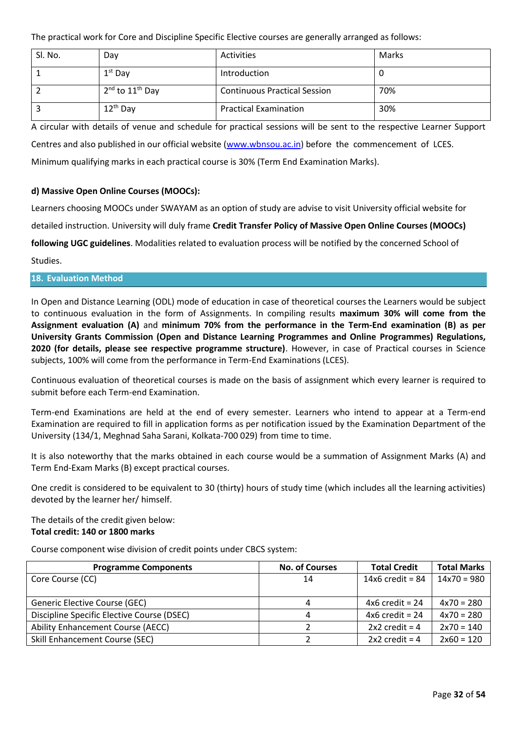The practical work for Core and Discipline Specific Elective courses are generally arranged as follows:

| Sl. No. | Day                 | Activities                          | Marks |
|---------|---------------------|-------------------------------------|-------|
|         | $1st$ Day           | Introduction                        | υ     |
|         | $2nd$ to $11th$ Day | <b>Continuous Practical Session</b> | 70%   |
|         | $12^{th}$ Day       | <b>Practical Examination</b>        | 30%   |

A circular with details of venue and schedule for practical sessions will be sent to the respective Learner Support Centres and also published in our official website [\(www.wbnsou.ac.in\)](http://www.wbnsou.ac.in/) before the commencement of LCES. Minimum qualifying marks in each practical course is 30% (Term End Examination Marks).

## **d) Massive Open Online Courses (MOOCs):**

Learners choosing MOOCs under SWAYAM as an option of study are advise to visit University official website for

detailed instruction. University will duly frame **Credit Transfer Policy of Massive Open Online Courses (MOOCs)** 

**following UGC guidelines**. Modalities related to evaluation process will be notified by the concerned School of

Studies.

## **18. Evaluation Method**

In Open and Distance Learning (ODL) mode of education in case of theoretical courses the Learners would be subject to continuous evaluation in the form of Assignments. In compiling results **maximum 30% will come from the Assignment evaluation (A)** and **minimum 70% from the performance in the Term-End examination (B) as per University Grants Commission (Open and Distance Learning Programmes and Online Programmes) Regulations, 2020 (for details, please see respective programme structure)**. However, in case of Practical courses in Science subjects, 100% will come from the performance in Term-End Examinations (LCES).

Continuous evaluation of theoretical courses is made on the basis of assignment which every learner is required to submit before each Term-end Examination.

Term-end Examinations are held at the end of every semester. Learners who intend to appear at a Term-end Examination are required to fill in application forms as per notification issued by the Examination Department of the University (134/1, Meghnad Saha Sarani, Kolkata-700 029) from time to time.

It is also noteworthy that the marks obtained in each course would be a summation of Assignment Marks (A) and Term End-Exam Marks (B) except practical courses.

One credit is considered to be equivalent to 30 (thirty) hours of study time (which includes all the learning activities) devoted by the learner her/ himself.

The details of the credit given below: **Total credit: 140 or 1800 marks**

Course component wise division of credit points under CBCS system:

| <b>Programme Components</b>                | <b>No. of Courses</b> | <b>Total Credit</b> | <b>Total Marks</b> |
|--------------------------------------------|-----------------------|---------------------|--------------------|
| Core Course (CC)                           | 14                    | $14x6$ credit = 84  | $14x70 = 980$      |
|                                            |                       |                     |                    |
| Generic Elective Course (GEC)              |                       | $4x6$ credit = 24   | $4x70 = 280$       |
| Discipline Specific Elective Course (DSEC) |                       | $4x6$ credit = 24   | $4x70 = 280$       |
| Ability Enhancement Course (AECC)          |                       | $2x2$ credit = 4    | $2x70 = 140$       |
| Skill Enhancement Course (SEC)             |                       | $2x2$ credit = 4    | $2x60 = 120$       |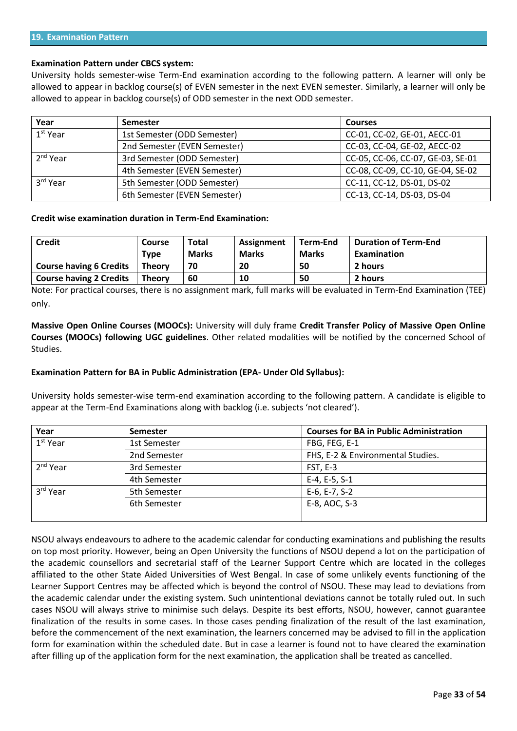#### **Examination Pattern under CBCS system:**

University holds semester-wise Term-End examination according to the following pattern. A learner will only be allowed to appear in backlog course(s) of EVEN semester in the next EVEN semester. Similarly, a learner will only be allowed to appear in backlog course(s) of ODD semester in the next ODD semester.

| Year                 | <b>Semester</b>              | <b>Courses</b>                    |
|----------------------|------------------------------|-----------------------------------|
| $1st$ Year           | 1st Semester (ODD Semester)  | CC-01, CC-02, GE-01, AECC-01      |
|                      | 2nd Semester (EVEN Semester) | CC-03, CC-04, GE-02, AECC-02      |
| $2nd$ Year           | 3rd Semester (ODD Semester)  | CC-05, CC-06, CC-07, GE-03, SE-01 |
|                      | 4th Semester (EVEN Semester) | CC-08, CC-09, CC-10, GE-04, SE-02 |
| 3 <sup>rd</sup> Year | 5th Semester (ODD Semester)  | CC-11, CC-12, DS-01, DS-02        |
|                      | 6th Semester (EVEN Semester) | CC-13, CC-14, DS-03, DS-04        |

#### **Credit wise examination duration in Term-End Examination:**

| <b>Credit</b>                  | Course        | Total        | Assignment   | Term-End     | <b>Duration of Term-End</b> |
|--------------------------------|---------------|--------------|--------------|--------------|-----------------------------|
|                                | Type          | <b>Marks</b> | <b>Marks</b> | <b>Marks</b> | <b>Examination</b>          |
| <b>Course having 6 Credits</b> | <b>Theory</b> | 70           | 20           | 50           | 2 hours                     |
| <b>Course having 2 Credits</b> | Theory        | 60           | 10           | 50           | 2 hours                     |

Note: For practical courses, there is no assignment mark, full marks will be evaluated in Term-End Examination (TEE) only.

**Massive Open Online Courses (MOOCs):** University will duly frame **Credit Transfer Policy of Massive Open Online Courses (MOOCs) following UGC guidelines**. Other related modalities will be notified by the concerned School of Studies.

#### **Examination Pattern for BA in Public Administration (EPA- Under Old Syllabus):**

University holds semester-wise term-end examination according to the following pattern. A candidate is eligible to appear at the Term-End Examinations along with backlog (i.e. subjects 'not cleared').

| Year                 | <b>Semester</b> | <b>Courses for BA in Public Administration</b> |  |
|----------------------|-----------------|------------------------------------------------|--|
| 1 <sup>st</sup> Year | 1st Semester    | FBG, FEG, E-1                                  |  |
|                      | 2nd Semester    | FHS, E-2 & Environmental Studies.              |  |
| $2nd$ Year           | 3rd Semester    | FST, E-3                                       |  |
|                      | 4th Semester    | E-4, E-5, S-1                                  |  |
| 3 <sup>rd</sup> Year | 5th Semester    | E-6, E-7, S-2                                  |  |
|                      | 6th Semester    | E-8, AOC, S-3                                  |  |
|                      |                 |                                                |  |

NSOU always endeavours to adhere to the academic calendar for conducting examinations and publishing the results on top most priority. However, being an Open University the functions of NSOU depend a lot on the participation of the academic counsellors and secretarial staff of the Learner Support Centre which are located in the colleges affiliated to the other State Aided Universities of West Bengal. In case of some unlikely events functioning of the Learner Support Centres may be affected which is beyond the control of NSOU. These may lead to deviations from the academic calendar under the existing system. Such unintentional deviations cannot be totally ruled out. In such cases NSOU will always strive to minimise such delays. Despite its best efforts, NSOU, however, cannot guarantee finalization of the results in some cases. In those cases pending finalization of the result of the last examination, before the commencement of the next examination, the learners concerned may be advised to fill in the application form for examination within the scheduled date. But in case a learner is found not to have cleared the examination after filling up of the application form for the next examination, the application shall be treated as cancelled.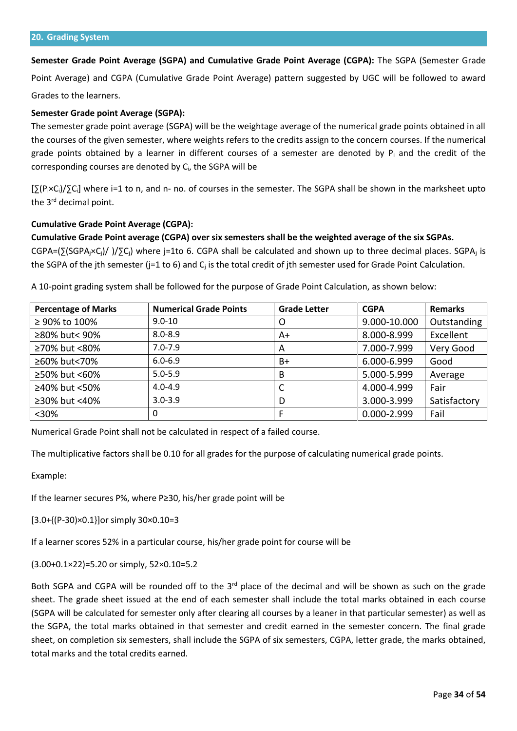**Semester Grade Point Average (SGPA) and Cumulative Grade Point Average (CGPA):** The SGPA (Semester Grade Point Average) and CGPA (Cumulative Grade Point Average) pattern suggested by UGC will be followed to award

Grades to the learners.

## **Semester Grade point Average (SGPA):**

The semester grade point average (SGPA) will be the weightage average of the numerical grade points obtained in all the courses of the given semester, where weights refers to the credits assign to the concern courses. If the numerical grade points obtained by a learner in different courses of a semester are denoted by  $P_i$  and the credit of the corresponding courses are denoted by Ci, the SGPA will be

[∑(Pi×Ci)/∑Ci] where i=1 to n, and n- no. of courses in the semester. The SGPA shall be shown in the marksheet upto the 3<sup>rd</sup> decimal point.

### **Cumulative Grade Point Average (CGPA):**

### **Cumulative Grade Point average (CGPA) over six semesters shall be the weighted average of the six SGPAs.**

CGPA=(∑(SGPA<sub>j</sub>×C<sub>i</sub>)/)/∑C<sub>i</sub>) where j=1to 6. CGPA shall be calculated and shown up to three decimal places. SGPA<sub>j</sub> is the SGPA of the jth semester (j=1 to 6) and  $C_i$  is the total credit of jth semester used for Grade Point Calculation.

A 10-point grading system shall be followed for the purpose of Grade Point Calculation, as shown below:

| <b>Percentage of Marks</b> | <b>Numerical Grade Points</b> | <b>Grade Letter</b> | <b>CGPA</b>  | <b>Remarks</b> |
|----------------------------|-------------------------------|---------------------|--------------|----------------|
| ≥ 90% to 100%              | $9.0 - 10$                    | O                   | 9.000-10.000 | Outstanding    |
| ≥80% but< 90%              | $8.0 - 8.9$                   | A+                  | 8.000-8.999  | Excellent      |
| ≥70% but <80%              | $7.0 - 7.9$                   | A                   | 7.000-7.999  | Very Good      |
| ≥60% but<70%               | $6.0 - 6.9$                   | B+                  | 6.000-6.999  | Good           |
| ≥50% but <60%              | $5.0 - 5.9$                   | B                   | 5.000-5.999  | Average        |
| ≥40% but <50%              | $4.0 - 4.9$                   | C                   | 4.000-4.999  | Fair           |
| ≥30% but <40%              | $3.0 - 3.9$                   | D                   | 3.000-3.999  | Satisfactory   |
| $30%$                      | 0                             |                     | 0.000-2.999  | Fail           |

Numerical Grade Point shall not be calculated in respect of a failed course.

The multiplicative factors shall be 0.10 for all grades for the purpose of calculating numerical grade points.

Example:

If the learner secures P%, where P≥30, his/her grade point will be

[3.0+{(P-30)×0.1}]or simply 30×0.10=3

If a learner scores 52% in a particular course, his/her grade point for course will be

(3.00+0.1×22)=5.20 or simply, 52×0.10=5.2

Both SGPA and CGPA will be rounded off to the  $3<sup>rd</sup>$  place of the decimal and will be shown as such on the grade sheet. The grade sheet issued at the end of each semester shall include the total marks obtained in each course (SGPA will be calculated for semester only after clearing all courses by a leaner in that particular semester) as well as the SGPA, the total marks obtained in that semester and credit earned in the semester concern. The final grade sheet, on completion six semesters, shall include the SGPA of six semesters, CGPA, letter grade, the marks obtained, total marks and the total credits earned.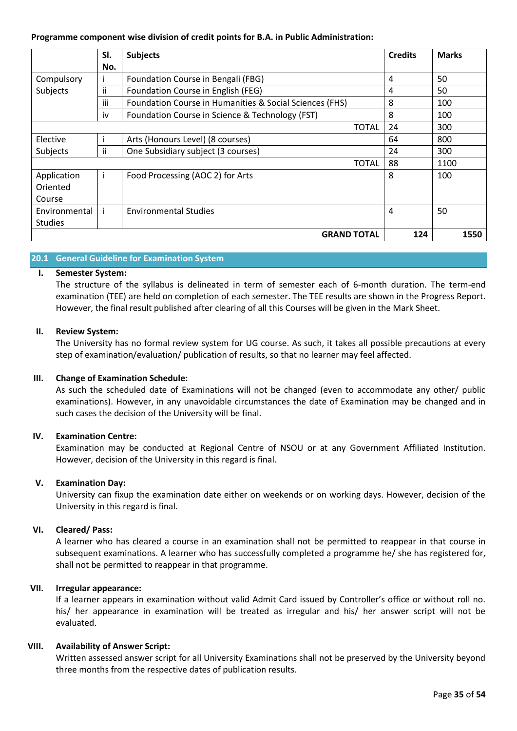## **Programme component wise division of credit points for B.A. in Public Administration:**

|                | SI.          | <b>Subjects</b>                                         | <b>Credits</b> | <b>Marks</b> |
|----------------|--------------|---------------------------------------------------------|----------------|--------------|
|                | No.          |                                                         |                |              |
| Compulsory     |              | Foundation Course in Bengali (FBG)                      | 4              | 50           |
| Subjects       | ii           | Foundation Course in English (FEG)                      | 4              | 50           |
|                | iii          | Foundation Course in Humanities & Social Sciences (FHS) | 8              | 100          |
|                | iv           | Foundation Course in Science & Technology (FST)         | 8              | 100          |
|                |              | TOTAL                                                   | 24             | 300          |
| Elective       |              | Arts (Honours Level) (8 courses)                        | 64             | 800          |
| Subjects       | ii           | One Subsidiary subject (3 courses)                      | 24             | 300          |
|                |              | <b>TOTAL</b>                                            | 88             | 1100         |
| Application    | $\mathbf{I}$ | Food Processing (AOC 2) for Arts                        | 8              | 100          |
| Oriented       |              |                                                         |                |              |
| Course         |              |                                                         |                |              |
| Environmental  | j.           | <b>Environmental Studies</b>                            | 4              | 50           |
| <b>Studies</b> |              |                                                         |                |              |
|                |              | <b>GRAND TOTAL</b>                                      | 124            | 1550         |

## **20.1 General Guideline for Examination System**

## **I. Semester System:**

The structure of the syllabus is delineated in term of semester each of 6-month duration. The term-end examination (TEE) are held on completion of each semester. The TEE results are shown in the Progress Report. However, the final result published after clearing of all this Courses will be given in the Mark Sheet.

## **II. Review System:**

The University has no formal review system for UG course. As such, it takes all possible precautions at every step of examination/evaluation/ publication of results, so that no learner may feel affected.

## **III. Change of Examination Schedule:**

As such the scheduled date of Examinations will not be changed (even to accommodate any other/ public examinations). However, in any unavoidable circumstances the date of Examination may be changed and in such cases the decision of the University will be final.

## **IV. Examination Centre:**

Examination may be conducted at Regional Centre of NSOU or at any Government Affiliated Institution. However, decision of the University in this regard is final.

## **V. Examination Day:**

University can fixup the examination date either on weekends or on working days. However, decision of the University in this regard is final.

## **VI. Cleared/ Pass:**

A learner who has cleared a course in an examination shall not be permitted to reappear in that course in subsequent examinations. A learner who has successfully completed a programme he/ she has registered for, shall not be permitted to reappear in that programme.

## **VII. Irregular appearance:**

If a learner appears in examination without valid Admit Card issued by Controller's office or without roll no. his/ her appearance in examination will be treated as irregular and his/ her answer script will not be evaluated.

## **VIII. Availability of Answer Script:**

Written assessed answer script for all University Examinations shall not be preserved by the University beyond three months from the respective dates of publication results.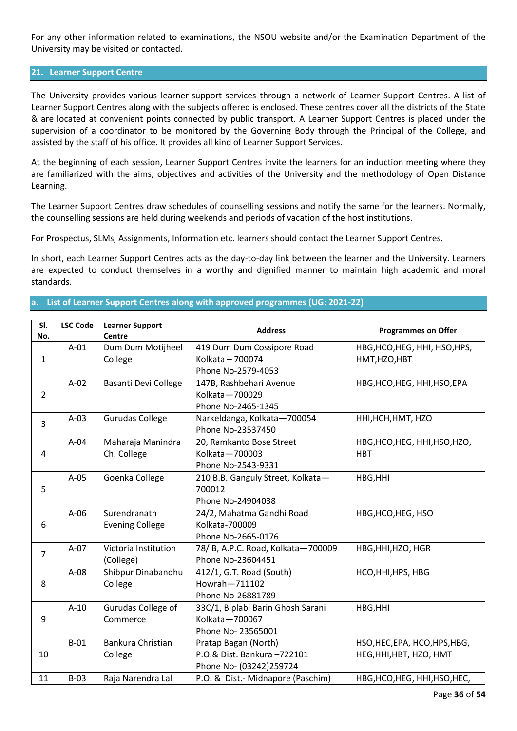For any other information related to examinations, the NSOU website and/or the Examination Department of the University may be visited or contacted.

## **21. Learner Support Centre**

The University provides various learner-support services through a network of Learner Support Centres. A list of Learner Support Centres along with the subjects offered is enclosed. These centres cover all the districts of the State & are located at convenient points connected by public transport. A Learner Support Centres is placed under the supervision of a coordinator to be monitored by the Governing Body through the Principal of the College, and assisted by the staff of his office. It provides all kind of Learner Support Services.

At the beginning of each session, Learner Support Centres invite the learners for an induction meeting where they are familiarized with the aims, objectives and activities of the University and the methodology of Open Distance Learning.

The Learner Support Centres draw schedules of counselling sessions and notify the same for the learners. Normally, the counselling sessions are held during weekends and periods of vacation of the host institutions.

For Prospectus, SLMs, Assignments, Information etc. learners should contact the Learner Support Centres.

In short, each Learner Support Centres acts as the day-to-day link between the learner and the University. Learners are expected to conduct themselves in a worthy and dignified manner to maintain high academic and moral standards.

**a. List of Learner Support Centres along with approved programmes (UG: 2021-22)**

| SI.<br>No.     | <b>LSC Code</b> | <b>Learner Support</b><br><b>Centre</b> | <b>Address</b>                                                                | <b>Programmes on Offer</b>                               |
|----------------|-----------------|-----------------------------------------|-------------------------------------------------------------------------------|----------------------------------------------------------|
| $\mathbf{1}$   | $A-01$          | Dum Dum Motijheel<br>College            | 419 Dum Dum Cossipore Road<br>Kolkata - 700074<br>Phone No-2579-4053          | HBG, HCO, HEG, HHI, HSO, HPS,<br>HMT, HZO, HBT           |
| $\overline{2}$ | $A-02$          | Basanti Devi College                    | 147B, Rashbehari Avenue<br>Kolkata-700029<br>Phone No-2465-1345               | HBG, HCO, HEG, HHI, HSO, EPA                             |
| 3              | $A-03$          | <b>Gurudas College</b>                  | Narkeldanga, Kolkata-700054<br>Phone No-23537450                              | HHI, HCH, HMT, HZO                                       |
| 4              | $A-04$          | Maharaja Manindra<br>Ch. College        | 20, Ramkanto Bose Street<br>Kolkata-700003<br>Phone No-2543-9331              | HBG, HCO, HEG, HHI, HSO, HZO,<br><b>HBT</b>              |
| 5              | $A-05$          | Goenka College                          | 210 B.B. Ganguly Street, Kolkata-<br>700012<br>Phone No-24904038              | HBG, HHI                                                 |
| 6              | $A-06$          | Surendranath<br><b>Evening College</b>  | 24/2, Mahatma Gandhi Road<br>Kolkata-700009<br>Phone No-2665-0176             | HBG, HCO, HEG, HSO                                       |
| $\overline{7}$ | $A-07$          | Victoria Institution<br>(College)       | 78/ B, A.P.C. Road, Kolkata-700009<br>Phone No-23604451                       | HBG, HHI, HZO, HGR                                       |
| 8              | $A-08$          | Shibpur Dinabandhu<br>College           | 412/1, G.T. Road (South)<br>Howrah-711102<br>Phone No-26881789                | HCO, HHI, HPS, HBG                                       |
| 9              | $A-10$          | Gurudas College of<br>Commerce          | 33C/1, Biplabi Barin Ghosh Sarani<br>Kolkata-700067<br>Phone No- 23565001     | HBG, HHI                                                 |
| 10             | $B-01$          | Bankura Christian<br>College            | Pratap Bagan (North)<br>P.O.& Dist. Bankura-722101<br>Phone No- (03242)259724 | HSO, HEC, EPA, HCO, HPS, HBG,<br>HEG, HHI, HBT, HZO, HMT |
| 11             | $B-03$          | Raja Narendra Lal                       | P.O. & Dist.- Midnapore (Paschim)                                             | HBG, HCO, HEG, HHI, HSO, HEC,                            |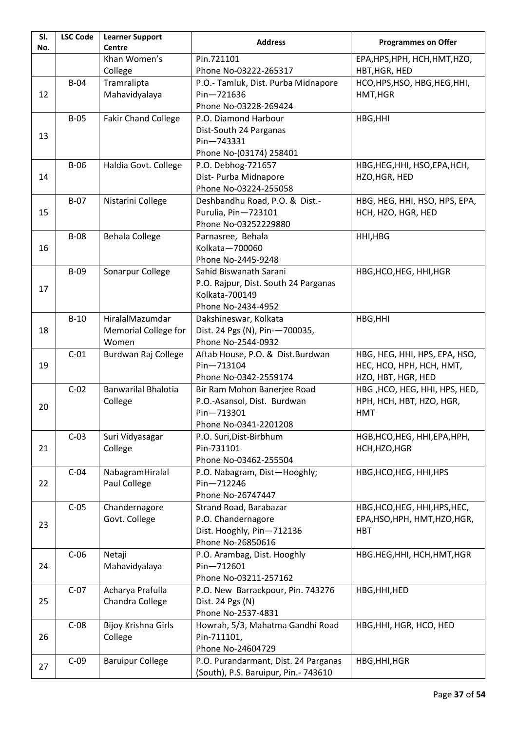| SI.<br>No. | <b>LSC Code</b> | <b>Learner Support</b><br><b>Centre</b> | <b>Address</b>                       | <b>Programmes on Offer</b>    |
|------------|-----------------|-----------------------------------------|--------------------------------------|-------------------------------|
|            |                 | Khan Women's                            | Pin.721101                           | EPA, HPS, HPH, HCH, HMT, HZO, |
|            |                 | College                                 | Phone No-03222-265317                | HBT, HGR, HED                 |
|            | $B-04$          | Tramralipta                             | P.O.- Tamluk, Dist. Purba Midnapore  | HCO, HPS, HSO, HBG, HEG, HHI, |
| 12         |                 | Mahavidyalaya                           | $Pin - 721636$                       | HMT, HGR                      |
|            |                 |                                         | Phone No-03228-269424                |                               |
|            | $B-05$          | <b>Fakir Chand College</b>              | P.O. Diamond Harbour                 | HBG, HHI                      |
|            |                 |                                         | Dist-South 24 Parganas               |                               |
| 13         |                 |                                         | Pin-743331                           |                               |
|            |                 |                                         | Phone No-(03174) 258401              |                               |
|            | $B-06$          | Haldia Govt. College                    | P.O. Debhog-721657                   | HBG, HEG, HHI, HSO, EPA, HCH, |
| 14         |                 |                                         | Dist- Purba Midnapore                | HZO, HGR, HED                 |
|            |                 |                                         | Phone No-03224-255058                |                               |
|            | $B-07$          | Nistarini College                       | Deshbandhu Road, P.O. & Dist.-       | HBG, HEG, HHI, HSO, HPS, EPA, |
| 15         |                 |                                         | Purulia, Pin-723101                  | HCH, HZO, HGR, HED            |
|            |                 |                                         | Phone No-03252229880                 |                               |
|            | <b>B-08</b>     | <b>Behala College</b>                   | Parnasree, Behala                    | HHI, HBG                      |
| 16         |                 |                                         | Kolkata-700060                       |                               |
|            |                 |                                         | Phone No-2445-9248                   |                               |
|            | $B-09$          | Sonarpur College                        | Sahid Biswanath Sarani               | HBG, HCO, HEG, HHI, HGR       |
| 17         |                 |                                         | P.O. Rajpur, Dist. South 24 Parganas |                               |
|            |                 |                                         | Kolkata-700149                       |                               |
|            |                 |                                         | Phone No-2434-4952                   |                               |
|            | $B-10$          | HiralalMazumdar                         | Dakshineswar, Kolkata                | HBG, HHI                      |
| 18         |                 | <b>Memorial College for</b>             | Dist. 24 Pgs (N), Pin--700035,       |                               |
|            |                 | Women                                   | Phone No-2544-0932                   |                               |
|            | $C-01$          | Burdwan Raj College                     | Aftab House, P.O. & Dist.Burdwan     | HBG, HEG, HHI, HPS, EPA, HSO, |
| 19         |                 |                                         | Pin-713104                           | HEC, HCO, HPH, HCH, HMT,      |
|            |                 |                                         | Phone No-0342-2559174                | HZO, HBT, HGR, HED            |
|            | $C-02$          | <b>Banwarilal Bhalotia</b>              | Bir Ram Mohon Banerjee Road          | HBG, HCO, HEG, HHI, HPS, HED, |
| 20         |                 | College                                 | P.O.-Asansol, Dist. Burdwan          | HPH, HCH, HBT, HZO, HGR,      |
|            |                 |                                         | Pin-713301                           | <b>HMT</b>                    |
|            |                 |                                         | Phone No-0341-2201208                |                               |
|            | $C-03$          | Suri Vidyasagar                         | P.O. Suri, Dist-Birbhum              | HGB, HCO, HEG, HHI, EPA, HPH, |
| 21         |                 | College                                 | Pin-731101                           | HCH, HZO, HGR                 |
|            |                 |                                         | Phone No-03462-255504                |                               |
|            | $C-04$          | NabagramHiralal                         | P.O. Nabagram, Dist-Hooghly;         | HBG, HCO, HEG, HHI, HPS       |
| 22         |                 | Paul College                            | Pin-712246                           |                               |
|            |                 |                                         | Phone No-26747447                    |                               |
|            | $C-05$          | Chandernagore                           | Strand Road, Barabazar               | HBG, HCO, HEG, HHI, HPS, HEC, |
| 23         |                 | Govt. College                           | P.O. Chandernagore                   | EPA, HSO, HPH, HMT, HZO, HGR, |
|            |                 |                                         | Dist. Hooghly, Pin-712136            | <b>HBT</b>                    |
|            |                 |                                         | Phone No-26850616                    |                               |
|            | $C-06$          | Netaji                                  | P.O. Arambag, Dist. Hooghly          | HBG.HEG, HHI, HCH, HMT, HGR   |
| 24         |                 | Mahavidyalaya                           | Pin-712601                           |                               |
|            |                 |                                         | Phone No-03211-257162                |                               |
|            | $C-07$          | Acharya Prafulla                        | P.O. New Barrackpour, Pin. 743276    | HBG, HHI, HED                 |
| 25         |                 | Chandra College                         | Dist. 24 Pgs (N)                     |                               |
|            |                 |                                         | Phone No-2537-4831                   |                               |
|            | $C-08$          | Bijoy Krishna Girls                     | Howrah, 5/3, Mahatma Gandhi Road     | HBG, HHI, HGR, HCO, HED       |
| 26         |                 | College                                 | Pin-711101,                          |                               |
|            |                 |                                         | Phone No-24604729                    |                               |
| 27         | $C-09$          | <b>Baruipur College</b>                 | P.O. Purandarmant, Dist. 24 Parganas | HBG, HHI, HGR                 |
|            |                 |                                         | (South), P.S. Baruipur, Pin.- 743610 |                               |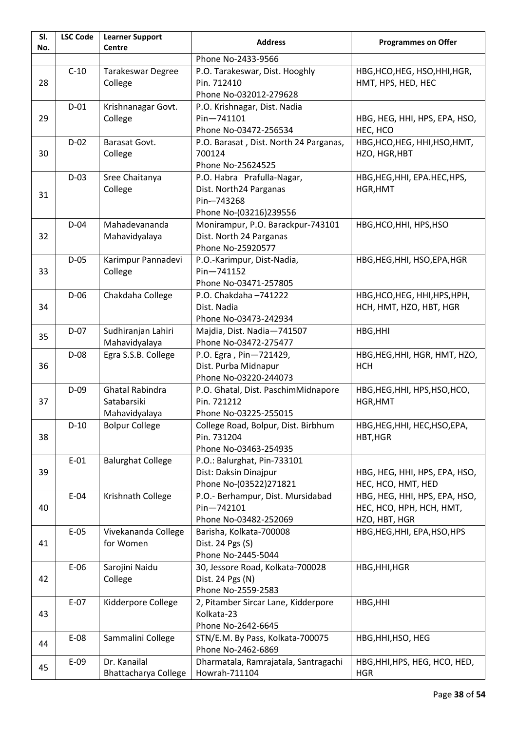| SI.<br>No. | <b>LSC Code</b>                                                                            | <b>Learner Support</b><br><b>Centre</b>                                                              | <b>Address</b>                                                                               | <b>Programmes on Offer</b>                                                 |
|------------|--------------------------------------------------------------------------------------------|------------------------------------------------------------------------------------------------------|----------------------------------------------------------------------------------------------|----------------------------------------------------------------------------|
|            |                                                                                            |                                                                                                      | Phone No-2433-9566                                                                           |                                                                            |
| 28         | $C-10$                                                                                     | Tarakeswar Degree<br>College                                                                         | P.O. Tarakeswar, Dist. Hooghly<br>Pin. 712410                                                | HBG, HCO, HEG, HSO, HHI, HGR,<br>HMT, HPS, HED, HEC                        |
|            |                                                                                            |                                                                                                      | Phone No-032012-279628                                                                       |                                                                            |
| 29         | $D-01$                                                                                     | Krishnanagar Govt.<br>P.O. Krishnagar, Dist. Nadia<br>Pin-741101<br>College<br>Phone No-03472-256534 |                                                                                              | HBG, HEG, HHI, HPS, EPA, HSO,<br>HEC, HCO                                  |
| 30         | $D-02$                                                                                     | Barasat Govt.<br>College                                                                             | P.O. Barasat, Dist. North 24 Parganas,<br>700124<br>Phone No-25624525                        | HBG, HCO, HEG, HHI, HSO, HMT,<br>HZO, HGR, HBT                             |
| 31         | $D-03$                                                                                     | Sree Chaitanya<br>College                                                                            | P.O. Habra Prafulla-Nagar,<br>Dist. North24 Parganas<br>Pin-743268<br>Phone No-(03216)239556 | HBG, HEG, HHI, EPA. HEC, HPS,<br>HGR, HMT                                  |
| 32         | $D-04$                                                                                     | Mahadevananda<br>Mahavidyalaya                                                                       | Monirampur, P.O. Barackpur-743101<br>Dist. North 24 Parganas<br>Phone No-25920577            | HBG, HCO, HHI, HPS, HSO                                                    |
| 33         | $D-05$                                                                                     | Karimpur Pannadevi<br>College                                                                        | P.O.-Karimpur, Dist-Nadia,<br>Pin-741152<br>Phone No-03471-257805                            | HBG, HEG, HHI, HSO, EPA, HGR                                               |
| 34         | $D-06$<br>Chakdaha College<br>P.O. Chakdaha-741222<br>Dist. Nadia<br>Phone No-03473-242934 |                                                                                                      | HBG, HCO, HEG, HHI, HPS, HPH,<br>HCH, HMT, HZO, HBT, HGR                                     |                                                                            |
| 35         | $D-07$                                                                                     | Sudhiranjan Lahiri<br>Mahavidyalaya                                                                  | Majdia, Dist. Nadia-741507<br>Phone No-03472-275477                                          | HBG, HHI                                                                   |
| 36         | $D-08$                                                                                     | Egra S.S.B. College                                                                                  | P.O. Egra, Pin-721429,<br>Dist. Purba Midnapur<br>Phone No-03220-244073                      | HBG, HEG, HHI, HGR, HMT, HZO,<br><b>HCH</b>                                |
| 37         | $D-09$                                                                                     | <b>Ghatal Rabindra</b><br>Satabarsiki<br>Mahavidyalaya                                               | P.O. Ghatal, Dist. PaschimMidnapore<br>Pin. 721212<br>Phone No-03225-255015                  | HBG, HEG, HHI, HPS, HSO, HCO,<br>HGR, HMT                                  |
| 38         | $D-10$                                                                                     | <b>Bolpur College</b>                                                                                | College Road, Bolpur, Dist. Birbhum<br>Pin. 731204<br>Phone No-03463-254935                  | HBG, HEG, HHI, HEC, HSO, EPA,<br>HBT, HGR                                  |
| 39         | $E-01$                                                                                     | <b>Balurghat College</b>                                                                             | P.O.: Balurghat, Pin-733101<br>Dist: Daksin Dinajpur<br>Phone No-(03522)271821               | HBG, HEG, HHI, HPS, EPA, HSO,<br>HEC, HCO, HMT, HED                        |
| 40         | $E-04$                                                                                     | Krishnath College                                                                                    | P.O.- Berhampur, Dist. Mursidabad<br>Pin-742101<br>Phone No-03482-252069                     | HBG, HEG, HHI, HPS, EPA, HSO,<br>HEC, HCO, HPH, HCH, HMT,<br>HZO, HBT, HGR |
| 41         | $E-05$                                                                                     | Vivekananda College<br>for Women                                                                     | Barisha, Kolkata-700008<br>Dist. 24 Pgs (S)<br>Phone No-2445-5044                            | HBG, HEG, HHI, EPA, HSO, HPS                                               |
| 42         | $E-06$                                                                                     | Sarojini Naidu<br>College                                                                            | 30, Jessore Road, Kolkata-700028<br>Dist. 24 Pgs (N)<br>Phone No-2559-2583                   | HBG, HHI, HGR                                                              |
| 43         | $E-07$                                                                                     | Kidderpore College                                                                                   | 2, Pitamber Sircar Lane, Kidderpore<br>Kolkata-23<br>Phone No-2642-6645                      | HBG, HHI                                                                   |
| 44         | E-08                                                                                       | Sammalini College                                                                                    | STN/E.M. By Pass, Kolkata-700075<br>Phone No-2462-6869                                       | HBG, HHI, HSO, HEG                                                         |
| 45         | $E-09$                                                                                     | Dr. Kanailal<br><b>Bhattacharya College</b>                                                          | Dharmatala, Ramrajatala, Santragachi<br>Howrah-711104                                        | HBG, HHI, HPS, HEG, HCO, HED,<br><b>HGR</b>                                |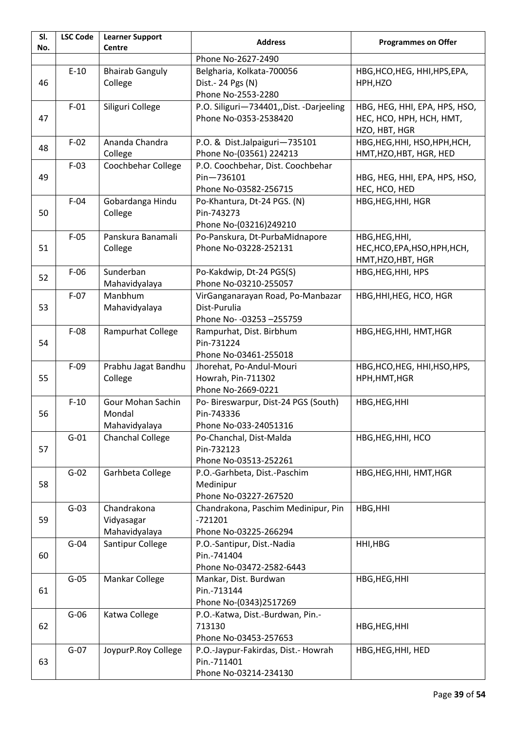| SI.<br>No. | <b>LSC Code</b> | <b>Learner Support</b><br>Centre             | <b>Address</b>                                                                  | <b>Programmes on Offer</b>                                                 |
|------------|-----------------|----------------------------------------------|---------------------------------------------------------------------------------|----------------------------------------------------------------------------|
|            |                 |                                              | Phone No-2627-2490                                                              |                                                                            |
| 46         | $E-10$          | <b>Bhairab Ganguly</b><br>College            | Belgharia, Kolkata-700056<br>Dist. - 24 Pgs (N)<br>Phone No-2553-2280           | HBG, HCO, HEG, HHI, HPS, EPA,<br>HPH, HZO                                  |
| 47         | $F-01$          | Siliguri College                             | P.O. Siliguri-734401, Dist. -Darjeeling<br>Phone No-0353-2538420                | HBG, HEG, HHI, EPA, HPS, HSO,<br>HEC, HCO, HPH, HCH, HMT,<br>HZO, HBT, HGR |
| 48         | $F-02$          | Ananda Chandra<br>College                    | P.O. & Dist.Jalpaiguri-735101<br>Phone No-(03561) 224213                        | HBG, HEG, HHI, HSO, HPH, HCH,<br>HMT, HZO, HBT, HGR, HED                   |
| 49         | $F-03$          | Coochbehar College                           | P.O. Coochbehar, Dist. Coochbehar<br>Pin-736101<br>Phone No-03582-256715        | HBG, HEG, HHI, EPA, HPS, HSO,<br>HEC, HCO, HED                             |
| 50         | $F-04$          | Gobardanga Hindu<br>College                  | Po-Khantura, Dt-24 PGS. (N)<br>Pin-743273<br>Phone No-(03216)249210             | HBG, HEG, HHI, HGR                                                         |
| 51         | $F-05$          | Panskura Banamali<br>College                 | Po-Panskura, Dt-PurbaMidnapore<br>Phone No-03228-252131                         | HBG, HEG, HHI,<br>HEC, HCO, EPA, HSO, HPH, HCH,<br>HMT, HZO, HBT, HGR      |
| 52         | $F-06$          | Sunderban<br>Mahavidyalaya                   | Po-Kakdwip, Dt-24 PGS(S)<br>Phone No-03210-255057                               | HBG, HEG, HHI, HPS                                                         |
| 53         | $F-07$          | Manbhum<br>Mahavidyalaya                     | VirGanganarayan Road, Po-Manbazar<br>Dist-Purulia<br>Phone No- - 03253 - 255759 | HBG, HHI, HEG, HCO, HGR                                                    |
| 54         | $F-08$          | Rampurhat College                            | Rampurhat, Dist. Birbhum<br>Pin-731224<br>Phone No-03461-255018                 | HBG, HEG, HHI, HMT, HGR                                                    |
| 55         | $F-09$          | Prabhu Jagat Bandhu<br>College               | Jhorehat, Po-Andul-Mouri<br>Howrah, Pin-711302<br>Phone No-2669-0221            | HBG, HCO, HEG, HHI, HSO, HPS,<br>HPH, HMT, HGR                             |
| 56         | $F-10$          | Gour Mohan Sachin<br>Mondal<br>Mahavidyalaya | Po- Bireswarpur, Dist-24 PGS (South)<br>Pin-743336<br>Phone No-033-24051316     | HBG, HEG, HHI                                                              |
| 57         | $G-01$          | Chanchal College                             | Po-Chanchal, Dist-Malda<br>Pin-732123<br>Phone No-03513-252261                  | HBG, HEG, HHI, HCO                                                         |
| 58         | $G-02$          | Garhbeta College                             | P.O.-Garhbeta, Dist.-Paschim<br>Medinipur<br>Phone No-03227-267520              | HBG, HEG, HHI, HMT, HGR                                                    |
| 59         | $G-03$          | Chandrakona<br>Vidyasagar<br>Mahavidyalaya   | Chandrakona, Paschim Medinipur, Pin<br>$-721201$<br>Phone No-03225-266294       | HBG, HHI                                                                   |
| 60         | $G-04$          | Santipur College                             | P.O.-Santipur, Dist.-Nadia<br>Pin.-741404<br>Phone No-03472-2582-6443           | HHI, HBG                                                                   |
| 61         | $G-05$          | Mankar College                               | Mankar, Dist. Burdwan<br>Pin.-713144<br>Phone No-(0343)2517269                  | HBG, HEG, HHI                                                              |
| 62         | $G-06$          | Katwa College                                | P.O.-Katwa, Dist.-Burdwan, Pin.-<br>713130<br>Phone No-03453-257653             | HBG, HEG, HHI                                                              |
| 63         | $G-07$          | JoypurP.Roy College                          | P.O.-Jaypur-Fakirdas, Dist.- Howrah<br>Pin.-711401<br>Phone No-03214-234130     | HBG, HEG, HHI, HED                                                         |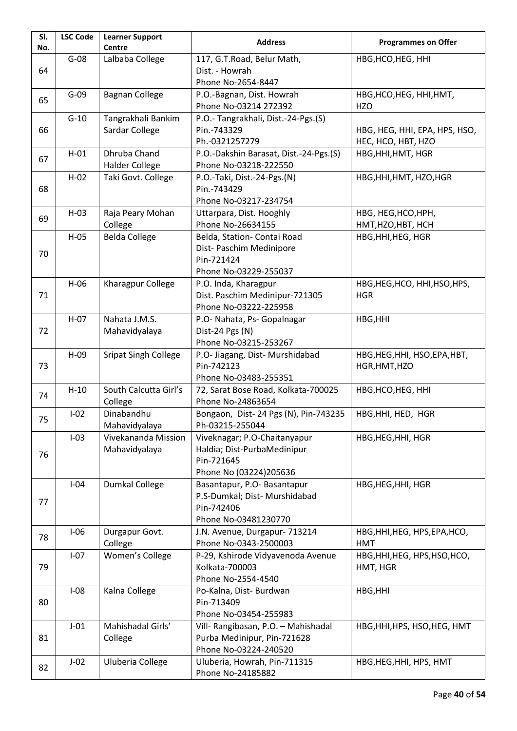| SI.<br>No.                          | <b>LSC Code</b> | <b>Learner Support</b><br><b>Centre</b>            | <b>Address</b>                                                     | <b>Programmes on Offer</b>                |
|-------------------------------------|-----------------|----------------------------------------------------|--------------------------------------------------------------------|-------------------------------------------|
|                                     | $G-08$          | Lalbaba College                                    | 117, G.T.Road, Belur Math,                                         | HBG, HCO, HEG, HHI                        |
| 64                                  |                 |                                                    | Dist. - Howrah                                                     |                                           |
|                                     |                 |                                                    | Phone No-2654-8447                                                 |                                           |
|                                     | $G-09$          | <b>Bagnan College</b><br>P.O.-Bagnan, Dist. Howrah |                                                                    | HBG, HCO, HEG, HHI, HMT,                  |
| 65                                  |                 |                                                    | Phone No-03214 272392                                              | HZO                                       |
|                                     | $G-10$          | Tangrakhali Bankim                                 | P.O.- Tangrakhali, Dist.-24-Pgs.(S)                                |                                           |
| Sardar College<br>66<br>Pin.-743329 |                 |                                                    | HBG, HEG, HHI, EPA, HPS, HSO,                                      |                                           |
|                                     |                 |                                                    | Ph.-0321257279                                                     | HEC, HCO, HBT, HZO                        |
| 67                                  | $H-01$          | Dhruba Chand                                       | P.O.-Dakshin Barasat, Dist.-24-Pgs.(S)                             | HBG, HHI, HMT, HGR                        |
|                                     |                 | <b>Halder College</b>                              | Phone No-03218-222550                                              |                                           |
|                                     | $H-02$          | Taki Govt. College                                 | P.O.-Taki, Dist.-24-Pgs.(N)                                        | HBG, HHI, HMT, HZO, HGR                   |
| Pin.-743429<br>68                   |                 |                                                    |                                                                    |                                           |
|                                     |                 |                                                    | Phone No-03217-234754                                              |                                           |
| 69                                  | $H-03$          | Raja Peary Mohan                                   | Uttarpara, Dist. Hooghly<br>Phone No-26634155                      | HBG, HEG, HCO, HPH,<br>HMT, HZO, HBT, HCH |
|                                     | $H-05$          | College<br><b>Belda College</b>                    | Belda, Station- Contai Road                                        | HBG, HHI, HEG, HGR                        |
|                                     |                 |                                                    | Dist- Paschim Medinipore                                           |                                           |
| 70                                  |                 |                                                    | Pin-721424                                                         |                                           |
|                                     |                 |                                                    | Phone No-03229-255037                                              |                                           |
|                                     | $H-06$          | Kharagpur College                                  | P.O. Inda, Kharagpur                                               | HBG, HEG, HCO, HHI, HSO, HPS,             |
| 71                                  |                 |                                                    | Dist. Paschim Medinipur-721305                                     | <b>HGR</b>                                |
|                                     |                 |                                                    | Phone No-03222-225958                                              |                                           |
|                                     | $H-07$          | Nahata J.M.S.                                      | P.O- Nahata, Ps- Gopalnagar                                        | HBG, HHI                                  |
| 72                                  |                 | Mahavidyalaya                                      | Dist-24 Pgs (N)                                                    |                                           |
|                                     |                 |                                                    | Phone No-03215-253267                                              |                                           |
|                                     | $H-09$          | <b>Sripat Singh College</b>                        | P.O- Jiagang, Dist- Murshidabad                                    | HBG, HEG, HHI, HSO, EPA, HBT,             |
| 73                                  |                 |                                                    | Pin-742123                                                         | HGR, HMT, HZO                             |
|                                     |                 |                                                    | Phone No-03483-255351                                              |                                           |
| 74                                  | $H-10$          | South Calcutta Girl's                              | 72, Sarat Bose Road, Kolkata-700025                                | HBG, HCO, HEG, HHI                        |
|                                     |                 | College                                            | Phone No-24863654                                                  |                                           |
| 75                                  | $I-02$          | Dinabandhu                                         | Bongaon, Dist- 24 Pgs (N), Pin-743235<br>Ph-03215-255044           | HBG, HHI, HED, HGR                        |
|                                     | $I-03$          | Mahavidyalaya<br>Vivekananda Mission               | Viveknagar; P.O-Chaitanyapur                                       | HBG, HEG, HHI, HGR                        |
|                                     |                 | Mahavidyalaya                                      | Haldia; Dist-PurbaMedinipur                                        |                                           |
| 76                                  |                 |                                                    | Pin-721645                                                         |                                           |
|                                     |                 |                                                    | Phone No (03224)205636                                             |                                           |
|                                     | $I-04$          | Dumkal College                                     | Basantapur, P.O- Basantapur                                        | HBG, HEG, HHI, HGR                        |
|                                     |                 |                                                    | P.S-Dumkal; Dist- Murshidabad                                      |                                           |
| 77                                  |                 |                                                    | Pin-742406                                                         |                                           |
|                                     |                 |                                                    | Phone No-03481230770                                               |                                           |
| 78                                  | $I-06$          | Durgapur Govt.                                     | J.N. Avenue, Durgapur- 713214                                      | HBG, HHI, HEG, HPS, EPA, HCO,             |
|                                     |                 | College                                            | Phone No-0343-2500003                                              | <b>HMT</b>                                |
|                                     | $I-07$          | Women's College                                    | P-29, Kshirode Vidyavenoda Avenue                                  | HBG, HHI, HEG, HPS, HSO, HCO,             |
| 79                                  |                 |                                                    | Kolkata-700003                                                     | HMT, HGR                                  |
|                                     |                 |                                                    | Phone No-2554-4540                                                 |                                           |
|                                     | $I-08$          | Kalna College                                      | Po-Kalna, Dist- Burdwan                                            | HBG, HHI                                  |
| 80                                  |                 |                                                    | Pin-713409                                                         |                                           |
|                                     |                 | Mahishadal Girls'                                  | Phone No-03454-255983                                              |                                           |
| 81                                  | $J-01$          | College                                            | Vill- Rangibasan, P.O. - Mahishadal<br>Purba Medinipur, Pin-721628 | HBG, HHI, HPS, HSO, HEG, HMT              |
|                                     |                 |                                                    | Phone No-03224-240520                                              |                                           |
|                                     | $J-02$          | Uluberia College                                   | Uluberia, Howrah, Pin-711315                                       | HBG, HEG, HHI, HPS, HMT                   |
| 82                                  |                 |                                                    | Phone No-24185882                                                  |                                           |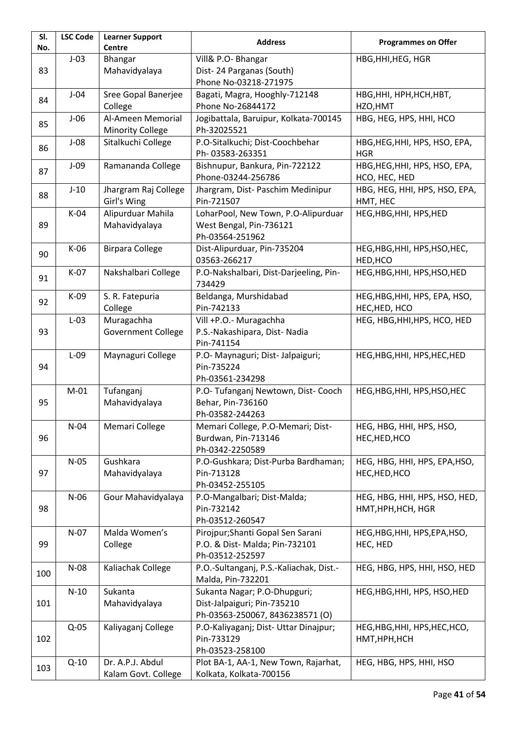| SI.<br>No. | <b>LSC Code</b>                                                                                | <b>Learner Support</b><br>Centre             | <b>Address</b>                                                                                 | <b>Programmes on Offer</b>                          |
|------------|------------------------------------------------------------------------------------------------|----------------------------------------------|------------------------------------------------------------------------------------------------|-----------------------------------------------------|
| 83         | $J-03$                                                                                         | Bhangar<br>Mahavidyalaya                     | Vill& P.O- Bhangar<br>Dist-24 Parganas (South)                                                 | HBG, HHI, HEG, HGR                                  |
|            |                                                                                                |                                              | Phone No-03218-271975                                                                          |                                                     |
| 84         | Sree Gopal Banerjee<br>$J-04$<br>Bagati, Magra, Hooghly-712148<br>College<br>Phone No-26844172 |                                              | <b>НВG, ННІ, НРН, НСН, НВТ,</b><br>HZO, HMT                                                    |                                                     |
| 85         | $J-06$                                                                                         | Al-Ameen Memorial<br><b>Minority College</b> | Jogibattala, Baruipur, Kolkata-700145<br>Ph-32025521                                           | HBG, HEG, HPS, HHI, HCO                             |
| 86         | $J-08$                                                                                         | Sitalkuchi College                           | P.O-Sitalkuchi; Dist-Coochbehar<br>Ph-03583-263351                                             | HBG, HEG, HHI, HPS, HSO, EPA,<br><b>HGR</b>         |
| 87         | $J-09$                                                                                         | Ramananda College                            | Bishnupur, Bankura, Pin-722122<br>Phone-03244-256786                                           | HBG, HEG, HHI, HPS, HSO, EPA,<br>HCO, HEC, HED      |
| 88         | $J-10$                                                                                         | Jhargram Raj College<br>Girl's Wing          | Jhargram, Dist- Paschim Medinipur<br>Pin-721507                                                | HBG, HEG, HHI, HPS, HSO, EPA,<br>HMT, HEC           |
| 89         | $K-04$                                                                                         | Alipurduar Mahila<br>Mahavidyalaya           | LoharPool, New Town, P.O-Alipurduar<br>West Bengal, Pin-736121<br>Ph-03564-251962              | HEG, HBG, HHI, HPS, HED                             |
| 90         | K-06                                                                                           | <b>Birpara College</b>                       | Dist-Alipurduar, Pin-735204<br>03563-266217                                                    | HEG, HBG, HHI, HPS, HSO, HEC,<br>HED, HCO           |
| 91         | K-07<br>Nakshalbari College                                                                    |                                              | P.O-Nakshalbari, Dist-Darjeeling, Pin-<br>734429                                               | HEG, HBG, HHI, HPS, HSO, HED                        |
| 92         | $K-09$                                                                                         | S. R. Fatepuria<br>College                   | Beldanga, Murshidabad<br>Pin-742133                                                            | HEG, HBG, HHI, HPS, EPA, HSO,<br>HEC, HED, HCO      |
| 93         | Muragachha<br>$L-03$<br><b>Government College</b>                                              |                                              | Vill +P.O.- Muragachha<br>P.S.-Nakashipara, Dist-Nadia<br>Pin-741154                           | HEG, HBG, HHI, HPS, HCO, HED                        |
| 94         | Maynaguri College<br>$L-09$<br>Pin-735224                                                      |                                              | P.O- Maynaguri; Dist- Jalpaiguri;<br>Ph-03561-234298                                           | HEG, HBG, HHI, HPS, HEC, HED                        |
| 95         | $M-01$                                                                                         | Tufanganj<br>Mahavidyalaya                   | P.O- Tufanganj Newtown, Dist- Cooch<br>Behar, Pin-736160<br>Ph-03582-244263                    | HEG, HBG, HHI, HPS, HSO, HEC                        |
| 96         | $N-04$                                                                                         | Memari College                               | Memari College, P.O-Memari; Dist-<br>Burdwan, Pin-713146<br>Ph-0342-2250589                    | HEG, HBG, HHI, HPS, HSO,<br>HEC, HED, HCO           |
| 97         | $N-05$                                                                                         | Gushkara<br>Mahavidyalaya                    | P.O-Gushkara; Dist-Purba Bardhaman;<br>Pin-713128<br>Ph-03452-255105                           | HEG, HBG, HHI, HPS, EPA, HSO,<br>HEC, HED, HCO      |
| 98         | $N-06$                                                                                         | Gour Mahavidyalaya                           | P.O-Mangalbari; Dist-Malda;<br>Pin-732142<br>Ph-03512-260547                                   | HEG, HBG, HHI, HPS, HSO, HED,<br>HMT, HPH, HCH, HGR |
| 99         | $N-07$                                                                                         | Malda Women's<br>College                     | Pirojpur; Shanti Gopal Sen Sarani<br>P.O. & Dist- Malda; Pin-732101<br>Ph-03512-252597         | HEG, HBG, HHI, HPS, EPA, HSO,<br>HEC, HED           |
| 100        | $N-08$                                                                                         | Kaliachak College                            | P.O.-Sultanganj, P.S.-Kaliachak, Dist.-<br>Malda, Pin-732201                                   | HEG, HBG, HPS, HHI, HSO, HED                        |
| 101        | $N-10$                                                                                         | Sukanta<br>Mahavidyalaya                     | Sukanta Nagar; P.O-Dhupguri;<br>Dist-Jalpaiguri; Pin-735210<br>Ph-03563-250067, 8436238571 (O) | HEG, HBG, HHI, HPS, HSO, HED                        |
| 102        | $Q-05$                                                                                         | Kaliyaganj College                           | P.O-Kaliyaganj; Dist- Uttar Dinajpur;<br>Pin-733129<br>Ph-03523-258100                         | HEG, HBG, HHI, HPS, HEC, HCO,<br>HMT, HPH, HCH      |
| 103        | $Q-10$                                                                                         | Dr. A.P.J. Abdul<br>Kalam Govt. College      | Plot BA-1, AA-1, New Town, Rajarhat,<br>Kolkata, Kolkata-700156                                | HEG, HBG, HPS, HHI, HSO                             |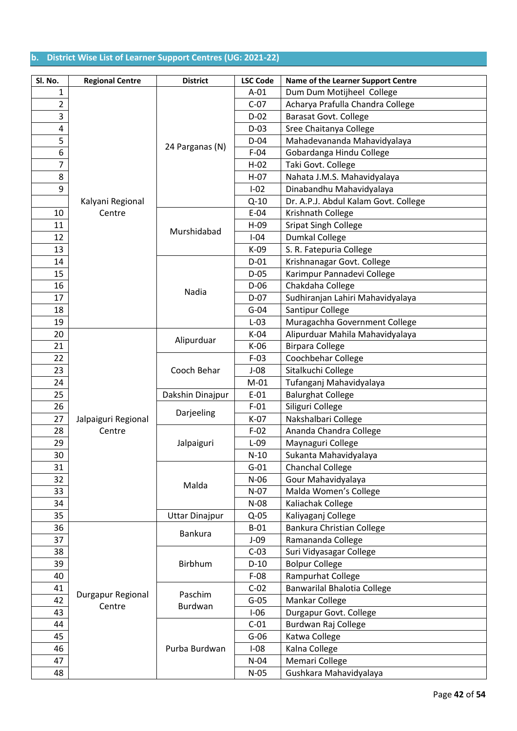# **b. District Wise List of Learner Support Centres (UG: 2021-22)**

| Sl. No.                 | <b>Regional Centre</b> | <b>District</b>     | <b>LSC Code</b> | Name of the Learner Support Centre   |
|-------------------------|------------------------|---------------------|-----------------|--------------------------------------|
| 1                       |                        |                     | $A-01$          | Dum Dum Motijheel College            |
| $\overline{2}$          |                        |                     | $C-07$          | Acharya Prafulla Chandra College     |
| 3                       |                        |                     | $D-02$          | <b>Barasat Govt. College</b>         |
| $\overline{\mathbf{4}}$ |                        |                     | $D-03$          | Sree Chaitanya College               |
| 5                       |                        |                     | $D-04$          | Mahadevananda Mahavidyalaya          |
| 6                       |                        | 24 Parganas (N)     | $F-04$          | Gobardanga Hindu College             |
| $\overline{7}$          |                        |                     | $H-02$          | Taki Govt. College                   |
| 8                       |                        |                     | $H-07$          | Nahata J.M.S. Mahavidyalaya          |
| 9                       |                        |                     | $I-02$          | Dinabandhu Mahavidyalaya             |
|                         | Kalyani Regional       |                     | $Q-10$          | Dr. A.P.J. Abdul Kalam Govt. College |
| 10                      | Centre                 |                     | $E-04$          | Krishnath College                    |
| 11                      |                        | Murshidabad         | $H-09$          | <b>Sripat Singh College</b>          |
| 12                      |                        |                     | $I-04$          | <b>Dumkal College</b>                |
| 13                      |                        |                     | $K-09$          | S. R. Fatepuria College              |
| 14                      |                        |                     | $D-01$          | Krishnanagar Govt. College           |
| 15                      |                        |                     | $D-05$          | Karimpur Pannadevi College           |
| 16                      |                        | Nadia               | $D-06$          | Chakdaha College                     |
| 17                      |                        |                     | $D-07$          | Sudhiranjan Lahiri Mahavidyalaya     |
| 18                      |                        |                     | $G-04$          | Santipur College                     |
| 19                      |                        |                     | $L-03$          | Muragachha Government College        |
| 20                      |                        |                     | $K-04$          | Alipurduar Mahila Mahavidyalaya      |
| 21                      |                        | Alipurduar          | K-06            | <b>Birpara College</b>               |
| 22                      |                        | Cooch Behar         | $F-03$          | Coochbehar College                   |
| 23                      |                        |                     | $J-08$          | Sitalkuchi College                   |
| 24                      |                        |                     | $M-01$          | Tufanganj Mahavidyalaya              |
| 25                      |                        | Dakshin Dinajpur    | $E-01$          | <b>Balurghat College</b>             |
| 26                      |                        |                     | $F-01$          | Siliguri College                     |
| 27                      | Jalpaiguri Regional    | Darjeeling          | $K-07$          | Nakshalbari College                  |
| 28                      | Centre                 |                     | $F-02$          | Ananda Chandra College               |
| 29                      |                        | Jalpaiguri<br>Malda | $L-09$          | Maynaguri College                    |
| 30                      |                        |                     | $N-10$          | Sukanta Mahavidyalaya                |
| 31                      |                        |                     | $G-01$          | <b>Chanchal College</b>              |
| 32                      |                        |                     | $N-06$          | Gour Mahavidyalaya                   |
| 33                      |                        |                     | $N-07$          | Malda Women's College                |
| 34                      |                        |                     | $N-08$          | Kaliachak College                    |
| 35                      |                        | Uttar Dinajpur      | $Q-05$          | Kaliyaganj College                   |
| 36                      |                        | <b>Bankura</b>      | $B-01$          | Bankura Christian College            |
| 37                      |                        |                     | $J-09$          | Ramananda College                    |
| 38                      |                        |                     | $C-03$          | Suri Vidyasagar College              |
| 39                      |                        | Birbhum             | $D-10$          | <b>Bolpur College</b>                |
| 40                      |                        |                     | $F-08$          | Rampurhat College                    |
| 41                      | Durgapur Regional      | Paschim             | $C-02$          | <b>Banwarilal Bhalotia College</b>   |
| 42                      | Centre                 | Burdwan             | $G-05$          | Mankar College                       |
| 43                      |                        |                     | $I-06$          | Durgapur Govt. College               |
| 44                      |                        |                     | $C-01$          | Burdwan Raj College                  |
| 45                      |                        |                     | $G-06$          | Katwa College                        |
| 46                      |                        | Purba Burdwan       | $I-08$          | Kalna College                        |
| 47                      |                        |                     | $N-04$          | Memari College                       |
| 48                      |                        |                     | $N-05$          | Gushkara Mahavidyalaya               |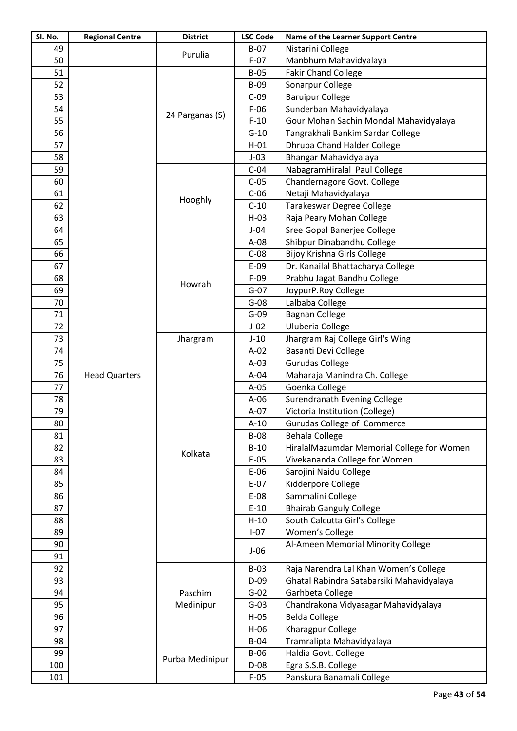| Sl. No. | <b>Regional Centre</b> | <b>District</b> | <b>LSC Code</b> | Name of the Learner Support Centre         |
|---------|------------------------|-----------------|-----------------|--------------------------------------------|
| 49      |                        |                 | $B-07$          | Nistarini College                          |
| 50      |                        | Purulia         | $F-07$          | Manbhum Mahavidyalaya                      |
| 51      |                        |                 | $B-05$          | <b>Fakir Chand College</b>                 |
| 52      |                        |                 | $B-09$          | Sonarpur College                           |
| 53      |                        |                 | $C-09$          | <b>Baruipur College</b>                    |
| 54      |                        |                 | $F-06$          | Sunderban Mahavidyalaya                    |
| 55      |                        | 24 Parganas (S) | $F-10$          | Gour Mohan Sachin Mondal Mahavidyalaya     |
| 56      |                        |                 | $G-10$          | Tangrakhali Bankim Sardar College          |
| 57      |                        |                 | $H-01$          | Dhruba Chand Halder College                |
| 58      |                        |                 | $J-03$          | Bhangar Mahavidyalaya                      |
| 59      |                        |                 | $C-04$          | NabagramHiralal Paul College               |
| 60      |                        |                 | $C-05$          | Chandernagore Govt. College                |
| 61      |                        |                 | $C-06$          | Netaji Mahavidyalaya                       |
| 62      |                        | Hooghly         | $C-10$          | Tarakeswar Degree College                  |
| 63      |                        |                 | $H-03$          | Raja Peary Mohan College                   |
| 64      |                        |                 | $J-04$          | Sree Gopal Banerjee College                |
| 65      |                        |                 | $A-08$          | Shibpur Dinabandhu College                 |
| 66      |                        |                 | $C-08$          | <b>Bijoy Krishna Girls College</b>         |
| 67      |                        |                 | $E-09$          | Dr. Kanailal Bhattacharya College          |
| 68      |                        |                 | $F-09$          | Prabhu Jagat Bandhu College                |
| 69      |                        | Howrah          | $G-07$          | JoypurP.Roy College                        |
| 70      |                        |                 | $G-08$          | Lalbaba College                            |
| 71      |                        |                 | $G-09$          | <b>Bagnan College</b>                      |
| 72      |                        |                 | $J-02$          | Uluberia College                           |
| 73      |                        | Jhargram        | $J-10$          | Jhargram Raj College Girl's Wing           |
| 74      |                        |                 | $A-02$          | <b>Basanti Devi College</b>                |
| 75      |                        |                 | $A-03$          | <b>Gurudas College</b>                     |
| 76      | <b>Head Quarters</b>   |                 | $A-04$          | Maharaja Manindra Ch. College              |
| 77      |                        |                 | $A-05$          | Goenka College                             |
| 78      |                        |                 | $A-06$          | Surendranath Evening College               |
| 79      |                        |                 | $A-07$          | Victoria Institution (College)             |
| 80      |                        |                 | $A-10$          | Gurudas College of Commerce                |
| 81      |                        |                 | <b>B-08</b>     | <b>Behala College</b>                      |
| 82      |                        |                 | $B-10$          | HiralalMazumdar Memorial College for Women |
| 83      |                        | Kolkata         | $E-05$          | Vivekananda College for Women              |
| 84      |                        |                 | $E-06$          | Sarojini Naidu College                     |
| 85      |                        |                 | $E-07$          | Kidderpore College                         |
| 86      |                        |                 | E-08            | Sammalini College                          |
| 87      |                        |                 | $E-10$          | <b>Bhairab Ganguly College</b>             |
| 88      |                        |                 | $H-10$          | South Calcutta Girl's College              |
| 89      |                        |                 | $I-07$          | Women's College                            |
| 90      |                        |                 |                 | Al-Ameen Memorial Minority College         |
| 91      |                        |                 | $J-06$          |                                            |
| 92      |                        |                 | $B-03$          | Raja Narendra Lal Khan Women's College     |
| 93      |                        |                 | $D-09$          | Ghatal Rabindra Satabarsiki Mahavidyalaya  |
| 94      |                        | Paschim         | $G-02$          | Garhbeta College                           |
| 95      |                        | Medinipur       | $G-03$          | Chandrakona Vidyasagar Mahavidyalaya       |
| 96      |                        |                 | $H-05$          | <b>Belda College</b>                       |
| 97      |                        |                 | $H-06$          | Kharagpur College                          |
| 98      |                        |                 | $B-04$          | Tramralipta Mahavidyalaya                  |
| 99      |                        |                 | $B-06$          | Haldia Govt. College                       |
| 100     |                        | Purba Medinipur | $D-08$          | Egra S.S.B. College                        |
| 101     |                        |                 | $F-05$          | Panskura Banamali College                  |
|         |                        |                 |                 |                                            |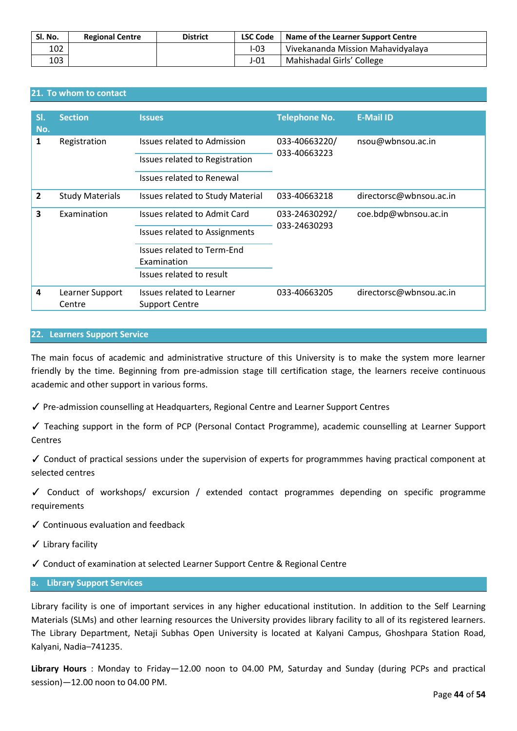| Sl. No. | <b>Regional Centre</b> | <b>District</b> | <b>LSC Code</b> | Name of the Learner Support Centre |
|---------|------------------------|-----------------|-----------------|------------------------------------|
| 102     |                        |                 | I-03            | Vivekananda Mission Mahavidyalaya  |
| 103     |                        |                 | $J-01$          | Mahishadal Girls' College          |

## **21. To whom to contact**

| SI.<br>No.     | <b>Section</b>         | <b>Issues</b>                        | <b>Telephone No.</b> | <b>E-Mail ID</b>        |
|----------------|------------------------|--------------------------------------|----------------------|-------------------------|
| 1              | Registration           | <b>Issues related to Admission</b>   | 033-40663220/        | nsou@wbnsou.ac.in       |
|                |                        | Issues related to Registration       | 033-40663223         |                         |
|                |                        | Issues related to Renewal            |                      |                         |
| $\overline{2}$ | <b>Study Materials</b> | Issues related to Study Material     | 033-40663218         | directorsc@wbnsou.ac.in |
| 3              | Examination            | Issues related to Admit Card         | 033-24630292/        | coe.bdp@wbnsou.ac.in    |
|                |                        | <b>Issues related to Assignments</b> | 033-24630293         |                         |
|                |                        | Issues related to Term-End           |                      |                         |
|                |                        | Examination                          |                      |                         |
|                |                        | Issues related to result             |                      |                         |
| 4              | Learner Support        | Issues related to Learner            | 033-40663205         | directorsc@wbnsou.ac.in |
|                | Centre                 | <b>Support Centre</b>                |                      |                         |

#### **22. Learners Support Service**

The main focus of academic and administrative structure of this University is to make the system more learner friendly by the time. Beginning from pre-admission stage till certification stage, the learners receive continuous academic and other support in various forms.

✓ Pre-admission counselling at Headquarters, Regional Centre and Learner Support Centres

✓ Teaching support in the form of PCP (Personal Contact Programme), academic counselling at Learner Support Centres

✓ Conduct of practical sessions under the supervision of experts for programmmes having practical component at selected centres

✓ Conduct of workshops/ excursion / extended contact programmes depending on specific programme requirements

✓ Continuous evaluation and feedback

✓ Library facility

✓ Conduct of examination at selected Learner Support Centre & Regional Centre

## **a. Library Support Services**

Library facility is one of important services in any higher educational institution. In addition to the Self Learning Materials (SLMs) and other learning resources the University provides library facility to all of its registered learners. The Library Department, Netaji Subhas Open University is located at Kalyani Campus, Ghoshpara Station Road, Kalyani, Nadia–741235.

**Library Hours** : Monday to Friday—12.00 noon to 04.00 PM, Saturday and Sunday (during PCPs and practical session)—12.00 noon to 04.00 PM.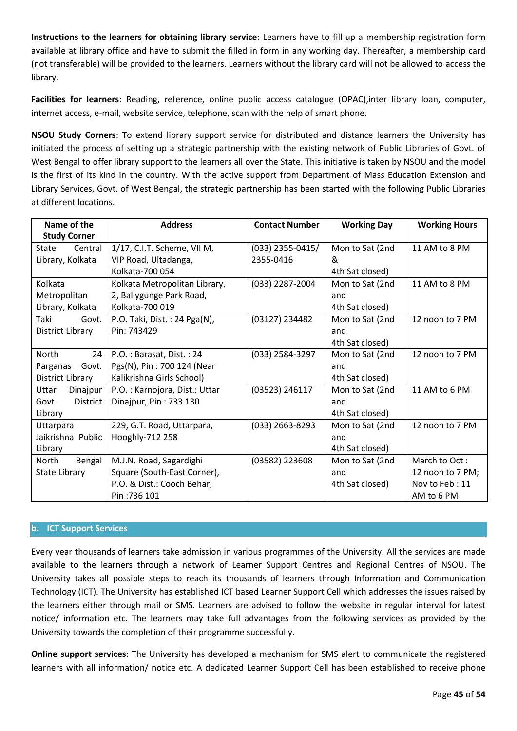**Instructions to the learners for obtaining library service**: Learners have to fill up a membership registration form available at library office and have to submit the filled in form in any working day. Thereafter, a membership card (not transferable) will be provided to the learners. Learners without the library card will not be allowed to access the library.

**Facilities for learners**: Reading, reference, online public access catalogue (OPAC),inter library loan, computer, internet access, e-mail, website service, telephone, scan with the help of smart phone.

**NSOU Study Corners**: To extend library support service for distributed and distance learners the University has initiated the process of setting up a strategic partnership with the existing network of Public Libraries of Govt. of West Bengal to offer library support to the learners all over the State. This initiative is taken by NSOU and the model is the first of its kind in the country. With the active support from Department of Mass Education Extension and Library Services, Govt. of West Bengal, the strategic partnership has been started with the following Public Libraries at different locations.

| Name of the              | <b>Address</b>                | <b>Contact Number</b> | <b>Working Day</b> | <b>Working Hours</b> |
|--------------------------|-------------------------------|-----------------------|--------------------|----------------------|
| <b>Study Corner</b>      |                               |                       |                    |                      |
| Central<br>State         | 1/17, C.I.T. Scheme, VII M,   | $(033)$ 2355-0415/    | Mon to Sat (2nd    | 11 AM to 8 PM        |
| Library, Kolkata         | VIP Road, Ultadanga,          | 2355-0416             | &                  |                      |
|                          | Kolkata-700 054               |                       | 4th Sat closed)    |                      |
| Kolkata                  | Kolkata Metropolitan Library, | (033) 2287-2004       | Mon to Sat (2nd    | 11 AM to 8 PM        |
| Metropolitan             | 2, Ballygunge Park Road,      |                       | and                |                      |
| Library, Kolkata         | Kolkata-700 019               |                       | 4th Sat closed)    |                      |
| Taki<br>Govt.            | P.O. Taki, Dist.: 24 Pga(N),  | (03127) 234482        | Mon to Sat (2nd    | 12 noon to 7 PM      |
| District Library         | Pin: 743429                   |                       | and                |                      |
|                          |                               |                       | 4th Sat closed)    |                      |
| 24<br><b>North</b>       | P.O.: Barasat, Dist.: 24      | (033) 2584-3297       | Mon to Sat (2nd    | 12 noon to 7 PM      |
| Parganas<br>Govt.        | Pgs(N), Pin: 700 124 (Near    |                       | and                |                      |
| District Library         | Kalikrishna Girls School)     |                       | 4th Sat closed)    |                      |
| Uttar<br>Dinajpur        | P.O.: Karnojora, Dist.: Uttar | (03523) 246117        | Mon to Sat (2nd    | 11 AM to 6 PM        |
| <b>District</b><br>Govt. | Dinajpur, Pin: 733 130        |                       | and                |                      |
| Library                  |                               |                       | 4th Sat closed)    |                      |
| Uttarpara                | 229, G.T. Road, Uttarpara,    | (033) 2663-8293       | Mon to Sat (2nd    | 12 noon to 7 PM      |
| Jaikrishna Public        | Hooghly-712 258               |                       | and                |                      |
| Library                  |                               |                       | 4th Sat closed)    |                      |
| Bengal<br>North          | M.J.N. Road, Sagardighi       | (03582) 223608        | Mon to Sat (2nd    | March to Oct:        |
| <b>State Library</b>     | Square (South-East Corner),   |                       | and                | 12 noon to 7 PM;     |
|                          | P.O. & Dist.: Cooch Behar,    |                       | 4th Sat closed)    | Nov to Feb: 11       |
|                          | Pin: 736 101                  |                       |                    | AM to 6 PM           |

## **b. ICT Support Services**

Every year thousands of learners take admission in various programmes of the University. All the services are made available to the learners through a network of Learner Support Centres and Regional Centres of NSOU. The University takes all possible steps to reach its thousands of learners through Information and Communication Technology (ICT). The University has established ICT based Learner Support Cell which addresses the issues raised by the learners either through mail or SMS. Learners are advised to follow the website in regular interval for latest notice/ information etc. The learners may take full advantages from the following services as provided by the University towards the completion of their programme successfully.

**Online support services**: The University has developed a mechanism for SMS alert to communicate the registered learners with all information/ notice etc. A dedicated Learner Support Cell has been established to receive phone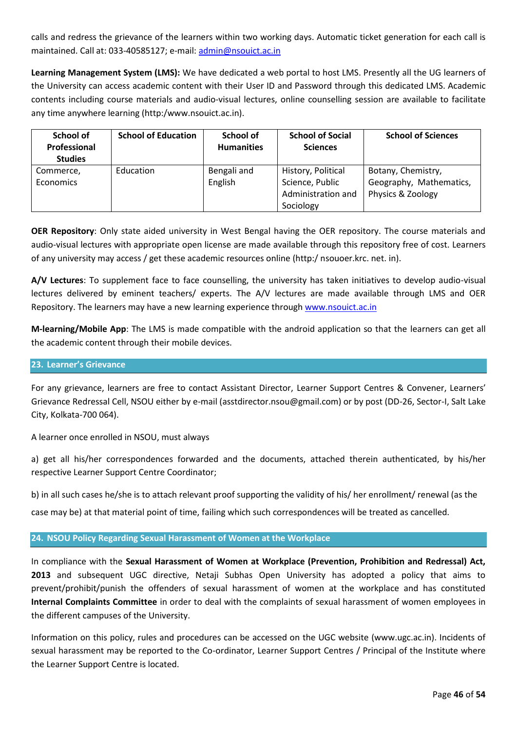calls and redress the grievance of the learners within two working days. Automatic ticket generation for each call is maintained. Call at: 033-40585127; e-mail[: admin@nsouict.ac.in](mailto:admin@nsouict.ac.in)

**Learning Management System (LMS):** We have dedicated a web portal to host LMS. Presently all the UG learners of the University can access academic content with their User ID and Password through this dedicated LMS. Academic contents including course materials and audio-visual lectures, online counselling session are available to facilitate any time anywhere learning (http:/www.nsouict.ac.in).

| School of<br>Professional<br><b>Studies</b> | <b>School of Education</b> | School of<br><b>Humanities</b> | <b>School of Social</b><br><b>Sciences</b>                               | <b>School of Sciences</b>                                          |  |  |
|---------------------------------------------|----------------------------|--------------------------------|--------------------------------------------------------------------------|--------------------------------------------------------------------|--|--|
| Commerce,<br>Economics                      | Education                  | Bengali and<br>English         | History, Political<br>Science, Public<br>Administration and<br>Sociology | Botany, Chemistry,<br>Geography, Mathematics,<br>Physics & Zoology |  |  |

**OER Repository**: Only state aided university in West Bengal having the OER repository. The course materials and audio-visual lectures with appropriate open license are made available through this repository free of cost. Learners of any university may access / get these academic resources online (http:/ nsouoer.krc. net. in).

**A/V Lectures**: To supplement face to face counselling, the university has taken initiatives to develop audio-visual lectures delivered by eminent teachers/ experts. The A/V lectures are made available through LMS and OER Repository. The learners may have a new learning experience through [www.nsouict.ac.in](http://www.nsouict.ac.in/)

**M-learning/Mobile App**: The LMS is made compatible with the android application so that the learners can get all the academic content through their mobile devices.

## **23. Learner's Grievance**

For any grievance, learners are free to contact Assistant Director, Learner Support Centres & Convener, Learners' Grievance Redressal Cell, NSOU either by e-mail (asstdirector.nsou@gmail.com) or by post (DD-26, Sector-I, Salt Lake City, Kolkata-700 064).

A learner once enrolled in NSOU, must always

a) get all his/her correspondences forwarded and the documents, attached therein authenticated, by his/her respective Learner Support Centre Coordinator;

b) in all such cases he/she is to attach relevant proof supporting the validity of his/ her enrollment/ renewal (as the

case may be) at that material point of time, failing which such correspondences will be treated as cancelled.

## **24. NSOU Policy Regarding Sexual Harassment of Women at the Workplace**

In compliance with the **Sexual Harassment of Women at Workplace (Prevention, Prohibition and Redressal) Act, 2013** and subsequent UGC directive, Netaji Subhas Open University has adopted a policy that aims to prevent/prohibit/punish the offenders of sexual harassment of women at the workplace and has constituted **Internal Complaints Committee** in order to deal with the complaints of sexual harassment of women employees in the different campuses of the University.

Information on this policy, rules and procedures can be accessed on the UGC website (www.ugc.ac.in). Incidents of sexual harassment may be reported to the Co-ordinator, Learner Support Centres / Principal of the Institute where the Learner Support Centre is located.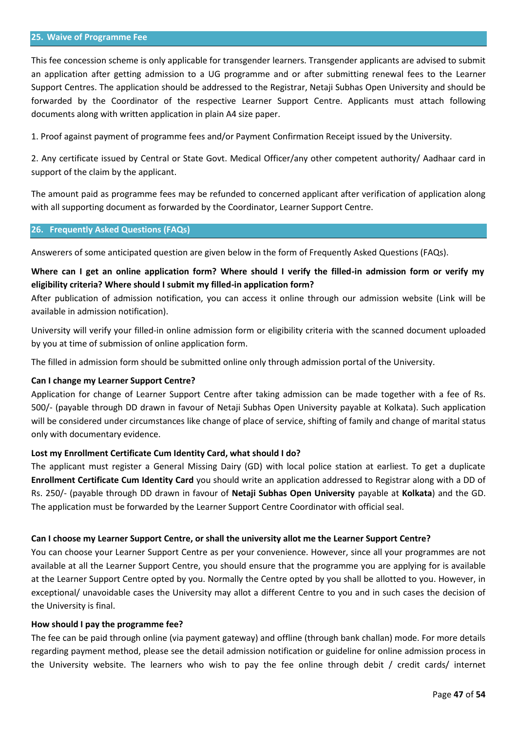#### **25. Waive of Programme Fee**

This fee concession scheme is only applicable for transgender learners. Transgender applicants are advised to submit an application after getting admission to a UG programme and or after submitting renewal fees to the Learner Support Centres. The application should be addressed to the Registrar, Netaji Subhas Open University and should be forwarded by the Coordinator of the respective Learner Support Centre. Applicants must attach following documents along with written application in plain A4 size paper.

1. Proof against payment of programme fees and/or Payment Confirmation Receipt issued by the University.

2. Any certificate issued by Central or State Govt. Medical Officer/any other competent authority/ Aadhaar card in support of the claim by the applicant.

The amount paid as programme fees may be refunded to concerned applicant after verification of application along with all supporting document as forwarded by the Coordinator, Learner Support Centre.

#### **26. Frequently Asked Questions (FAQs)**

Answerers of some anticipated question are given below in the form of Frequently Asked Questions (FAQs).

## **Where can I get an online application form? Where should I verify the filled-in admission form or verify my eligibility criteria? Where should I submit my filled-in application form?**

After publication of admission notification, you can access it online through our admission website (Link will be available in admission notification).

University will verify your filled-in online admission form or eligibility criteria with the scanned document uploaded by you at time of submission of online application form.

The filled in admission form should be submitted online only through admission portal of the University.

## **Can I change my Learner Support Centre?**

Application for change of Learner Support Centre after taking admission can be made together with a fee of Rs. 500/- (payable through DD drawn in favour of Netaji Subhas Open University payable at Kolkata). Such application will be considered under circumstances like change of place of service, shifting of family and change of marital status only with documentary evidence.

#### **Lost my Enrollment Certificate Cum Identity Card, what should I do?**

The applicant must register a General Missing Dairy (GD) with local police station at earliest. To get a duplicate **Enrollment Certificate Cum Identity Card** you should write an application addressed to Registrar along with a DD of Rs. 250/- (payable through DD drawn in favour of **Netaji Subhas Open University** payable at **Kolkata**) and the GD. The application must be forwarded by the Learner Support Centre Coordinator with official seal.

#### **Can I choose my Learner Support Centre, or shall the university allot me the Learner Support Centre?**

You can choose your Learner Support Centre as per your convenience. However, since all your programmes are not available at all the Learner Support Centre, you should ensure that the programme you are applying for is available at the Learner Support Centre opted by you. Normally the Centre opted by you shall be allotted to you. However, in exceptional/ unavoidable cases the University may allot a different Centre to you and in such cases the decision of the University is final.

#### **How should I pay the programme fee?**

The fee can be paid through online (via payment gateway) and offline (through bank challan) mode. For more details regarding payment method, please see the detail admission notification or guideline for online admission process in the University website. The learners who wish to pay the fee online through debit / credit cards/ internet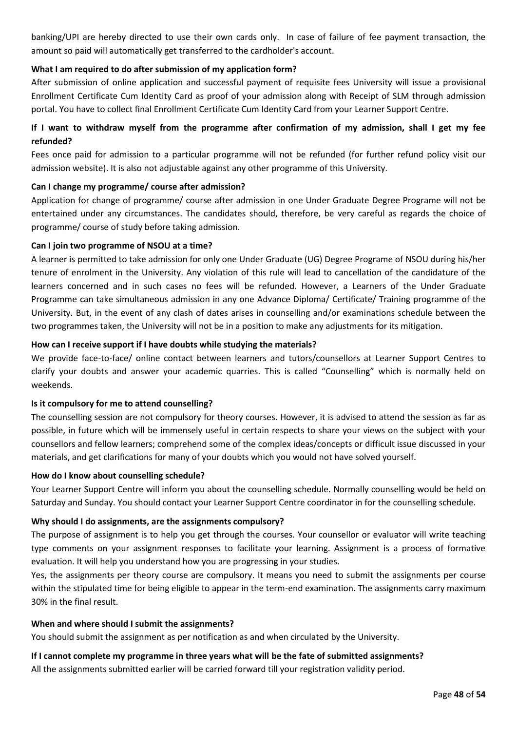banking/UPI are hereby directed to use their own cards only. In case of failure of fee payment transaction, the amount so paid will automatically get transferred to the cardholder's account.

## **What I am required to do after submission of my application form?**

After submission of online application and successful payment of requisite fees University will issue a provisional Enrollment Certificate Cum Identity Card as proof of your admission along with Receipt of SLM through admission portal. You have to collect final Enrollment Certificate Cum Identity Card from your Learner Support Centre.

## **If I want to withdraw myself from the programme after confirmation of my admission, shall I get my fee refunded?**

Fees once paid for admission to a particular programme will not be refunded (for further refund policy visit our admission website). It is also not adjustable against any other programme of this University.

## **Can I change my programme/ course after admission?**

Application for change of programme/ course after admission in one Under Graduate Degree Programe will not be entertained under any circumstances. The candidates should, therefore, be very careful as regards the choice of programme/ course of study before taking admission.

## **Can I join two programme of NSOU at a time?**

A learner is permitted to take admission for only one Under Graduate (UG) Degree Programe of NSOU during his/her tenure of enrolment in the University. Any violation of this rule will lead to cancellation of the candidature of the learners concerned and in such cases no fees will be refunded. However, a Learners of the Under Graduate Programme can take simultaneous admission in any one Advance Diploma/ Certificate/ Training programme of the University. But, in the event of any clash of dates arises in counselling and/or examinations schedule between the two programmes taken, the University will not be in a position to make any adjustments for its mitigation.

## **How can I receive support if I have doubts while studying the materials?**

We provide face-to-face/ online contact between learners and tutors/counsellors at Learner Support Centres to clarify your doubts and answer your academic quarries. This is called "Counselling" which is normally held on weekends.

## **Is it compulsory for me to attend counselling?**

The counselling session are not compulsory for theory courses. However, it is advised to attend the session as far as possible, in future which will be immensely useful in certain respects to share your views on the subject with your counsellors and fellow learners; comprehend some of the complex ideas/concepts or difficult issue discussed in your materials, and get clarifications for many of your doubts which you would not have solved yourself.

## **How do I know about counselling schedule?**

Your Learner Support Centre will inform you about the counselling schedule. Normally counselling would be held on Saturday and Sunday. You should contact your Learner Support Centre coordinator in for the counselling schedule.

## **Why should I do assignments, are the assignments compulsory?**

The purpose of assignment is to help you get through the courses. Your counsellor or evaluator will write teaching type comments on your assignment responses to facilitate your learning. Assignment is a process of formative evaluation. It will help you understand how you are progressing in your studies.

Yes, the assignments per theory course are compulsory. It means you need to submit the assignments per course within the stipulated time for being eligible to appear in the term-end examination. The assignments carry maximum 30% in the final result.

## **When and where should I submit the assignments?**

You should submit the assignment as per notification as and when circulated by the University.

## **If I cannot complete my programme in three years what will be the fate of submitted assignments?**

All the assignments submitted earlier will be carried forward till your registration validity period.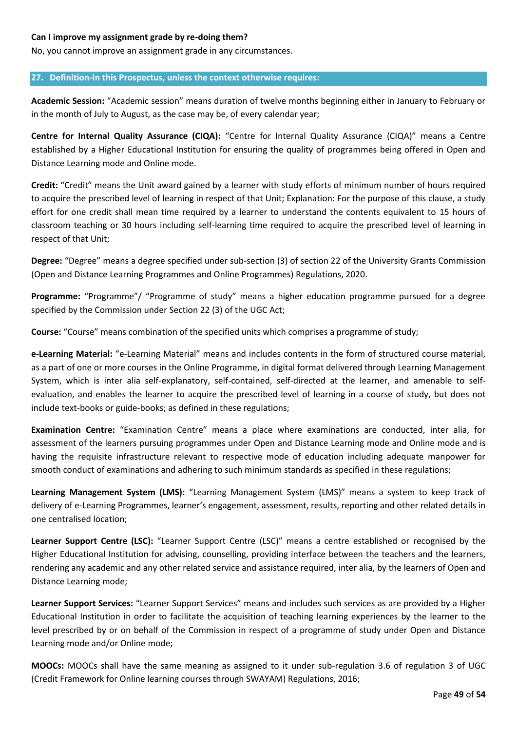## **Can I improve my assignment grade by re-doing them?**

No, you cannot improve an assignment grade in any circumstances.

## **27. Definition-In this Prospectus, unless the context otherwise requires:**

**Academic Session:** "Academic session" means duration of twelve months beginning either in January to February or in the month of July to August, as the case may be, of every calendar year;

**Centre for Internal Quality Assurance (CIQA):** "Centre for Internal Quality Assurance (CIQA)" means a Centre established by a Higher Educational Institution for ensuring the quality of programmes being offered in Open and Distance Learning mode and Online mode.

**Credit:** "Credit" means the Unit award gained by a learner with study efforts of minimum number of hours required to acquire the prescribed level of learning in respect of that Unit; Explanation: For the purpose of this clause, a study effort for one credit shall mean time required by a learner to understand the contents equivalent to 15 hours of classroom teaching or 30 hours including self-learning time required to acquire the prescribed level of learning in respect of that Unit;

**Degree:** "Degree" means a degree specified under sub-section (3) of section 22 of the University Grants Commission (Open and Distance Learning Programmes and Online Programmes) Regulations, 2020.

**Programme:** "Programme"/ "Programme of study" means a higher education programme pursued for a degree specified by the Commission under Section 22 (3) of the UGC Act;

**Course:** "Course" means combination of the specified units which comprises a programme of study;

**e-Learning Material:** "e-Learning Material" means and includes contents in the form of structured course material, as a part of one or more courses in the Online Programme, in digital format delivered through Learning Management System, which is inter alia self-explanatory, self-contained, self-directed at the learner, and amenable to selfevaluation, and enables the learner to acquire the prescribed level of learning in a course of study, but does not include text-books or guide-books; as defined in these regulations;

**Examination Centre:** "Examination Centre" means a place where examinations are conducted, inter alia, for assessment of the learners pursuing programmes under Open and Distance Learning mode and Online mode and is having the requisite infrastructure relevant to respective mode of education including adequate manpower for smooth conduct of examinations and adhering to such minimum standards as specified in these regulations;

**Learning Management System (LMS):** "Learning Management System (LMS)" means a system to keep track of delivery of e-Learning Programmes, learner's engagement, assessment, results, reporting and other related details in one centralised location;

**Learner Support Centre (LSC):** "Learner Support Centre (LSC)" means a centre established or recognised by the Higher Educational Institution for advising, counselling, providing interface between the teachers and the learners, rendering any academic and any other related service and assistance required, inter alia, by the learners of Open and Distance Learning mode;

**Learner Support Services:** "Learner Support Services" means and includes such services as are provided by a Higher Educational Institution in order to facilitate the acquisition of teaching learning experiences by the learner to the level prescribed by or on behalf of the Commission in respect of a programme of study under Open and Distance Learning mode and/or Online mode;

**MOOCs:** MOOCs shall have the same meaning as assigned to it under sub-regulation 3.6 of regulation 3 of UGC (Credit Framework for Online learning courses through SWAYAM) Regulations, 2016;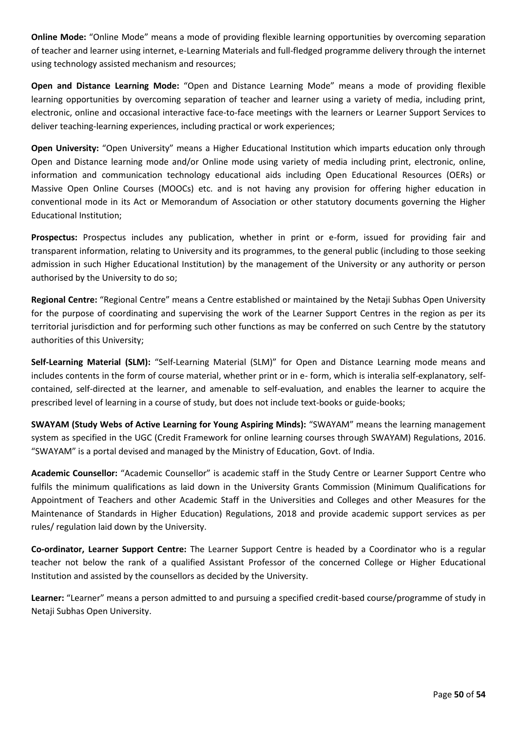**Online Mode:** "Online Mode" means a mode of providing flexible learning opportunities by overcoming separation of teacher and learner using internet, e-Learning Materials and full-fledged programme delivery through the internet using technology assisted mechanism and resources;

**Open and Distance Learning Mode:** "Open and Distance Learning Mode" means a mode of providing flexible learning opportunities by overcoming separation of teacher and learner using a variety of media, including print, electronic, online and occasional interactive face-to-face meetings with the learners or Learner Support Services to deliver teaching-learning experiences, including practical or work experiences;

**Open University:** "Open University" means a Higher Educational Institution which imparts education only through Open and Distance learning mode and/or Online mode using variety of media including print, electronic, online, information and communication technology educational aids including Open Educational Resources (OERs) or Massive Open Online Courses (MOOCs) etc. and is not having any provision for offering higher education in conventional mode in its Act or Memorandum of Association or other statutory documents governing the Higher Educational Institution;

**Prospectus:** Prospectus includes any publication, whether in print or e-form, issued for providing fair and transparent information, relating to University and its programmes, to the general public (including to those seeking admission in such Higher Educational Institution) by the management of the University or any authority or person authorised by the University to do so;

**Regional Centre:** "Regional Centre" means a Centre established or maintained by the Netaji Subhas Open University for the purpose of coordinating and supervising the work of the Learner Support Centres in the region as per its territorial jurisdiction and for performing such other functions as may be conferred on such Centre by the statutory authorities of this University;

**Self-Learning Material (SLM):** "Self-Learning Material (SLM)" for Open and Distance Learning mode means and includes contents in the form of course material, whether print or in e- form, which is interalia self-explanatory, selfcontained, self-directed at the learner, and amenable to self-evaluation, and enables the learner to acquire the prescribed level of learning in a course of study, but does not include text-books or guide-books;

**SWAYAM (Study Webs of Active Learning for Young Aspiring Minds):** "SWAYAM" means the learning management system as specified in the UGC (Credit Framework for online learning courses through SWAYAM) Regulations, 2016. "SWAYAM" is a portal devised and managed by the Ministry of Education, Govt. of India.

**Academic Counsellor:** "Academic Counsellor" is academic staff in the Study Centre or Learner Support Centre who fulfils the minimum qualifications as laid down in the University Grants Commission (Minimum Qualifications for Appointment of Teachers and other Academic Staff in the Universities and Colleges and other Measures for the Maintenance of Standards in Higher Education) Regulations, 2018 and provide academic support services as per rules/ regulation laid down by the University.

**Co-ordinator, Learner Support Centre:** The Learner Support Centre is headed by a Coordinator who is a regular teacher not below the rank of a qualified Assistant Professor of the concerned College or Higher Educational Institution and assisted by the counsellors as decided by the University.

**Learner:** "Learner" means a person admitted to and pursuing a specified credit-based course/programme of study in Netaji Subhas Open University.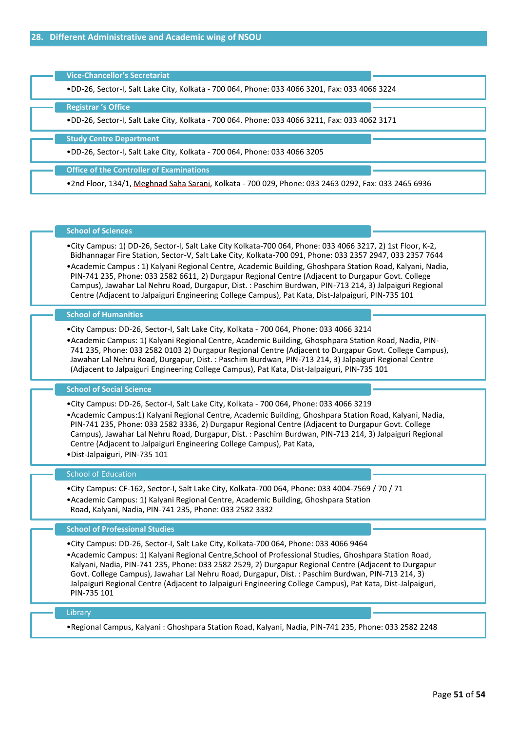| <b>Vice-Chancellor's Secretariat</b><br>.DD-26, Sector-I, Salt Lake City, Kolkata - 700 064, Phone: 033 4066 3201, Fax: 033 4066 3224 |
|---------------------------------------------------------------------------------------------------------------------------------------|
| <b>Registrar</b> 's Office<br>.DD-26, Sector-I, Salt Lake City, Kolkata - 700 064. Phone: 033 4066 3211, Fax: 033 4062 3171           |
| <b>Study Centre Department</b><br>.DD-26, Sector-I, Salt Lake City, Kolkata - 700 064, Phone: 033 4066 3205                           |
| <b>Office of the Controller of Examinations</b>                                                                                       |

#### **School of Sciences**

- •City Campus: 1) DD-26, Sector-I, Salt Lake City Kolkata-700 064, Phone: 033 4066 3217, 2) 1st Floor, K-2, Bidhannagar Fire Station, Sector-V, Salt Lake City, Kolkata-700 091, Phone: 033 2357 2947, 033 2357 7644
- •Academic Campus : 1) Kalyani Regional Centre, Academic Building, Ghoshpara Station Road, Kalyani, Nadia, PIN-741 235, Phone: 033 2582 6611, 2) Durgapur Regional Centre (Adjacent to Durgapur Govt. College Campus), Jawahar Lal Nehru Road, Durgapur, Dist. : Paschim Burdwan, PIN-713 214, 3) Jalpaiguri Regional Centre (Adjacent to Jalpaiguri Engineering College Campus), Pat Kata, Dist-Jalpaiguri, PIN-735 101

#### **School of Humanities**

- •City Campus: DD-26, Sector-I, Salt Lake City, Kolkata 700 064, Phone: 033 4066 3214
- •Academic Campus: 1) Kalyani Regional Centre, Academic Building, Ghosphpara Station Road, Nadia, PIN-741 235, Phone: 033 2582 0103 2) Durgapur Regional Centre (Adjacent to Durgapur Govt. College Campus), Jawahar Lal Nehru Road, Durgapur, Dist. : Paschim Burdwan, PIN-713 214, 3) Jalpaiguri Regional Centre (Adjacent to Jalpaiguri Engineering College Campus), Pat Kata, Dist-Jalpaiguri, PIN-735 101

#### **School of Social Science**

- •City Campus: DD-26, Sector-I, Salt Lake City, Kolkata 700 064, Phone: 033 4066 3219
- •Academic Campus:1) Kalyani Regional Centre, Academic Building, Ghoshpara Station Road, Kalyani, Nadia, PIN-741 235, Phone: 033 2582 3336, 2) Durgapur Regional Centre (Adjacent to Durgapur Govt. College Campus), Jawahar Lal Nehru Road, Durgapur, Dist. : Paschim Burdwan, PIN-713 214, 3) Jalpaiguri Regional Centre (Adjacent to Jalpaiguri Engineering College Campus), Pat Kata,
- •Dist-Jalpaiguri, PIN-735 101

#### School of Education

- •City Campus: CF-162, Sector-I, Salt Lake City, Kolkata-700 064, Phone: 033 4004-7569 / 70 / 71
- •Academic Campus: 1) Kalyani Regional Centre, Academic Building, Ghoshpara Station
- Road, Kalyani, Nadia, PIN-741 235, Phone: 033 2582 3332

#### **School of Professional Studies**

•City Campus: DD-26, Sector-I, Salt Lake City, Kolkata-700 064, Phone: 033 4066 9464

•Academic Campus: 1) Kalyani Regional Centre,School of Professional Studies, Ghoshpara Station Road, Kalyani, Nadia, PIN-741 235, Phone: 033 2582 2529, 2) Durgapur Regional Centre (Adjacent to Durgapur Govt. College Campus), Jawahar Lal Nehru Road, Durgapur, Dist. : Paschim Burdwan, PIN-713 214, 3) Jalpaiguri Regional Centre (Adjacent to Jalpaiguri Engineering College Campus), Pat Kata, Dist-Jalpaiguri, PIN-735 101

#### Library

•Regional Campus, Kalyani : Ghoshpara Station Road, Kalyani, Nadia, PIN-741 235, Phone: 033 2582 2248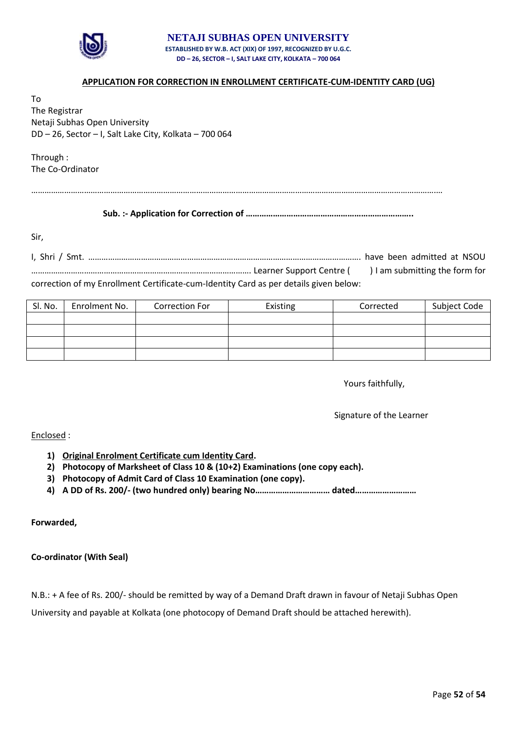

#### **NETAJI SUBHAS OPEN UNIVERSITY ESTABLISHED BY W.B. ACT (XIX) OF 1997, RECOGNIZED BY U.G.C. DD – 26, SECTOR – I, SALT LAKE CITY, KOLKATA – 700 064**

## **APPLICATION FOR CORRECTION IN ENROLLMENT CERTIFICATE-CUM-IDENTITY CARD (UG)**

To The Registrar Netaji Subhas Open University DD – 26, Sector – I, Salt Lake City, Kolkata – 700 064

Through : The Co-Ordinator

………………………………………………………………………………………………………………………………………………………………….…

**Sub. :- Application for Correction of ………………………………………………………………..**

Sir,

I, Shri / Smt. ……………………………………………………………………………………………………………. have been admitted at NSOU ………………………………………………………………………………………. Learner Support Centre ( ) I am submitting the form for correction of my Enrollment Certificate-cum-Identity Card as per details given below:

| Sl. No. | Enrolment No. | Correction For | Existing | Corrected | Subject Code |
|---------|---------------|----------------|----------|-----------|--------------|
|         |               |                |          |           |              |
|         |               |                |          |           |              |
|         |               |                |          |           |              |
|         |               |                |          |           |              |

Yours faithfully,

Signature of the Learner

Enclosed :

- **1) Original Enrolment Certificate cum Identity Card.**
- **2) Photocopy of Marksheet of Class 10 & (10+2) Examinations (one copy each).**
- **3) Photocopy of Admit Card of Class 10 Examination (one copy).**
- **4) A DD of Rs. 200/- (two hundred only) bearing No…………………………… dated………………………**

**Forwarded,**

**Co-ordinator (With Seal)**

N.B.: + A fee of Rs. 200/- should be remitted by way of a Demand Draft drawn in favour of Netaji Subhas Open

University and payable at Kolkata (one photocopy of Demand Draft should be attached herewith).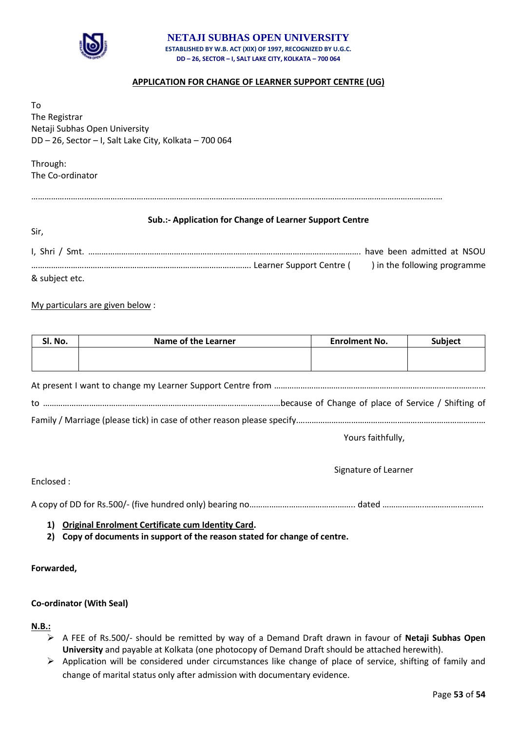

#### **NETAJI SUBHAS OPEN UNIVERSITY ESTABLISHED BY W.B. ACT (XIX) OF 1997, RECOGNIZED BY U.G.C. DD – 26, SECTOR – I, SALT LAKE CITY, KOLKATA – 700 064**

## **APPLICATION FOR CHANGE OF LEARNER SUPPORT CENTRE (UG)**

To The Registrar Netaji Subhas Open University DD – 26, Sector – I, Salt Lake City, Kolkata – 700 064

Through: The Co-ordinator

Sir,

………………………………………………………………………………………………………………………………………………………………….…

## **Sub.:- Application for Change of Learner Support Centre**

|                |  | have been admitted at NSOU   |
|----------------|--|------------------------------|
|                |  | ) in the following programme |
| & subject etc. |  |                              |

### My particulars are given below :

| Sl. No. | <b>Name of the Learner</b> | <b>Enrolment No.</b> | <b>Subject</b> |
|---------|----------------------------|----------------------|----------------|
|         |                            |                      |                |
|         |                            |                      |                |

Family / Marriage (please tick) in case of other reason please specify.……………………………………………………………………….…

Yours faithfully,

Signature of Learner

Enclosed :

A copy of DD for Rs.500/- (five hundred only) bearing no………………………………….…….. dated ……………….………………………

**1) Original Enrolment Certificate cum Identity Card.**

**2) Copy of documents in support of the reason stated for change of centre.** 

**Forwarded,**

#### **Co-ordinator (With Seal)**

**N.B.:**

- A FEE of Rs.500/- should be remitted by way of a Demand Draft drawn in favour of **Netaji Subhas Open University** and payable at Kolkata (one photocopy of Demand Draft should be attached herewith).
- $\triangleright$  Application will be considered under circumstances like change of place of service, shifting of family and change of marital status only after admission with documentary evidence.